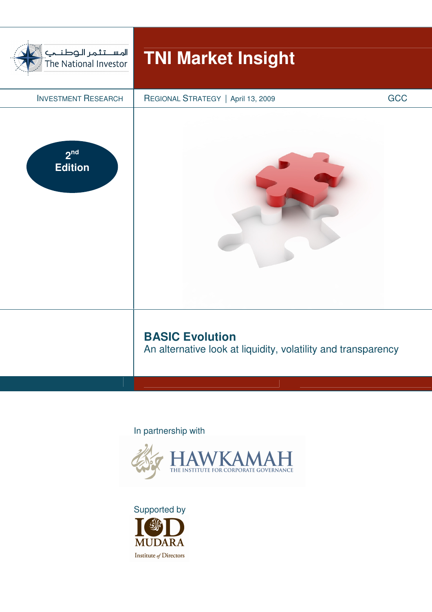

## In partnership with



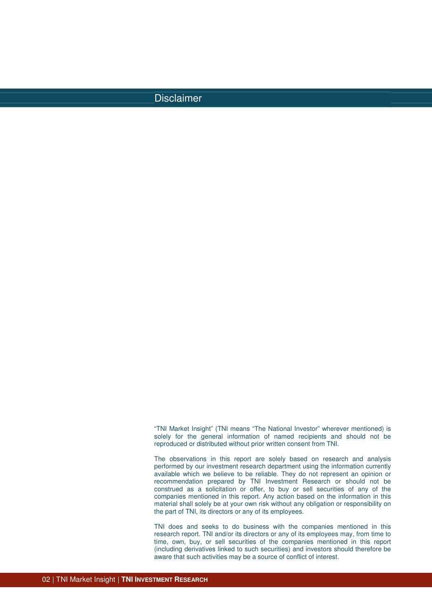## Disclaimer

"TNI Market Insight" (TNI means "The National Investor" wherever mentioned) is solely for the general information of named recipients and should not be reproduced or distributed without prior written consent from TNI.

The observations in this report are solely based on research and analysis performed by our investment research department using the information currently available which we believe to be reliable. They do not represent an opinion or recommendation prepared by TNI Investment Research or should not be construed as a solicitation or offer, to buy or sell securities of any of the companies mentioned in this report. Any action based on the information in this material shall solely be at your own risk without any obligation or responsibility on the part of TNI, its directors or any of its employees.

TNI does and seeks to do business with the companies mentioned in this research report. TNI and/or its directors or any of its employees may, from time to time, own, buy, or sell securities of the companies mentioned in this report (including derivatives linked to such securities) and investors should therefore be aware that such activities may be a source of conflict of interest.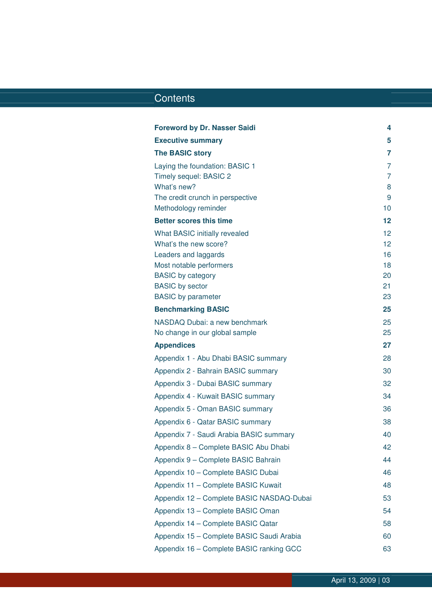## Contents Contents

| <b>Foreword by Dr. Nasser Saidi</b>                    | 4                 |
|--------------------------------------------------------|-------------------|
| <b>Executive summary</b>                               | 5                 |
| <b>The BASIC story</b>                                 | 7                 |
| Laying the foundation: BASIC 1                         | $\overline{7}$    |
| Timely sequel: BASIC 2                                 | 7                 |
| What's new?                                            | 8                 |
| The credit crunch in perspective                       | 9<br>10           |
| Methodology reminder<br><b>Better scores this time</b> | $12 \overline{ }$ |
|                                                        |                   |
| What BASIC initially revealed<br>What's the new score? | 12<br>12          |
| Leaders and laggards                                   | 16                |
| Most notable performers                                | 18                |
| <b>BASIC</b> by category                               | 20                |
| <b>BASIC</b> by sector                                 | 21                |
| <b>BASIC</b> by parameter                              | 23                |
| <b>Benchmarking BASIC</b>                              | 25                |
| NASDAQ Dubai: a new benchmark                          | 25                |
| No change in our global sample                         | 25                |
| <b>Appendices</b>                                      | 27                |
| Appendix 1 - Abu Dhabi BASIC summary                   | 28                |
| Appendix 2 - Bahrain BASIC summary                     | 30                |
| Appendix 3 - Dubai BASIC summary                       | 32                |
| Appendix 4 - Kuwait BASIC summary                      | 34                |
| Appendix 5 - Oman BASIC summary                        | 36                |
| Appendix 6 - Qatar BASIC summary                       | 38                |
| Appendix 7 - Saudi Arabia BASIC summary                | 40                |
| Appendix 8 - Complete BASIC Abu Dhabi                  | 42                |
| Appendix 9 - Complete BASIC Bahrain                    | 44                |
| Appendix 10 - Complete BASIC Dubai                     | 46                |
| Appendix 11 - Complete BASIC Kuwait                    | 48                |
| Appendix 12 - Complete BASIC NASDAQ-Dubai              | 53                |
| Appendix 13 - Complete BASIC Oman                      | 54                |
| Appendix 14 - Complete BASIC Qatar                     | 58                |
| Appendix 15 - Complete BASIC Saudi Arabia              | 60                |
| Appendix 16 - Complete BASIC ranking GCC               | 63                |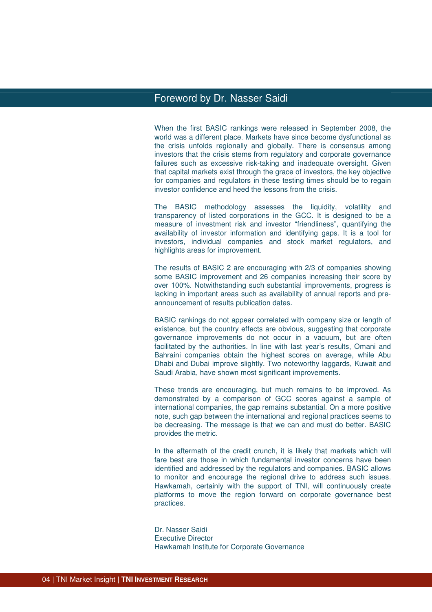## Foreword by Dr. Nasser Saidi

When the first BASIC rankings were released in September 2008, the world was a different place. Markets have since become dysfunctional as the crisis unfolds regionally and globally. There is consensus among investors that the crisis stems from regulatory and corporate governance failures such as excessive risk-taking and inadequate oversight. Given that capital markets exist through the grace of investors, the key objective for companies and regulators in these testing times should be to regain investor confidence and heed the lessons from the crisis.

The BASIC methodology assesses the liquidity, volatility and transparency of listed corporations in the GCC. It is designed to be a measure of investment risk and investor "friendliness", quantifying the availability of investor information and identifying gaps. It is a tool for investors, individual companies and stock market regulators, and highlights areas for improvement.

The results of BASIC 2 are encouraging with 2/3 of companies showing some BASIC improvement and 26 companies increasing their score by over 100%. Notwithstanding such substantial improvements, progress is lacking in important areas such as availability of annual reports and preannouncement of results publication dates.

BASIC rankings do not appear correlated with company size or length of existence, but the country effects are obvious, suggesting that corporate governance improvements do not occur in a vacuum, but are often facilitated by the authorities. In line with last year's results, Omani and Bahraini companies obtain the highest scores on average, while Abu Dhabi and Dubai improve slightly. Two noteworthy laggards, Kuwait and Saudi Arabia, have shown most significant improvements.

These trends are encouraging, but much remains to be improved. As demonstrated by a comparison of GCC scores against a sample of international companies, the gap remains substantial. On a more positive note, such gap between the international and regional practices seems to be decreasing. The message is that we can and must do better. BASIC provides the metric.

In the aftermath of the credit crunch, it is likely that markets which will fare best are those in which fundamental investor concerns have been identified and addressed by the regulators and companies. BASIC allows to monitor and encourage the regional drive to address such issues. Hawkamah, certainly with the support of TNI, will continuously create platforms to move the region forward on corporate governance best practices.

Dr. Nasser Saidi Executive Director Hawkamah Institute for Corporate Governance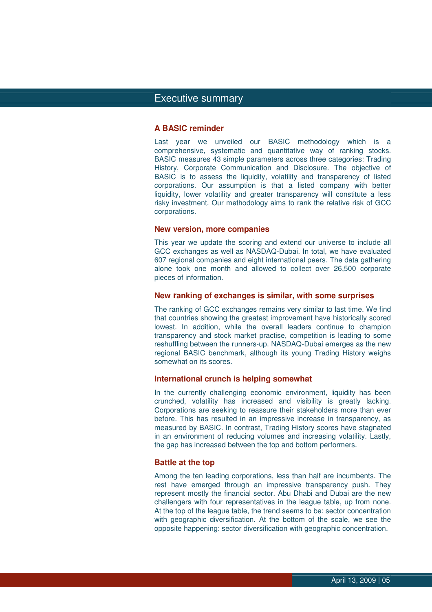## Executive summary summary

#### **A BASIC reminder**

Last year we unveiled our BASIC methodology which is a comprehensive, systematic and quantitative way of ranking stocks. BASIC measures 43 simple parameters across three categories: Trading History, Corporate Communication and Disclosure. The objective of BASIC is to assess the liquidity, volatility and transparency of listed corporations. Our assumption is that a listed company with better liquidity, lower volatility and greater transparency will constitute a less risky investment. Our methodology aims to rank the relative risk of GCC corporations.

#### **New version, more companies**

This year we update the scoring and extend our universe to include all GCC exchanges as well as NASDAQ-Dubai. In total, we have evaluated 607 regional companies and eight international peers. The data gathering alone took one month and allowed to collect over 26,500 corporate pieces of information.

#### **New ranking of exchanges is similar, with some surprises**

The ranking of GCC exchanges remains very similar to last time. We find that countries showing the greatest improvement have historically scored lowest. In addition, while the overall leaders continue to champion transparency and stock market practise, competition is leading to some reshuffling between the runners-up. NASDAQ-Dubai emerges as the new regional BASIC benchmark, although its young Trading History weighs somewhat on its scores.

#### **International crunch is helping somewhat**

In the currently challenging economic environment, liquidity has been crunched, volatility has increased and visibility is greatly lacking. Corporations are seeking to reassure their stakeholders more than ever before. This has resulted in an impressive increase in transparency, as measured by BASIC. In contrast, Trading History scores have stagnated in an environment of reducing volumes and increasing volatility. Lastly, the gap has increased between the top and bottom performers.

#### **Battle at the top**

Among the ten leading corporations, less than half are incumbents. The rest have emerged through an impressive transparency push. They represent mostly the financial sector. Abu Dhabi and Dubai are the new challengers with four representatives in the league table, up from none. At the top of the league table, the trend seems to be: sector concentration with geographic diversification. At the bottom of the scale, we see the opposite happening: sector diversification with geographic concentration.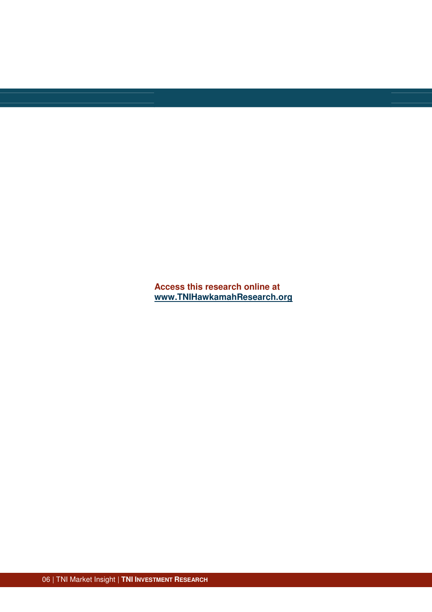**Access this research online at www.TNIHawkamahResearch.org**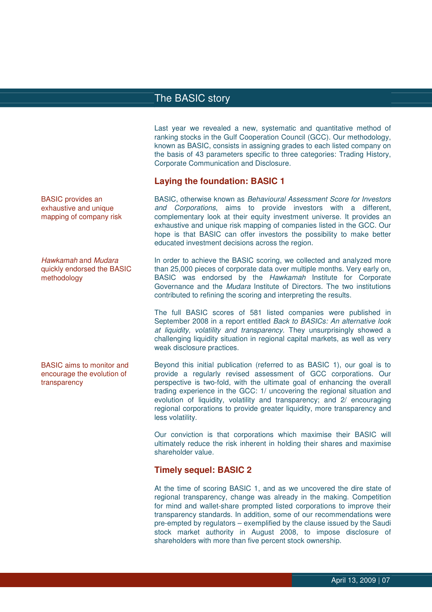Last year we revealed a new, systematic and quantitative method of ranking stocks in the Gulf Cooperation Council (GCC). Our methodology, known as BASIC, consists in assigning grades to each listed company on the basis of 43 parameters specific to three categories: Trading History, Corporate Communication and Disclosure.

#### **Laying the foundation: BASIC 1**

BASIC, otherwise known as Behavioural Assessment Score for Investors and Corporations, aims to provide investors with a different, complementary look at their equity investment universe. It provides an exhaustive and unique risk mapping of companies listed in the GCC. Our hope is that BASIC can offer investors the possibility to make better educated investment decisions across the region.

In order to achieve the BASIC scoring, we collected and analyzed more than 25,000 pieces of corporate data over multiple months. Very early on, BASIC was endorsed by the Hawkamah Institute for Corporate Governance and the Mudara Institute of Directors. The two institutions contributed to refining the scoring and interpreting the results.

The full BASIC scores of 581 listed companies were published in September 2008 in a report entitled Back to BASICs: An alternative look at liquidity, volatility and transparency. They unsurprisingly showed a challenging liquidity situation in regional capital markets, as well as very weak disclosure practices.

Beyond this initial publication (referred to as BASIC 1), our goal is to provide a regularly revised assessment of GCC corporations. Our perspective is two-fold, with the ultimate goal of enhancing the overall trading experience in the GCC: 1/ uncovering the regional situation and evolution of liquidity, volatility and transparency; and 2/ encouraging regional corporations to provide greater liquidity, more transparency and less volatility.

Our conviction is that corporations which maximise their BASIC will ultimately reduce the risk inherent in holding their shares and maximise shareholder value.

#### **Timely sequel: BASIC 2**

At the time of scoring BASIC 1, and as we uncovered the dire state of regional transparency, change was already in the making. Competition for mind and wallet-share prompted listed corporations to improve their transparency standards. In addition, some of our recommendations were pre-empted by regulators – exemplified by the clause issued by the Saudi stock market authority in August 2008, to impose disclosure of shareholders with more than five percent stock ownership.

BASIC provides an exhaustive and unique mapping of company risk

Hawkamah and Mudara quickly endorsed the BASIC methodology

BASIC aims to monitor and encourage the evolution of transparency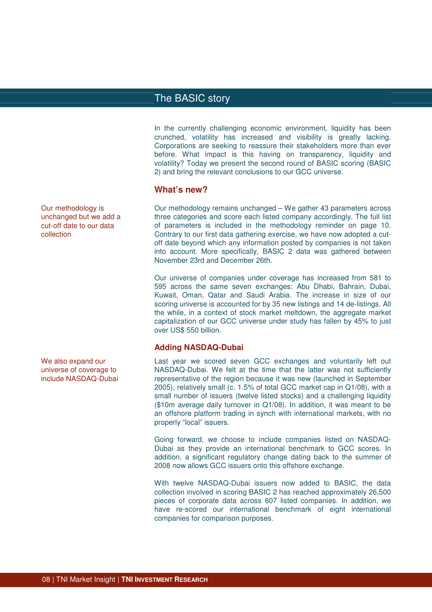In the currently challenging economic environment, liquidity has been crunched, volatility has increased and visibility is greatly lacking. Corporations are seeking to reassure their stakeholders more than ever before. What impact is this having on transparency, liquidity and volatility? Today we present the second round of BASIC scoring (BASIC 2) and bring the relevant conclusions to our GCC universe.

#### **What's new?**

Our methodology remains unchanged – We gather 43 parameters across three categories and score each listed company accordingly. The full list of parameters is included in the methodology reminder on page 10. Contrary to our first data gathering exercise, we have now adopted a cutoff date beyond which any information posted by companies is not taken into account. More specifically, BASIC 2 data was gathered between November 23rd and December 26th.

Our universe of companies under coverage has increased from 581 to 595 across the same seven exchanges: Abu Dhabi, Bahrain, Dubai, Kuwait, Oman, Qatar and Saudi Arabia. The increase in size of our scoring universe is accounted for by 35 new listings and 14 de-listings. All the while, in a context of stock market meltdown, the aggregate market capitalization of our GCC universe under study has fallen by 45% to just over US\$ 550 billion.

#### **Adding NASDAQ-Dubai**

Last year we scored seven GCC exchanges and voluntarily left out NASDAQ-Dubai. We felt at the time that the latter was not sufficiently representative of the region because it was new (launched in September 2005), relatively small (c. 1.5% of total GCC market cap in Q1/08), with a small number of issuers (twelve listed stocks) and a challenging liquidity (\$10m average daily turnover in Q1/08). In addition, it was meant to be an offshore platform trading in synch with international markets, with no properly "local" issuers.

Going forward, we choose to include companies listed on NASDAQ-Dubai as they provide an international benchmark to GCC scores. In addition, a significant regulatory change dating back to the summer of 2008 now allows GCC issuers onto this offshore exchange.

With twelve NASDAQ-Dubai issuers now added to BASIC, the data collection involved in scoring BASIC 2 has reached approximately 26,500 pieces of corporate data across 607 listed companies. In addition, we have re-scored our international benchmark of eight international companies for comparison purposes.

Our methodology is unchanged but we add a cut-off date to our data collection

We also expand our universe of coverage to include NASDAQ-Dubai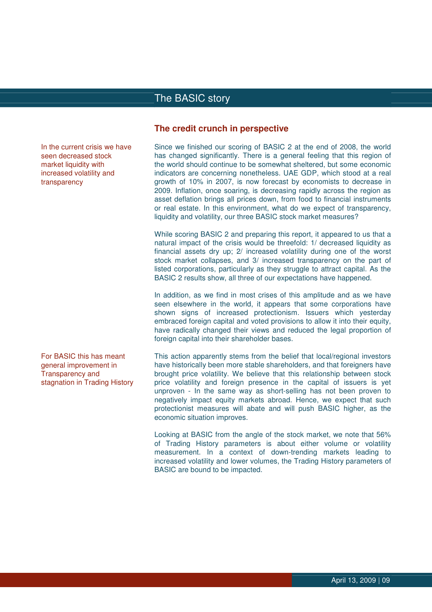In the current crisis we have seen decreased stock market liquidity with increased volatility and transparency

For BASIC this has meant general improvement in Transparency and stagnation in Trading History

#### **The credit crunch in perspective**

Since we finished our scoring of BASIC 2 at the end of 2008, the world has changed significantly. There is a general feeling that this region of the world should continue to be somewhat sheltered, but some economic indicators are concerning nonetheless. UAE GDP, which stood at a real growth of 10% in 2007, is now forecast by economists to decrease in 2009. Inflation, once soaring, is decreasing rapidly across the region as asset deflation brings all prices down, from food to financial instruments or real estate. In this environment, what do we expect of transparency, liquidity and volatility, our three BASIC stock market measures?

While scoring BASIC 2 and preparing this report, it appeared to us that a natural impact of the crisis would be threefold: 1/ decreased liquidity as financial assets dry up; 2/ increased volatility during one of the worst stock market collapses, and 3/ increased transparency on the part of listed corporations, particularly as they struggle to attract capital. As the BASIC 2 results show, all three of our expectations have happened.

In addition, as we find in most crises of this amplitude and as we have seen elsewhere in the world, it appears that some corporations have shown signs of increased protectionism. Issuers which yesterday embraced foreign capital and voted provisions to allow it into their equity, have radically changed their views and reduced the legal proportion of foreign capital into their shareholder bases.

This action apparently stems from the belief that local/regional investors have historically been more stable shareholders, and that foreigners have brought price volatility. We believe that this relationship between stock price volatility and foreign presence in the capital of issuers is yet unproven - In the same way as short-selling has not been proven to negatively impact equity markets abroad. Hence, we expect that such protectionist measures will abate and will push BASIC higher, as the economic situation improves.

Looking at BASIC from the angle of the stock market, we note that 56% of Trading History parameters is about either volume or volatility measurement. In a context of down-trending markets leading to increased volatility and lower volumes, the Trading History parameters of BASIC are bound to be impacted.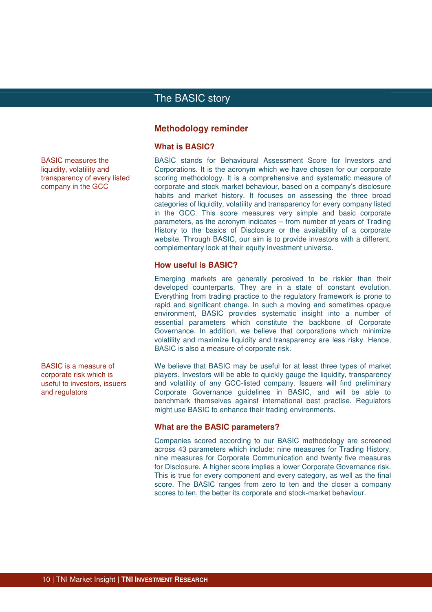#### **Methodology reminder**

#### **What is BASIC?**

BASIC stands for Behavioural Assessment Score for Investors and Corporations. It is the acronym which we have chosen for our corporate scoring methodology. It is a comprehensive and systematic measure of corporate and stock market behaviour, based on a company's disclosure habits and market history. It focuses on assessing the three broad categories of liquidity, volatility and transparency for every company listed in the GCC. This score measures very simple and basic corporate parameters, as the acronym indicates – from number of years of Trading History to the basics of Disclosure or the availability of a corporate website. Through BASIC, our aim is to provide investors with a different, complementary look at their equity investment universe.

#### **How useful is BASIC?**

Emerging markets are generally perceived to be riskier than their developed counterparts. They are in a state of constant evolution. Everything from trading practice to the regulatory framework is prone to rapid and significant change. In such a moving and sometimes opaque environment, BASIC provides systematic insight into a number of essential parameters which constitute the backbone of Corporate Governance. In addition, we believe that corporations which minimize volatility and maximize liquidity and transparency are less risky. Hence, BASIC is also a measure of corporate risk.

We believe that BASIC may be useful for at least three types of market players. Investors will be able to quickly gauge the liquidity, transparency and volatility of any GCC-listed company. Issuers will find preliminary Corporate Governance guidelines in BASIC, and will be able to benchmark themselves against international best practise. Regulators might use BASIC to enhance their trading environments.

#### **What are the BASIC parameters?**

Companies scored according to our BASIC methodology are screened across 43 parameters which include: nine measures for Trading History, nine measures for Corporate Communication and twenty five measures for Disclosure. A higher score implies a lower Corporate Governance risk. This is true for every component and every category, as well as the final score. The BASIC ranges from zero to ten and the closer a company scores to ten, the better its corporate and stock-market behaviour.

BASIC measures the liquidity, volatility and transparency of every listed company in the GCC

BASIC is a measure of corporate risk which is useful to investors, issuers and regulators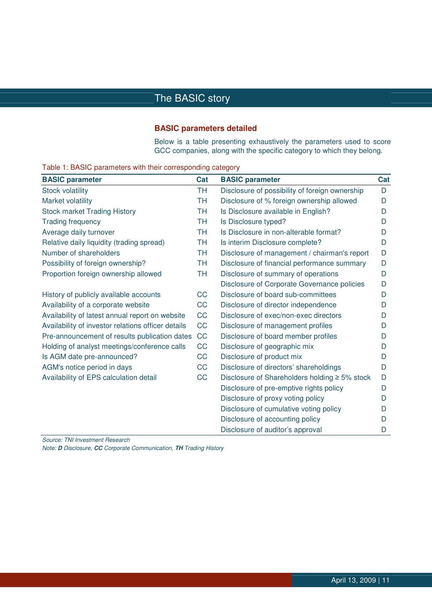#### **BASIC parameters detailed**

Below is a table presenting exhaustively the parameters used to score GCC companies, along with the specific category to which they belong.

| <b>BASIC parameter</b>                             | Cat       | <b>BASIC parameter</b>                              | Cat |
|----------------------------------------------------|-----------|-----------------------------------------------------|-----|
| <b>Stock volatility</b>                            | <b>TH</b> | Disclosure of possibility of foreign ownership      | D   |
| Market volatility                                  | <b>TH</b> | Disclosure of % foreign ownership allowed           | D   |
| <b>Stock market Trading History</b>                | <b>TH</b> | Is Disclosure available in English?                 | I)  |
| <b>Trading frequency</b>                           | <b>TH</b> | Is Disclosure typed?                                | D   |
| Average daily turnover                             | <b>TH</b> | Is Disclosure in non-alterable format?              | I)  |
| Relative daily liquidity (trading spread)          | <b>TH</b> | Is interim Disclosure complete?                     | D   |
| Number of shareholders                             | <b>TH</b> | Disclosure of management / chairman's report        | D   |
| Possibility of foreign ownership?                  | <b>TH</b> | Disclosure of financial performance summary         | D   |
| Proportion foreign ownership allowed               | <b>TH</b> | Disclosure of summary of operations                 | D   |
|                                                    |           | Disclosure of Corporate Governance policies         | D   |
| History of publicly available accounts             | CC        | Disclosure of board sub-committees                  | D   |
| Availability of a corporate website                | CC        | Disclosure of director independence                 | D   |
| Availability of latest annual report on website    | CC        | Disclosure of exec/non-exec directors               | D   |
| Availability of investor relations officer details | CC        | Disclosure of management profiles                   | D   |
| Pre-announcement of results publication dates      | CC        | Disclosure of board member profiles                 | D   |
| Holding of analyst meetings/conference calls       | CC        | Disclosure of geographic mix                        | D   |
| Is AGM date pre-announced?                         | CC        | Disclosure of product mix                           | D   |
| AGM's notice period in days                        | CC        | Disclosure of directors' shareholdings              | D   |
| Availability of EPS calculation detail             | CC        | Disclosure of Shareholders holding $\geq 5\%$ stock | D   |
|                                                    |           | Disclosure of pre-emptive rights policy             | D   |
|                                                    |           | Disclosure of proxy voting policy                   | D   |
|                                                    |           | Disclosure of cumulative voting policy              | D   |
|                                                    |           | Disclosure of accounting policy                     | D   |
|                                                    |           | Disclosure of auditor's approval                    | D   |

#### Table 1: BASIC parameters with their corresponding category

Source: TNI Investment Research

Note: **D** Disclosure, **CC** Corporate Communication, **TH** Trading History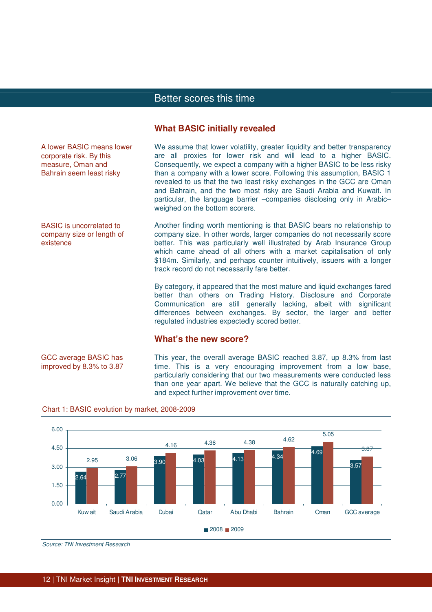#### **What BASIC initially revealed**

| A lower BASIC means lower<br>corporate risk. By this<br>measure, Oman and<br>Bahrain seem least risky | We assume that lower volatility, greater liquidity and better transparency<br>are all proxies for lower risk and will lead to a higher BASIC.<br>Consequently, we expect a company with a higher BASIC to be less risky<br>than a company with a lower score. Following this assumption, BASIC 1<br>revealed to us that the two least risky exchanges in the GCC are Oman<br>and Bahrain, and the two most risky are Saudi Arabia and Kuwait. In<br>particular, the language barrier -companies disclosing only in Arabic-<br>weighed on the bottom scorers. |
|-------------------------------------------------------------------------------------------------------|--------------------------------------------------------------------------------------------------------------------------------------------------------------------------------------------------------------------------------------------------------------------------------------------------------------------------------------------------------------------------------------------------------------------------------------------------------------------------------------------------------------------------------------------------------------|
| <b>BASIC</b> is uncorrelated to<br>company size or length of<br>existence                             | Another finding worth mentioning is that BASIC bears no relationship to<br>company size. In other words, larger companies do not necessarily score<br>better. This was particularly well illustrated by Arab Insurance Group<br>which came ahead of all others with a market capitalisation of only<br>\$184m. Similarly, and perhaps counter intuitively, issuers with a longer<br>track record do not necessarily fare better.                                                                                                                             |
|                                                                                                       | By category, it appeared that the most mature and liquid exchanges fared<br>better than others on Trading History. Disclosure and Corporate<br>Communication are still generally lacking, albeit with significant<br>differences between exchanges. By sector, the larger and better<br>regulated industries expectedly scored better.<br>What's the new score?                                                                                                                                                                                              |
| GCC average BASIC has<br>improved by 8.3% to 3.87                                                     | This year, the overall average BASIC reached 3.87, up 8.3% from last<br>time. This is a very encouraging improvement from a low base,<br>particularly considering that our two measurements were conducted less                                                                                                                                                                                                                                                                                                                                              |



and expect further improvement over time.

than one year apart. We believe that the GCC is naturally catching up,

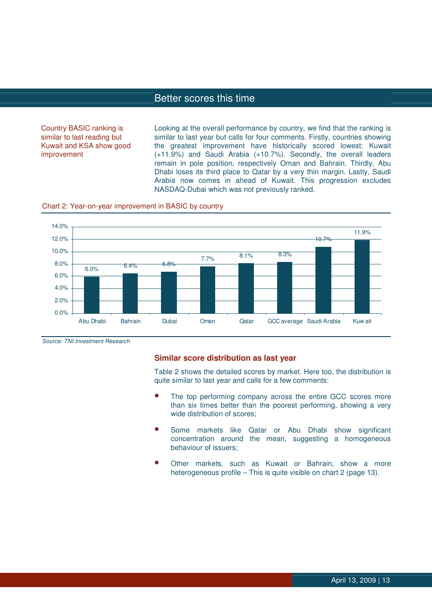Country BASIC ranking is similar to last reading but Kuwait and KSA show good improvement

Looking at the overall performance by country, we find that the ranking is similar to last year but calls for four comments. Firstly, countries showing the greatest improvement have historically scored lowest: Kuwait (+11.9%) and Saudi Arabia (+10.7%). Secondly, the overall leaders remain in pole position, respectively Oman and Bahrain. Thirdly, Abu Dhabi loses its third place to Qatar by a very thin margin. Lastly, Saudi Arabia now comes in ahead of Kuwait. This progression excludes NASDAQ-Dubai which was not previously ranked.





Source: TNI Investment Research

#### **Similar score distribution as last year**

Table 2 shows the detailed scores by market. Here too, the distribution is quite similar to last year and calls for a few comments:

- The top performing company across the entire GCC scores more than six times better than the poorest performing, showing a very wide distribution of scores;
- Some markets like Qatar or Abu Dhabi show significant concentration around the mean, suggesting a homogeneous behaviour of issuers;
- Other markets, such as Kuwait or Bahrain, show a more heterogeneous profile – This is quite visible on chart 2 (page 13).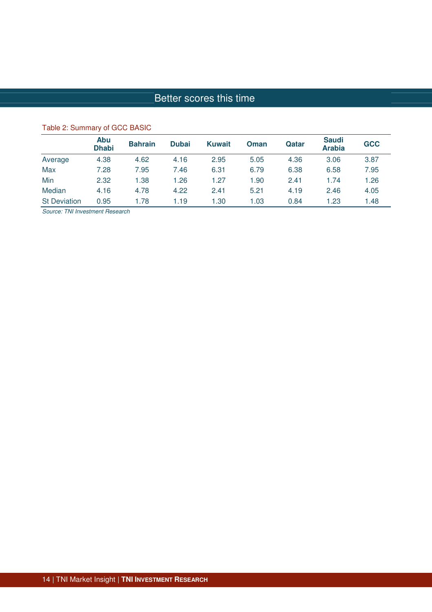|                     | Abu<br><b>Dhabi</b> | <b>Bahrain</b> | <b>Dubai</b> | <b>Kuwait</b> | <b>Oman</b> | Qatar | <b>Saudi</b><br><b>Arabia</b> | <b>GCC</b> |
|---------------------|---------------------|----------------|--------------|---------------|-------------|-------|-------------------------------|------------|
| Average             | 4.38                | 4.62           | 4.16         | 2.95          | 5.05        | 4.36  | 3.06                          | 3.87       |
| Max                 | 7.28                | 7.95           | 7.46         | 6.31          | 6.79        | 6.38  | 6.58                          | 7.95       |
| Min                 | 2.32                | 1.38           | 1.26         | 1.27          | 1.90        | 2.41  | 1.74                          | 1.26       |
| Median              | 4.16                | 4.78           | 4.22         | 2.41          | 5.21        | 4.19  | 2.46                          | 4.05       |
| <b>St Deviation</b> | 0.95                | 1.78           | 1.19         | 1.30          | 1.03        | 0.84  | 1.23                          | 1.48       |

## Table 2: Summary of GCC BASIC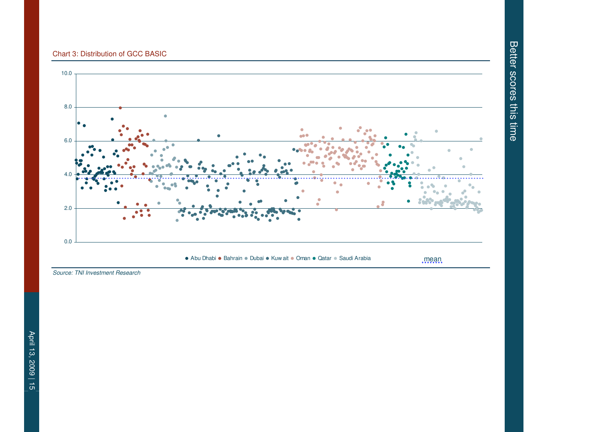#### Chart 3: Distribution of GCC BASIC



Source: TNI Investment Research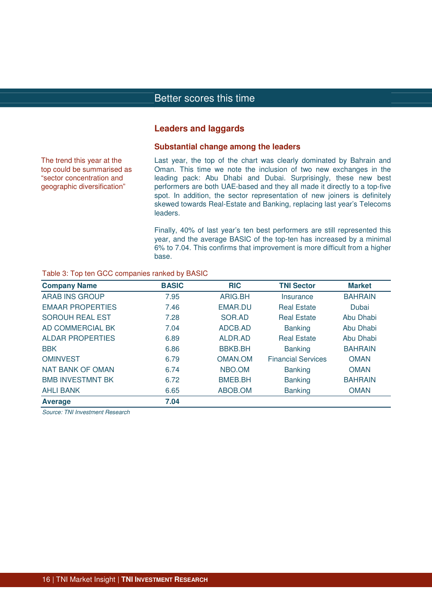#### **Leaders and laggards**

#### **Substantial change among the leaders**

The trend this year at the top could be summarised as "sector concentration and geographic diversification"

Last year, the top of the chart was clearly dominated by Bahrain and Oman. This time we note the inclusion of two new exchanges in the leading pack: Abu Dhabi and Dubai. Surprisingly, these new best performers are both UAE-based and they all made it directly to a top-five spot. In addition, the sector representation of new joiners is definitely skewed towards Real-Estate and Banking, replacing last year's Telecoms leaders.

Finally, 40% of last year's ten best performers are still represented this year, and the average BASIC of the top-ten has increased by a minimal 6% to 7.04. This confirms that improvement is more difficult from a higher base.

#### Table 3: Top ten GCC companies ranked by BASIC

| <b>Company Name</b>     | <b>BASIC</b> | <b>RIC</b>     | <b>TNI Sector</b>         | <b>Market</b>  |
|-------------------------|--------------|----------------|---------------------------|----------------|
| <b>ARAB INS GROUP</b>   | 7.95         | ARIG.BH        | Insurance                 | <b>BAHRAIN</b> |
| <b>EMAAR PROPERTIES</b> | 7.46         | <b>EMAR.DU</b> | <b>Real Estate</b>        | Dubai          |
| <b>SOROUH REAL EST</b>  | 7.28         | SOR.AD         | <b>Real Estate</b>        | Abu Dhabi      |
| AD COMMERCIAL BK        | 7.04         | ADCB.AD        | <b>Banking</b>            | Abu Dhabi      |
| <b>ALDAR PROPERTIES</b> | 6.89         | ALDR.AD        | <b>Real Estate</b>        | Abu Dhabi      |
| <b>BBK</b>              | 6.86         | <b>BBKB.BH</b> | <b>Banking</b>            | <b>BAHRAIN</b> |
| <b>OMINVEST</b>         | 6.79         | OMAN.OM        | <b>Financial Services</b> | <b>OMAN</b>    |
| <b>NAT BANK OF OMAN</b> | 6.74         | NBO.OM         | <b>Banking</b>            | <b>OMAN</b>    |
| <b>BMB INVESTMNT BK</b> | 6.72         | <b>BMEB.BH</b> | <b>Banking</b>            | <b>BAHRAIN</b> |
| <b>AHLI BANK</b>        | 6.65         | ABOB.OM        | <b>Banking</b>            | <b>OMAN</b>    |
| <b>Average</b>          | 7.04         |                |                           |                |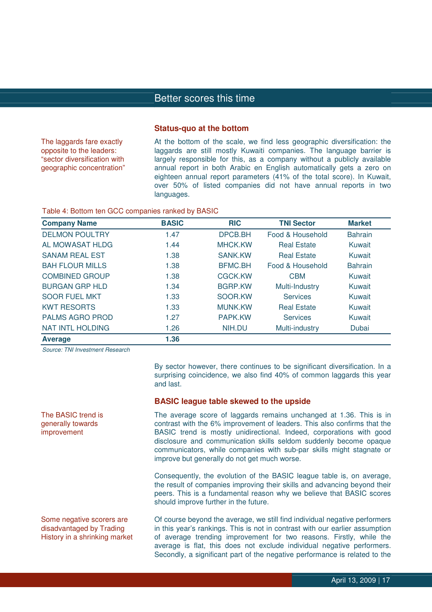#### **Status-quo at the bottom**

The laggards fare exactly opposite to the leaders: "sector diversification with geographic concentration" At the bottom of the scale, we find less geographic diversification: the laggards are still mostly Kuwaiti companies. The language barrier is largely responsible for this, as a company without a publicly available annual report in both Arabic en English automatically gets a zero on eighteen annual report parameters (41% of the total score). In Kuwait, over 50% of listed companies did not have annual reports in two languages.

#### Table 4: Bottom ten GCC companies ranked by BASIC

| <b>Company Name</b>     | <b>BASIC</b> | <b>RIC</b>     | <b>TNI Sector</b>  | <b>Market</b>  |
|-------------------------|--------------|----------------|--------------------|----------------|
| <b>DELMON POULTRY</b>   | 1.47         | DPCB.BH        | Food & Household   | <b>Bahrain</b> |
| AL MOWASAT HLDG         | 1.44         | <b>MHCK.KW</b> | <b>Real Estate</b> | Kuwait         |
| <b>SANAM REAL EST</b>   | 1.38         | <b>SANK.KW</b> | <b>Real Estate</b> | Kuwait         |
| <b>BAH FLOUR MILLS</b>  | 1.38         | <b>BFMC.BH</b> | Food & Household   | <b>Bahrain</b> |
| <b>COMBINED GROUP</b>   | 1.38         | CGCK.KW        | <b>CBM</b>         | Kuwait         |
| <b>BURGAN GRP HLD</b>   | 1.34         | <b>BGRP.KW</b> | Multi-Industry     | Kuwait         |
| <b>SOOR FUEL MKT</b>    | 1.33         | SOOR.KW        | <b>Services</b>    | Kuwait         |
| <b>KWT RESORTS</b>      | 1.33         | <b>MUNK.KW</b> | <b>Real Estate</b> | Kuwait         |
| <b>PALMS AGRO PROD</b>  | 1.27         | PAPK.KW        | <b>Services</b>    | Kuwait         |
| <b>NAT INTL HOLDING</b> | 1.26         | NIH.DU         | Multi-industry     | Dubai          |
| <b>Average</b>          | 1.36         |                |                    |                |

Source: TNI Investment Research

The BASIC trend is generally towards improvement

By sector however, there continues to be significant diversification. In a surprising coincidence, we also find 40% of common laggards this year and last.

#### **BASIC league table skewed to the upside**

The average score of laggards remains unchanged at 1.36. This is in contrast with the 6% improvement of leaders. This also confirms that the BASIC trend is mostly unidirectional. Indeed, corporations with good disclosure and communication skills seldom suddenly become opaque communicators, while companies with sub-par skills might stagnate or improve but generally do not get much worse.

Consequently, the evolution of the BASIC league table is, on average, the result of companies improving their skills and advancing beyond their peers. This is a fundamental reason why we believe that BASIC scores should improve further in the future.

Some negative scorers are disadvantaged by Trading History in a shrinking market Of course beyond the average, we still find individual negative performers in this year's rankings. This is not in contrast with our earlier assumption of average trending improvement for two reasons. Firstly, while the average is flat, this does not exclude individual negative performers. Secondly, a significant part of the negative performance is related to the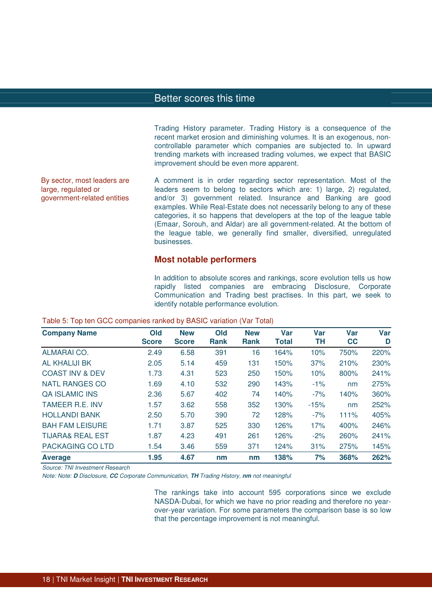Trading History parameter. Trading History is a consequence of the recent market erosion and diminishing volumes. It is an exogenous, noncontrollable parameter which companies are subjected to. In upward trending markets with increased trading volumes, we expect that BASIC improvement should be even more apparent.

By sector, most leaders are large, regulated or government-related entities

A comment is in order regarding sector representation. Most of the leaders seem to belong to sectors which are: 1) large, 2) regulated, and/or 3) government related. Insurance and Banking are good examples. While Real-Estate does not necessarily belong to any of these categories, it so happens that developers at the top of the league table (Emaar, Sorouh, and Aldar) are all government-related. At the bottom of the league table, we generally find smaller, diversified, unregulated businesses.

#### **Most notable performers**

In addition to absolute scores and rankings, score evolution tells us how rapidly listed companies are embracing Disclosure, Corporate Communication and Trading best practises. In this part, we seek to identify notable performance evolution.

| <b>Company Name</b>         | Old<br><b>Score</b> | <b>New</b><br><b>Score</b> | Old<br><b>Rank</b> | <b>New</b><br><b>Rank</b> | Var<br><b>Total</b> | Var<br>TН | Var<br><b>CC</b> | <b>Var</b><br>D |
|-----------------------------|---------------------|----------------------------|--------------------|---------------------------|---------------------|-----------|------------------|-----------------|
| <b>ALMARAI CO.</b>          | 2.49                | 6.58                       | 391                | 16                        | 164%                | 10%       | 750%             | 220%            |
| AL KHALIJI BK               | 2.05                | 5.14                       | 459                | 131                       | 150%                | 37%       | 210%             | 230%            |
| <b>COAST INV &amp; DEV</b>  | 1.73                | 4.31                       | 523                | 250                       | 150%                | 10%       | 800%             | 241%            |
| <b>NATL RANGES CO</b>       | 1.69                | 4.10                       | 532                | 290                       | 143%                | $-1%$     | nm               | 275%            |
| <b>QA ISLAMIC INS</b>       | 2.36                | 5.67                       | 402                | 74                        | 140%                | $-7%$     | 140%             | 360%            |
| <b>TAMEER R.E. INV</b>      | 1.57                | 3.62                       | 558                | 352                       | 130%                | $-15%$    | nm               | 252%            |
| <b>HOLLANDI BANK</b>        | 2.50                | 5.70                       | 390                | 72                        | 128%                | $-7%$     | 111%             | 405%            |
| <b>BAH FAM LEISURE</b>      | 1.71                | 3.87                       | 525                | 330                       | 126%                | 17%       | 400%             | 246%            |
| <b>TIJARA&amp; REAL EST</b> | 1.87                | 4.23                       | 491                | 261                       | 126%                | $-2%$     | 260%             | 241%            |
| PACKAGING CO LTD            | 1.54                | 3.46                       | 559                | 371                       | 124%                | 31%       | 275%             | 145%            |
| <b>Average</b>              | 1.95                | 4.67                       | nm                 | nm                        | 138%                | 7%        | 368%             | 262%            |

#### Table 5: Top ten GCC companies ranked by BASIC variation (Var Total)

Source: TNI Investment Research

Note: Note: **D** Disclosure, **CC** Corporate Communication, **TH** Trading History, **nm** not meaningful

The rankings take into account 595 corporations since we exclude NASDA-Dubai, for which we have no prior reading and therefore no yearover-year variation. For some parameters the comparison base is so low that the percentage improvement is not meaningful.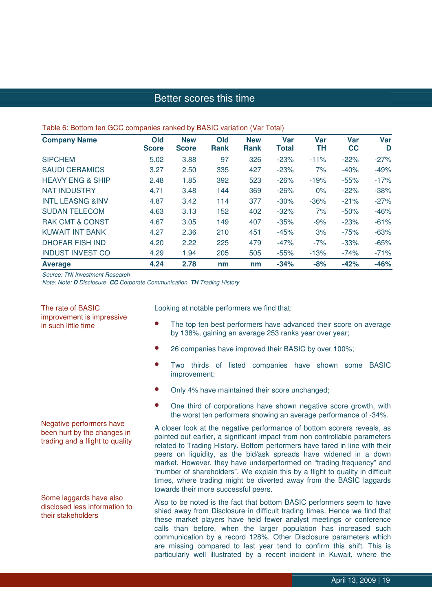#### Table 6: Bottom ten GCC companies ranked by BASIC variation (Var Total)

| <b>Company Name</b>         | Old          | <b>New</b>   | Old         | <b>New</b>  | <b>Var</b>   | <b>Var</b> | <b>Var</b> | <b>Var</b> |
|-----------------------------|--------------|--------------|-------------|-------------|--------------|------------|------------|------------|
|                             | <b>Score</b> | <b>Score</b> | <b>Rank</b> | <b>Rank</b> | <b>Total</b> | TН         | cc         | D          |
| <b>SIPCHEM</b>              | 5.02         | 3.88         | 97          | 326         | $-23%$       | $-11%$     | $-22%$     | $-27%$     |
| <b>SAUDI CERAMICS</b>       | 3.27         | 2.50         | 335         | 427         | $-23%$       | 7%         | $-40%$     | $-49%$     |
| <b>HEAVY ENG &amp; SHIP</b> | 2.48         | 1.85         | 392         | 523         | $-26%$       | $-19%$     | $-55%$     | $-17%$     |
| <b>NAT INDUSTRY</b>         | 4.71         | 3.48         | 144         | 369         | $-26%$       | $0\%$      | $-22%$     | $-38%$     |
| <b>INTL LEASNG &amp;INV</b> | 4.87         | 3.42         | 114         | 377         | $-30%$       | $-36%$     | $-21%$     | $-27%$     |
| <b>SUDAN TELECOM</b>        | 4.63         | 3.13         | 152         | 402         | $-32%$       | 7%         | $-50%$     | $-46%$     |
| <b>RAK CMT &amp; CONST</b>  | 4.67         | 3.05         | 149         | 407         | $-35%$       | $-9%$      | $-23%$     | $-61%$     |
| KUWAIT INT BANK             | 4.27         | 2.36         | 210         | 451         | $-45%$       | 3%         | $-75%$     | $-63%$     |
| <b>DHOFAR FISH IND</b>      | 4.20         | 2.22         | 225         | 479         | $-47%$       | $-7%$      | $-33%$     | $-65%$     |
| <b>INDUST INVEST CO</b>     | 4.29         | 1.94         | 205         | 505         | $-55%$       | $-13%$     | $-74%$     | $-71%$     |
| <b>Average</b>              | 4.24         | 2.78         | nm          | nm          | $-34%$       | $-8%$      | $-42%$     | $-46%$     |

Source: TNI Investment Research

Note: Note: **D** Disclosure, **CC** Corporate Communication, **TH** Trading History

The rate of BASIC improvement is impressive in such little time

The top ten best performers have advanced their score on average

Looking at notable performers we find that:

- by 138%, gaining an average 253 ranks year over year;
- 26 companies have improved their BASIC by over 100%;
- Two thirds of listed companies have shown some BASIC improvement;
- Only 4% have maintained their score unchanged;
- One third of corporations have shown negative score growth, with the worst ten performers showing an average performance of -34%.

A closer look at the negative performance of bottom scorers reveals, as pointed out earlier, a significant impact from non controllable parameters related to Trading History. Bottom performers have fared in line with their peers on liquidity, as the bid/ask spreads have widened in a down market. However, they have underperformed on "trading frequency" and "number of shareholders". We explain this by a flight to quality in difficult times, where trading might be diverted away from the BASIC laggards towards their more successful peers.

Also to be noted is the fact that bottom BASIC performers seem to have shied away from Disclosure in difficult trading times. Hence we find that these market players have held fewer analyst meetings or conference calls than before, when the larger population has increased such communication by a record 128%. Other Disclosure parameters which are missing compared to last year tend to confirm this shift. This is particularly well illustrated by a recent incident in Kuwait, where the

Negative performers have been hurt by the changes in trading and a flight to quality

Some laggards have also disclosed less information to their stakeholders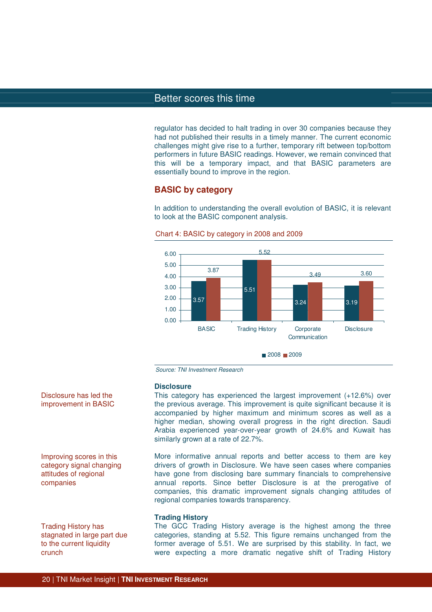regulator has decided to halt trading in over 30 companies because they had not published their results in a timely manner. The current economic challenges might give rise to a further, temporary rift between top/bottom performers in future BASIC readings. However, we remain convinced that this will be a temporary impact, and that BASIC parameters are essentially bound to improve in the region.

#### **BASIC by category**

In addition to understanding the overall evolution of BASIC, it is relevant to look at the BASIC component analysis.





Source: TNI Investment Research

#### **Disclosure**

This category has experienced the largest improvement (+12.6%) over the previous average. This improvement is quite significant because it is accompanied by higher maximum and minimum scores as well as a higher median, showing overall progress in the right direction. Saudi Arabia experienced year-over-year growth of 24.6% and Kuwait has similarly grown at a rate of 22.7%.

More informative annual reports and better access to them are key drivers of growth in Disclosure. We have seen cases where companies have gone from disclosing bare summary financials to comprehensive annual reports. Since better Disclosure is at the prerogative of companies, this dramatic improvement signals changing attitudes of regional companies towards transparency.

#### **Trading History**

The GCC Trading History average is the highest among the three categories, standing at 5.52. This figure remains unchanged from the former average of 5.51. We are surprised by this stability. In fact, we were expecting a more dramatic negative shift of Trading History

Disclosure has led the improvement in BASIC

Improving scores in this category signal changing attitudes of regional companies

Trading History has stagnated in large part due to the current liquidity crunch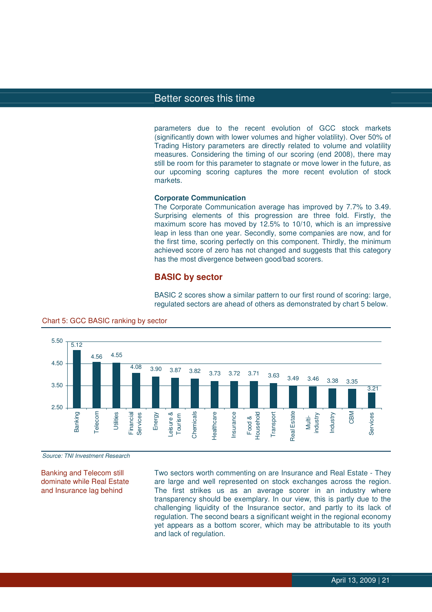parameters due to the recent evolution of GCC stock markets (significantly down with lower volumes and higher volatility). Over 50% of Trading History parameters are directly related to volume and volatility measures. Considering the timing of our scoring (end 2008), there may still be room for this parameter to stagnate or move lower in the future, as our upcoming scoring captures the more recent evolution of stock markets.

#### **Corporate Communication**

The Corporate Communication average has improved by 7.7% to 3.49. Surprising elements of this progression are three fold. Firstly, the maximum score has moved by 12.5% to 10/10, which is an impressive leap in less than one year. Secondly, some companies are now, and for the first time, scoring perfectly on this component. Thirdly, the minimum achieved score of zero has not changed and suggests that this category has the most divergence between good/bad scorers.

#### **BASIC by sector**

BASIC 2 scores show a similar pattern to our first round of scoring: large, regulated sectors are ahead of others as demonstrated by chart 5 below.



#### Chart 5: GCC BASIC ranking by sector

Source: TNI Investment Research

Banking and Telecom still dominate while Real Estate and Insurance lag behind

Two sectors worth commenting on are Insurance and Real Estate - They are large and well represented on stock exchanges across the region. The first strikes us as an average scorer in an industry where transparency should be exemplary. In our view, this is partly due to the challenging liquidity of the Insurance sector, and partly to its lack of regulation. The second bears a significant weight in the regional economy yet appears as a bottom scorer, which may be attributable to its youth and lack of regulation.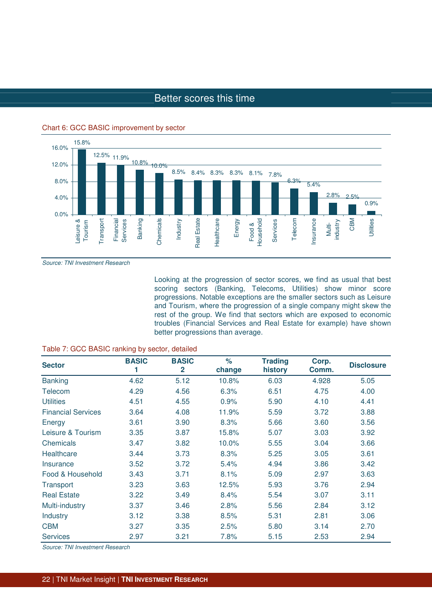

Chart 6: GCC BASIC improvement by sector

Source: TNI Investment Research

Looking at the progression of sector scores, we find as usual that best scoring sectors (Banking, Telecoms, Utilities) show minor score progressions. Notable exceptions are the smaller sectors such as Leisure and Tourism, where the progression of a single company might skew the rest of the group. We find that sectors which are exposed to economic troubles (Financial Services and Real Estate for example) have shown better progressions than average.

| <b>Sector</b>             | <b>BASIC</b> | <b>BASIC</b><br>$\mathbf{2}$ | $\%$<br>change | <b>Trading</b><br>history | Corp.<br>Comm. | <b>Disclosure</b> |
|---------------------------|--------------|------------------------------|----------------|---------------------------|----------------|-------------------|
| <b>Banking</b>            | 4.62         | 5.12                         | 10.8%          | 6.03                      | 4.928          | 5.05              |
| Telecom                   | 4.29         | 4.56                         | 6.3%           | 6.51                      | 4.75           | 4.00              |
| <b>Utilities</b>          | 4.51         | 4.55                         | 0.9%           | 5.90                      | 4.10           | 4.41              |
| <b>Financial Services</b> | 3.64         | 4.08                         | 11.9%          | 5.59                      | 3.72           | 3.88              |
| Energy                    | 3.61         | 3.90                         | 8.3%           | 5.66                      | 3.60           | 3.56              |
| Leisure & Tourism         | 3.35         | 3.87                         | 15.8%          | 5.07                      | 3.03           | 3.92              |
| Chemicals                 | 3.47         | 3.82                         | 10.0%          | 5.55                      | 3.04           | 3.66              |
| Healthcare                | 3.44         | 3.73                         | 8.3%           | 5.25                      | 3.05           | 3.61              |
| <b>Insurance</b>          | 3.52         | 3.72                         | 5.4%           | 4.94                      | 3.86           | 3.42              |
| Food & Household          | 3.43         | 3.71                         | 8.1%           | 5.09                      | 2.97           | 3.63              |
| Transport                 | 3.23         | 3.63                         | 12.5%          | 5.93                      | 3.76           | 2.94              |
| <b>Real Estate</b>        | 3.22         | 3.49                         | 8.4%           | 5.54                      | 3.07           | 3.11              |
| Multi-industry            | 3.37         | 3.46                         | 2.8%           | 5.56                      | 2.84           | 3.12              |
| Industry                  | 3.12         | 3.38                         | 8.5%           | 5.31                      | 2.81           | 3.06              |
| <b>CBM</b>                | 3.27         | 3.35                         | 2.5%           | 5.80                      | 3.14           | 2.70              |
| <b>Services</b>           | 2.97         | 3.21                         | 7.8%           | 5.15                      | 2.53           | 2.94              |

#### Table 7: GCC BASIC ranking by sector, detailed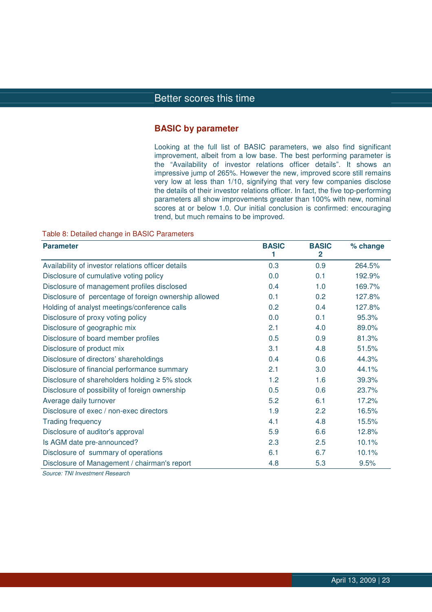#### **BASIC by parameter**

Looking at the full list of BASIC parameters, we also find significant improvement, albeit from a low base. The best performing parameter is the "Availability of investor relations officer details". It shows an impressive jump of 265%. However the new, improved score still remains very low at less than 1/10, signifying that very few companies disclose the details of their investor relations officer. In fact, the five top-performing parameters all show improvements greater than 100% with new, nominal scores at or below 1.0. Our initial conclusion is confirmed: encouraging trend, but much remains to be improved.

Table 8: Detailed change in BASIC Parameters

| <b>Parameter</b>                                      | <b>BASIC</b><br>1 | <b>BASIC</b><br>$\mathbf{2}$ | % change |
|-------------------------------------------------------|-------------------|------------------------------|----------|
| Availability of investor relations officer details    | 0.3               | 0.9                          | 264.5%   |
| Disclosure of cumulative voting policy                | 0.0               | 0.1                          | 192.9%   |
| Disclosure of management profiles disclosed           | 0.4               | 1.0                          | 169.7%   |
| Disclosure of percentage of foreign ownership allowed | 0.1               | 0.2                          | 127.8%   |
| Holding of analyst meetings/conference calls          | 0.2               | 0.4                          | 127.8%   |
| Disclosure of proxy voting policy                     | 0.0               | 0.1                          | 95.3%    |
| Disclosure of geographic mix                          | 2.1               | 4.0                          | 89.0%    |
| Disclosure of board member profiles                   | 0.5               | 0.9                          | 81.3%    |
| Disclosure of product mix                             | 3.1               | 4.8                          | 51.5%    |
| Disclosure of directors' shareholdings                | 0.4               | 0.6                          | 44.3%    |
| Disclosure of financial performance summary           | 2.1               | 3.0                          | 44.1%    |
| Disclosure of shareholders holding $\geq$ 5% stock    | 1.2               | 1.6                          | 39.3%    |
| Disclosure of possibility of foreign ownership        | 0.5               | 0.6                          | 23.7%    |
| Average daily turnover                                | 5.2               | 6.1                          | 17.2%    |
| Disclosure of exec / non-exec directors               | 1.9               | 2.2                          | 16.5%    |
| <b>Trading frequency</b>                              | 4.1               | 4.8                          | 15.5%    |
| Disclosure of auditor's approval                      | 5.9               | 6.6                          | 12.8%    |
| Is AGM date pre-announced?                            | 2.3               | 2.5                          | 10.1%    |
| Disclosure of summary of operations                   | 6.1               | 6.7                          | 10.1%    |
| Disclosure of Management / chairman's report          | 4.8               | 5.3                          | 9.5%     |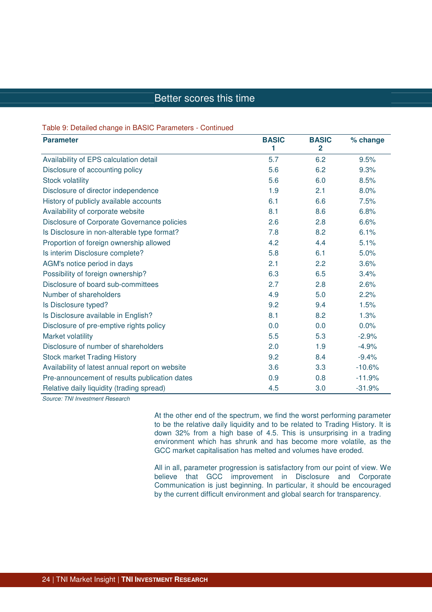#### Table 9: Detailed change in BASIC Parameters - Continued

| <b>Parameter</b>                                | <b>BASIC</b><br>1 | <b>BASIC</b><br>$\overline{2}$ | % change |
|-------------------------------------------------|-------------------|--------------------------------|----------|
| Availability of EPS calculation detail          | 5.7               | 6.2                            | 9.5%     |
| Disclosure of accounting policy                 | 5.6               | 6.2                            | 9.3%     |
| <b>Stock volatility</b>                         | 5.6               | 6.0                            | 8.5%     |
| Disclosure of director independence             | 1.9               | 2.1                            | 8.0%     |
| History of publicly available accounts          | 6.1               | 6.6                            | 7.5%     |
| Availability of corporate website               | 8.1               | 8.6                            | 6.8%     |
| Disclosure of Corporate Governance policies     | 2.6               | 2.8                            | 6.6%     |
| Is Disclosure in non-alterable type format?     | 7.8               | 8.2                            | 6.1%     |
| Proportion of foreign ownership allowed         | 4.2               | 4.4                            | 5.1%     |
| Is interim Disclosure complete?                 | 5.8               | 6.1                            | 5.0%     |
| AGM's notice period in days                     | 2.1               | 2.2                            | 3.6%     |
| Possibility of foreign ownership?               | 6.3               | 6.5                            | 3.4%     |
| Disclosure of board sub-committees              | 2.7               | 2.8                            | 2.6%     |
| Number of shareholders                          | 4.9               | 5.0                            | 2.2%     |
| Is Disclosure typed?                            | 9.2               | 9.4                            | 1.5%     |
| Is Disclosure available in English?             | 8.1               | 8.2                            | 1.3%     |
| Disclosure of pre-emptive rights policy         | 0.0               | 0.0                            | 0.0%     |
| Market volatility                               | 5.5               | 5.3                            | $-2.9%$  |
| Disclosure of number of shareholders            | 2.0               | 1.9                            | $-4.9%$  |
| <b>Stock market Trading History</b>             | 9.2               | 8.4                            | $-9.4%$  |
| Availability of latest annual report on website | 3.6               | 3.3                            | $-10.6%$ |
| Pre-announcement of results publication dates   | 0.9               | 0.8                            | $-11.9%$ |
| Relative daily liquidity (trading spread)       | 4.5               | 3.0                            | $-31.9%$ |

Source: TNI Investment Research

At the other end of the spectrum, we find the worst performing parameter to be the relative daily liquidity and to be related to Trading History. It is down 32% from a high base of 4.5. This is unsurprising in a trading environment which has shrunk and has become more volatile, as the GCC market capitalisation has melted and volumes have eroded.

All in all, parameter progression is satisfactory from our point of view. We believe that GCC improvement in Disclosure and Corporate Communication is just beginning. In particular, it should be encouraged by the current difficult environment and global search for transparency.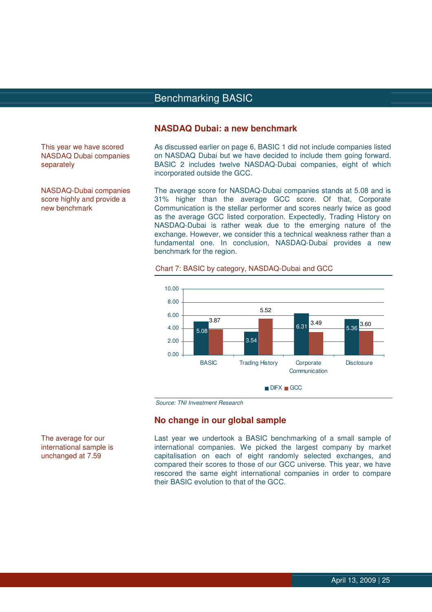## Benchmarking BASIC BASIC

**NASDAQ Dubai: a new benchmark** 

As discussed earlier on page 6, BASIC 1 did not include companies listed on NASDAQ Dubai but we have decided to include them going forward. BASIC 2 includes twelve NASDAQ-Dubai companies, eight of which incorporated outside the GCC.

The average score for NASDAQ-Dubai companies stands at 5.08 and is 31% higher than the average GCC score. Of that, Corporate Communication is the stellar performer and scores nearly twice as good as the average GCC listed corporation. Expectedly, Trading History on NASDAQ-Dubai is rather weak due to the emerging nature of the exchange. However, we consider this a technical weakness rather than a fundamental one. In conclusion, NASDAQ-Dubai provides a new benchmark for the region.



#### Chart 7: BASIC by category, NASDAQ-Dubai and GCC

Source: TNI Investment Research

#### **No change in our global sample**

Last year we undertook a BASIC benchmarking of a small sample of international companies. We picked the largest company by market capitalisation on each of eight randomly selected exchanges, and compared their scores to those of our GCC universe. This year, we have rescored the same eight international companies in order to compare their BASIC evolution to that of the GCC.

This year we have scored NASDAQ Dubai companies separately

NASDAQ-Dubai companies score highly and provide a new benchmark

The average for our international sample is unchanged at 7.59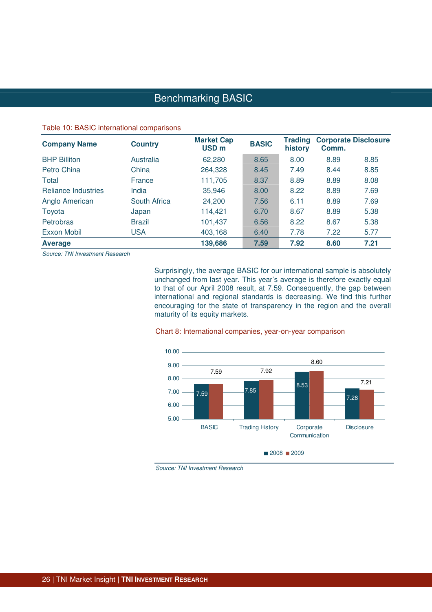# Benchmarking BASIC

#### Table 10: BASIC international comparisons

| <b>Company Name</b>        | <b>Country</b> | <b>Market Cap</b><br>USD <sub>m</sub> | <b>BASIC</b> | <b>Trading</b><br>history | Comm. | <b>Corporate Disclosure</b> |
|----------------------------|----------------|---------------------------------------|--------------|---------------------------|-------|-----------------------------|
| <b>BHP Billiton</b>        | Australia      | 62,280                                | 8.65         | 8.00                      | 8.89  | 8.85                        |
| Petro China                | China          | 264,328                               | 8.45         | 7.49                      | 8.44  | 8.85                        |
| Total                      | France         | 111,705                               | 8.37         | 8.89                      | 8.89  | 8.08                        |
| <b>Reliance Industries</b> | India          | 35,946                                | 8.00         | 8.22                      | 8.89  | 7.69                        |
| Anglo American             | South Africa   | 24,200                                | 7.56         | 6.11                      | 8.89  | 7.69                        |
| Toyota                     | Japan          | 114,421                               | 6.70         | 8.67                      | 8.89  | 5.38                        |
| Petrobras                  | <b>Brazil</b>  | 101,437                               | 6.56         | 8.22                      | 8.67  | 5.38                        |
| Exxon Mobil                | <b>USA</b>     | 403,168                               | 6.40         | 7.78                      | 7.22  | 5.77                        |
| <b>Average</b>             |                | 139,686                               | 7.59         | 7.92                      | 8.60  | 7.21                        |

Source: TNI Investment Research

Surprisingly, the average BASIC for our international sample is absolutely unchanged from last year. This year's average is therefore exactly equal to that of our April 2008 result, at 7.59. Consequently, the gap between international and regional standards is decreasing. We find this further encouraging for the state of transparency in the region and the overall maturity of its equity markets.



#### Chart 8: International companies, year-on-year comparison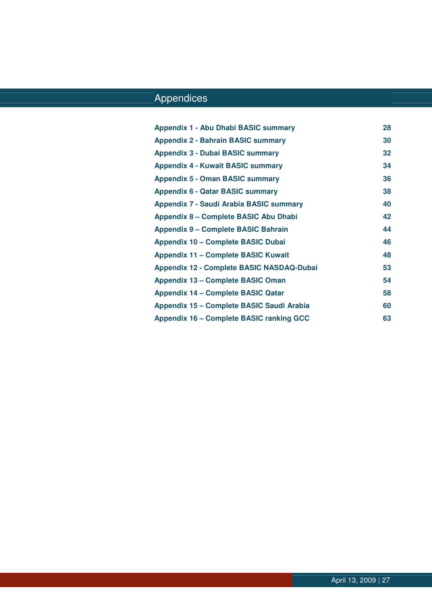# **Appendices**

| Appendix 1 - Abu Dhabi BASIC summary             | 28 |
|--------------------------------------------------|----|
| <b>Appendix 2 - Bahrain BASIC summary</b>        | 30 |
| <b>Appendix 3 - Dubai BASIC summary</b>          | 32 |
| <b>Appendix 4 - Kuwait BASIC summary</b>         | 34 |
| <b>Appendix 5 - Oman BASIC summary</b>           | 36 |
| <b>Appendix 6 - Qatar BASIC summary</b>          | 38 |
| Appendix 7 - Saudi Arabia BASIC summary          | 40 |
| Appendix 8 - Complete BASIC Abu Dhabi            | 42 |
| <b>Appendix 9 – Complete BASIC Bahrain</b>       | 44 |
| Appendix 10 - Complete BASIC Dubai               | 46 |
| <b>Appendix 11 - Complete BASIC Kuwait</b>       | 48 |
| <b>Appendix 12 - Complete BASIC NASDAQ-Dubai</b> | 53 |
| <b>Appendix 13 – Complete BASIC Oman</b>         | 54 |
| <b>Appendix 14 - Complete BASIC Qatar</b>        | 58 |
| Appendix 15 – Complete BASIC Saudi Arabia        | 60 |
| <b>Appendix 16 - Complete BASIC ranking GCC</b>  | 63 |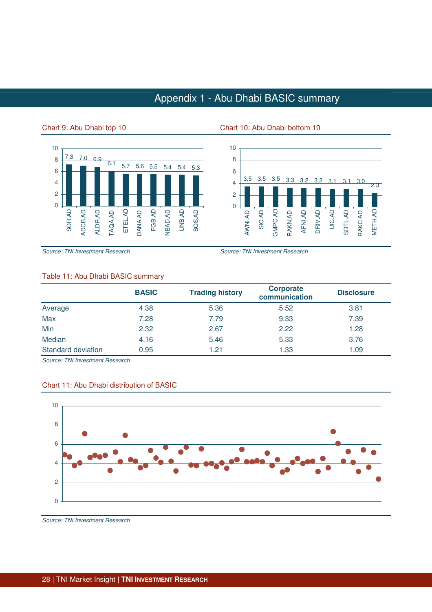# Appendix 1 - Abu Dhabi BASIC summary

#### Chart 9: Abu Dhabi top 10 Chart 10: Abu Dhabi bottom 10





Source: TNI Investment Research Source: TNI Investment Research

#### Table 11: Abu Dhabi BASIC summary

|                    | <b>BASIC</b> | <b>Trading history</b> | <b>Corporate</b><br>communication | <b>Disclosure</b> |
|--------------------|--------------|------------------------|-----------------------------------|-------------------|
| Average            | 4.38         | 5.36                   | 5.52                              | 3.81              |
| Max                | 7.28         | 7.79                   | 9.33                              | 7.39              |
| Min                | 2.32         | 2.67                   | 2.22                              | 1.28              |
| Median             | 4.16         | 5.46                   | 5.33                              | 3.76              |
| Standard deviation | 0.95         | 1.21                   | 1.33                              | 1.09              |

Source: TNI Investment Research



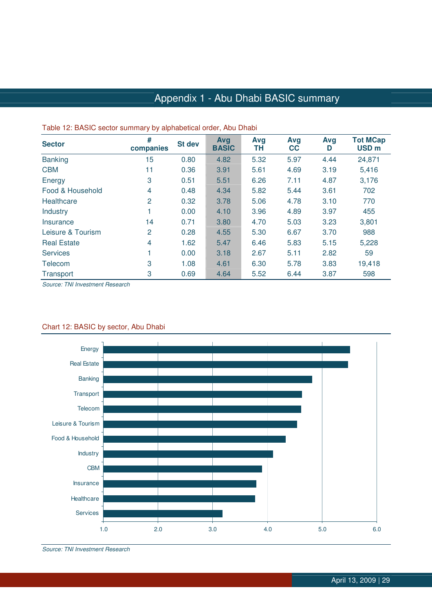# Appendix 1 - Abu Dhabi BASIC summary

| <b>Sector</b>      | #<br>companies | St dev | Avg<br><b>BASIC</b> | Avg<br>TΗ | Avg<br>cc | Avg<br>D | <b>Tot MCap</b><br>USD <sub>m</sub> |
|--------------------|----------------|--------|---------------------|-----------|-----------|----------|-------------------------------------|
| <b>Banking</b>     | 15             | 0.80   | 4.82                | 5.32      | 5.97      | 4.44     | 24,871                              |
| <b>CBM</b>         | 11             | 0.36   | 3.91                | 5.61      | 4.69      | 3.19     | 5,416                               |
| Energy             | 3              | 0.51   | 5.51                | 6.26      | 7.11      | 4.87     | 3,176                               |
| Food & Household   | 4              | 0.48   | 4.34                | 5.82      | 5.44      | 3.61     | 702                                 |
| Healthcare         | 2              | 0.32   | 3.78                | 5.06      | 4.78      | 3.10     | 770                                 |
| <b>Industry</b>    |                | 0.00   | 4.10                | 3.96      | 4.89      | 3.97     | 455                                 |
| Insurance          | 14             | 0.71   | 3.80                | 4.70      | 5.03      | 3.23     | 3,801                               |
| Leisure & Tourism  | 2              | 0.28   | 4.55                | 5.30      | 6.67      | 3.70     | 988                                 |
| <b>Real Estate</b> | 4              | 1.62   | 5.47                | 6.46      | 5.83      | 5.15     | 5,228                               |
| <b>Services</b>    |                | 0.00   | 3.18                | 2.67      | 5.11      | 2.82     | 59                                  |
| Telecom            | 3              | 1.08   | 4.61                | 6.30      | 5.78      | 3.83     | 19,418                              |
| Transport          | 3              | 0.69   | 4.64                | 5.52      | 6.44      | 3.87     | 598                                 |

#### Table 12: BASIC sector summary by alphabetical order, Abu Dhabi

Source: TNI Investment Research



## Chart 12: BASIC by sector, Abu Dhabi

Source: TNI Investment Research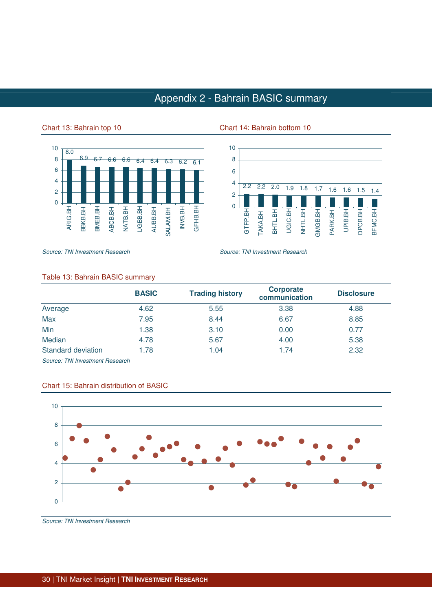# Appendix 2 - Bahrain BASIC summary

#### Chart 13: Bahrain top 10 Chart 14: Bahrain bottom 10



2.2 2.2 2.0 1.9 1.8 1.7 1.6 1.6 1.5 1.4  $\Omega$ 2 4 6 8 10 GTFP.BH TAKA.BH BHTL.BH UGIC.BH NHTL.BH GMGB.BH PARK.BH UPIB.BH DPCB.BH BFMC.BH

Source: TNI Investment Research Source: TNI Investment Research

#### Table 13: Bahrain BASIC summary

|                    | <b>BASIC</b> | <b>Trading history</b> | <b>Corporate</b><br>communication | <b>Disclosure</b> |
|--------------------|--------------|------------------------|-----------------------------------|-------------------|
| Average            | 4.62         | 5.55                   | 3.38                              | 4.88              |
| Max                | 7.95         | 8.44                   | 6.67                              | 8.85              |
| Min                | 1.38         | 3.10                   | 0.00                              | 0.77              |
| Median             | 4.78         | 5.67                   | 4.00                              | 5.38              |
| Standard deviation | 1.78         | 1.04                   | 1.74                              | 2.32              |

Source: TNI Investment Research



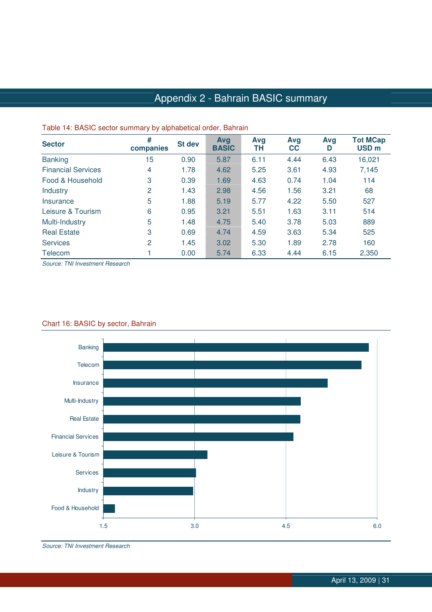# Appendix 2 - Bahrain BASIC summary

| $\frac{1}{2}$ and $\frac{1}{2}$ and $\frac{1}{2}$ are also to the continuous property of $\frac{1}{2}$ and $\frac{1}{2}$ and $\frac{1}{2}$ and $\frac{1}{2}$ |                  |        |                            |           |                  |          |                                     |
|--------------------------------------------------------------------------------------------------------------------------------------------------------------|------------------|--------|----------------------------|-----------|------------------|----------|-------------------------------------|
| <b>Sector</b>                                                                                                                                                | #<br>companies   | St dev | <b>Avg</b><br><b>BASIC</b> | Avg<br>ΤН | Avg<br><b>CC</b> | Avg<br>D | <b>Tot MCap</b><br>USD <sub>m</sub> |
| <b>Banking</b>                                                                                                                                               | 15 <sub>15</sub> | 0.90   | 5.87                       | 6.11      | 4.44             | 6.43     | 16,021                              |
| <b>Financial Services</b>                                                                                                                                    | 4                | 1.78   | 4.62                       | 5.25      | 3.61             | 4.93     | 7,145                               |
| Food & Household                                                                                                                                             | 3                | 0.39   | 1.69                       | 4.63      | 0.74             | 1.04     | 114                                 |
| <b>Industry</b>                                                                                                                                              | 2                | 1.43   | 2.98                       | 4.56      | 1.56             | 3.21     | 68                                  |
| Insurance                                                                                                                                                    | 5                | 1.88   | 5.19                       | 5.77      | 4.22             | 5.50     | 527                                 |
| Leisure & Tourism                                                                                                                                            | 6                | 0.95   | 3.21                       | 5.51      | 1.63             | 3.11     | 514                                 |
| Multi-Industry                                                                                                                                               | 5                | 1.48   | 4.75                       | 5.40      | 3.78             | 5.03     | 889                                 |
| <b>Real Estate</b>                                                                                                                                           | 3                | 0.69   | 4.74                       | 4.59      | 3.63             | 5.34     | 525                                 |
| <b>Services</b>                                                                                                                                              | 2                | 1.45   | 3.02                       | 5.30      | 1.89             | 2.78     | 160                                 |
| Telecom                                                                                                                                                      |                  | 0.00   | 5.74                       | 6.33      | 4.44             | 6.15     | 2,350                               |

#### Table 14: BASIC sector summary by alphabetical order, Bahrain

Source: TNI Investment Research



#### Chart 16: BASIC by sector, Bahrain

Source: TNI Investment Research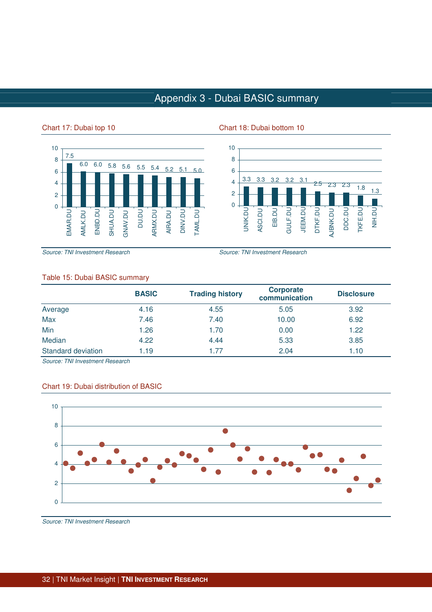# Appendix 3 - Dubai BASIC summary

 $\Omega$ 

UNIK.DU ASCI.DU

#### Chart 17: Dubai top 10 Chart 18: Dubai bottom 10



Source: TNI Investment Research Source: TNI Investment Research

**3.3 3.3 3.2 3.2 3.1 2.5 2.3 2.3 1.8 1.3** 2 4 6 8

> JEEM.DU DTKF.DU

AJBNK.DU

DDC.DU TKFE.DU NIH.DU

10

EIB.DU GULF.DU

#### Table 15: Dubai BASIC summary

|                    | <b>BASIC</b> | <b>Trading history</b> | <b>Corporate</b><br>communication | <b>Disclosure</b> |
|--------------------|--------------|------------------------|-----------------------------------|-------------------|
| Average            | 4.16         | 4.55                   | 5.05                              | 3.92              |
| Max                | 7.46         | 7.40                   | 10.00                             | 6.92              |
| Min                | 1.26         | 1.70                   | 0.00                              | 1.22              |
| Median             | 4.22         | 4.44                   | 5.33                              | 3.85              |
| Standard deviation | 1.19         | 1.77                   | 2.04                              | 1.10              |

Source: TNI Investment Research

#### Chart 19: Dubai distribution of BASIC

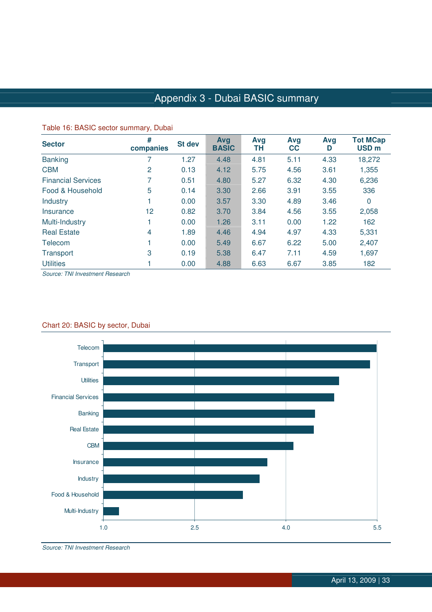# Appendix 3 - Dubai BASIC summary

| $\frac{1}{2}$ and $\frac{1}{2}$ and $\frac{1}{2}$ are solved to the continuous $\frac{1}{2}$ and $\frac{1}{2}$ |                |        |                     |           |                  |          |                                     |
|----------------------------------------------------------------------------------------------------------------|----------------|--------|---------------------|-----------|------------------|----------|-------------------------------------|
| <b>Sector</b>                                                                                                  | #<br>companies | St dev | Avg<br><b>BASIC</b> | Avg<br>TΗ | Avg<br><b>CC</b> | Avg<br>D | <b>Tot MCap</b><br>USD <sub>m</sub> |
| <b>Banking</b>                                                                                                 |                | 1.27   | 4.48                | 4.81      | 5.11             | 4.33     | 18,272                              |
| <b>CBM</b>                                                                                                     | 2              | 0.13   | 4.12                | 5.75      | 4.56             | 3.61     | 1,355                               |
| <b>Financial Services</b>                                                                                      |                | 0.51   | 4.80                | 5.27      | 6.32             | 4.30     | 6,236                               |
| Food & Household                                                                                               | 5              | 0.14   | 3.30                | 2.66      | 3.91             | 3.55     | 336                                 |
| <b>Industry</b>                                                                                                |                | 0.00   | 3.57                | 3.30      | 4.89             | 3.46     | $\mathbf 0$                         |
| <b>Insurance</b>                                                                                               | 12             | 0.82   | 3.70                | 3.84      | 4.56             | 3.55     | 2,058                               |
| Multi-Industry                                                                                                 |                | 0.00   | 1.26                | 3.11      | 0.00             | 1.22     | 162                                 |
| <b>Real Estate</b>                                                                                             | 4              | 1.89   | 4.46                | 4.94      | 4.97             | 4.33     | 5,331                               |
| Telecom                                                                                                        |                | 0.00   | 5.49                | 6.67      | 6.22             | 5.00     | 2,407                               |
| Transport                                                                                                      | 3              | 0.19   | 5.38                | 6.47      | 7.11             | 4.59     | 1,697                               |
| <b>Utilities</b>                                                                                               |                | 0.00   | 4.88                | 6.63      | 6.67             | 3.85     | 182                                 |

#### Table 16: BASIC sector summary, Dubai

Source: TNI Investment Research



### Chart 20: BASIC by sector, Dubai

Source: TNI Investment Research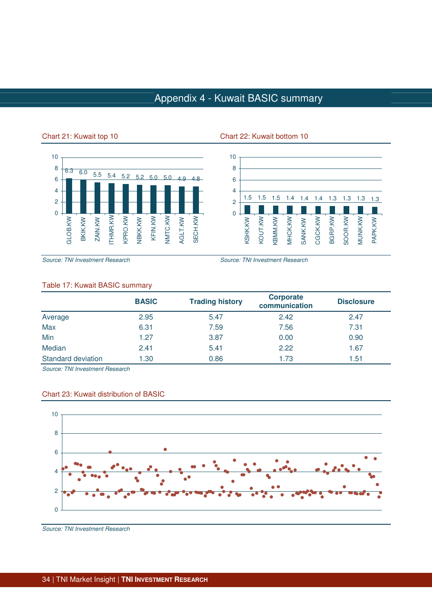## Appendix 4 - Kuwait BASIC summary





#### Chart 21: Kuwait top 10 Chart 22: Kuwait bottom 10

Source: TNI Investment Research Source: TNI Investment Research

### Table 17: Kuwait BASIC summary

|                    | <b>BASIC</b> | <b>Trading history</b> | <b>Corporate</b><br>communication | <b>Disclosure</b> |
|--------------------|--------------|------------------------|-----------------------------------|-------------------|
| Average            | 2.95         | 5.47                   | 2.42                              | 2.47              |
| Max                | 6.31         | 7.59                   | 7.56                              | 7.31              |
| Min                | 1.27         | 3.87                   | 0.00                              | 0.90              |
| Median             | 2.41         | 5.41                   | 2.22                              | 1.67              |
| Standard deviation | 1.30         | 0.86                   | 1.73                              | 1.51              |

Source: TNI Investment Research



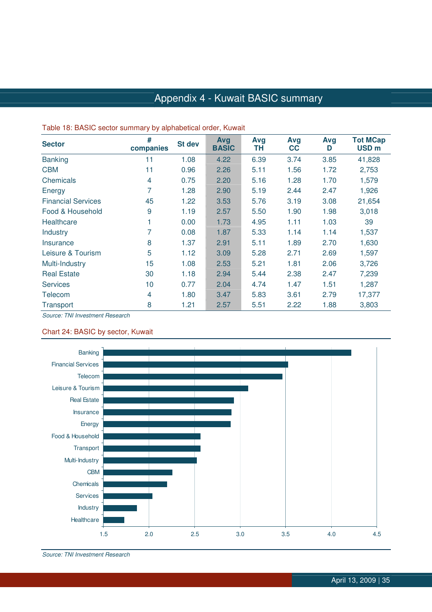# Appendix 4 - Kuwait BASIC summary

| <b>Sector</b>             | #<br>companies | <b>St dev</b> | Avg<br><b>BASIC</b> | Avg<br>TН | Avg<br>cc | Avg<br>D | <b>Tot MCap</b><br>USD <sub>m</sub> |
|---------------------------|----------------|---------------|---------------------|-----------|-----------|----------|-------------------------------------|
| <b>Banking</b>            | 11             | 1.08          | 4.22                | 6.39      | 3.74      | 3.85     | 41,828                              |
| <b>CBM</b>                | 11             | 0.96          | 2.26                | 5.11      | 1.56      | 1.72     | 2,753                               |
| Chemicals                 | 4              | 0.75          | 2.20                | 5.16      | 1.28      | 1.70     | 1,579                               |
| Energy                    | 7              | 1.28          | 2.90                | 5.19      | 2.44      | 2.47     | 1,926                               |
| <b>Financial Services</b> | 45             | 1.22          | 3.53                | 5.76      | 3.19      | 3.08     | 21,654                              |
| Food & Household          | 9              | 1.19          | 2.57                | 5.50      | 1.90      | 1.98     | 3,018                               |
| Healthcare                |                | 0.00          | 1.73                | 4.95      | 1.11      | 1.03     | 39                                  |
| <b>Industry</b>           |                | 0.08          | 1.87                | 5.33      | 1.14      | 1.14     | 1,537                               |
| Insurance                 | 8              | 1.37          | 2.91                | 5.11      | 1.89      | 2.70     | 1,630                               |
| Leisure & Tourism         | 5              | 1.12          | 3.09                | 5.28      | 2.71      | 2.69     | 1,597                               |
| Multi-Industry            | 15             | 1.08          | 2.53                | 5.21      | 1.81      | 2.06     | 3,726                               |
| <b>Real Estate</b>        | 30             | 1.18          | 2.94                | 5.44      | 2.38      | 2.47     | 7,239                               |
| <b>Services</b>           | 10             | 0.77          | 2.04                | 4.74      | 1.47      | 1.51     | 1,287                               |
| Telecom                   | 4              | 1.80          | 3.47                | 5.83      | 3.61      | 2.79     | 17,377                              |
| Transport                 | 8              | 1.21          | 2.57                | 5.51      | 2.22      | 1.88     | 3,803                               |

#### Table 18: BASIC sector summary by alphabetical order, Kuwait

Source: TNI Investment Research

#### Chart 24: BASIC by sector, Kuwait



Source: TNI Investment Research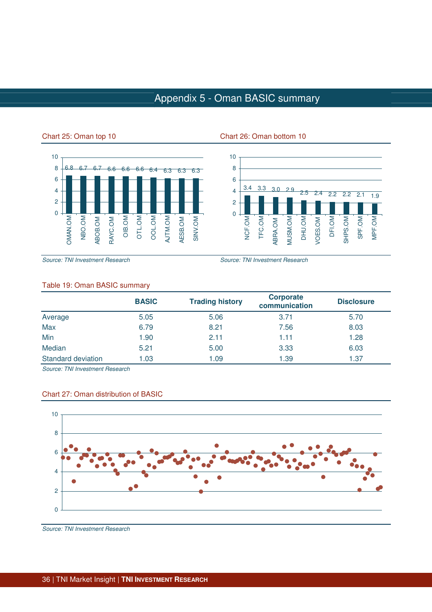## Appendix 5 - Oman BASIC summary



#### Chart 25: Oman top 10 Chart 26: Oman bottom 10



Source: TNI Investment Research Source: TNI Investment Research

### Table 19: Oman BASIC summary

|                    | <b>BASIC</b> | <b>Trading history</b> | <b>Corporate</b><br>communication | <b>Disclosure</b> |
|--------------------|--------------|------------------------|-----------------------------------|-------------------|
| Average            | 5.05         | 5.06                   | 3.71                              | 5.70              |
| Max                | 6.79         | 8.21                   | 7.56                              | 8.03              |
| Min                | 1.90         | 2.11                   | 1.11                              | 1.28              |
| Median             | 5.21         | 5.00                   | 3.33                              | 6.03              |
| Standard deviation | 1.03         | 1.09                   | 1.39                              | 1.37              |

Source: TNI Investment Research



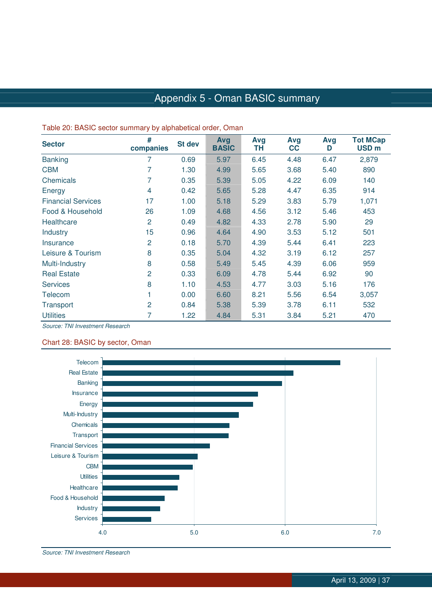## Appendix 5 - Oman BASIC summary

| $\frac{1}{2}$ and $\frac{1}{2}$ and $\frac{1}{2}$ because become $\frac{1}{2}$ by diperchangement of any $\frac{1}{2}$ |                |        |                     |           |           |          |                                     |  |  |
|------------------------------------------------------------------------------------------------------------------------|----------------|--------|---------------------|-----------|-----------|----------|-------------------------------------|--|--|
| <b>Sector</b>                                                                                                          | #<br>companies | St dev | Avg<br><b>BASIC</b> | Avg<br>TН | Avg<br>cc | Avg<br>D | <b>Tot MCap</b><br>USD <sub>m</sub> |  |  |
| <b>Banking</b>                                                                                                         | 7              | 0.69   | 5.97                | 6.45      | 4.48      | 6.47     | 2,879                               |  |  |
| <b>CBM</b>                                                                                                             | 7              | 1.30   | 4.99                | 5.65      | 3.68      | 5.40     | 890                                 |  |  |
| Chemicals                                                                                                              | 7              | 0.35   | 5.39                | 5.05      | 4.22      | 6.09     | 140                                 |  |  |
| Energy                                                                                                                 | 4              | 0.42   | 5.65                | 5.28      | 4.47      | 6.35     | 914                                 |  |  |
| <b>Financial Services</b>                                                                                              | 17             | 1.00   | 5.18                | 5.29      | 3.83      | 5.79     | 1,071                               |  |  |
| Food & Household                                                                                                       | 26             | 1.09   | 4.68                | 4.56      | 3.12      | 5.46     | 453                                 |  |  |
| Healthcare                                                                                                             | 2              | 0.49   | 4.82                | 4.33      | 2.78      | 5.90     | 29                                  |  |  |
| Industry                                                                                                               | 15             | 0.96   | 4.64                | 4.90      | 3.53      | 5.12     | 501                                 |  |  |
| Insurance                                                                                                              | 2              | 0.18   | 5.70                | 4.39      | 5.44      | 6.41     | 223                                 |  |  |
| Leisure & Tourism                                                                                                      | 8              | 0.35   | 5.04                | 4.32      | 3.19      | 6.12     | 257                                 |  |  |
| Multi-Industry                                                                                                         | 8              | 0.58   | 5.49                | 5.45      | 4.39      | 6.06     | 959                                 |  |  |
| <b>Real Estate</b>                                                                                                     | $\overline{2}$ | 0.33   | 6.09                | 4.78      | 5.44      | 6.92     | 90                                  |  |  |
| <b>Services</b>                                                                                                        | 8              | 1.10   | 4.53                | 4.77      | 3.03      | 5.16     | 176                                 |  |  |
| Telecom                                                                                                                |                | 0.00   | 6.60                | 8.21      | 5.56      | 6.54     | 3,057                               |  |  |
| Transport                                                                                                              | 2              | 0.84   | 5.38                | 5.39      | 3.78      | 6.11     | 532                                 |  |  |
| <b>Utilities</b>                                                                                                       | 7              | 1.22   | 4.84                | 5.31      | 3.84      | 5.21     | 470                                 |  |  |

#### Table 20: BASIC sector summary by alphabetical order, Oman

Source: TNI Investment Research

#### Chart 28: BASIC by sector, Oman



Source: TNI Investment Research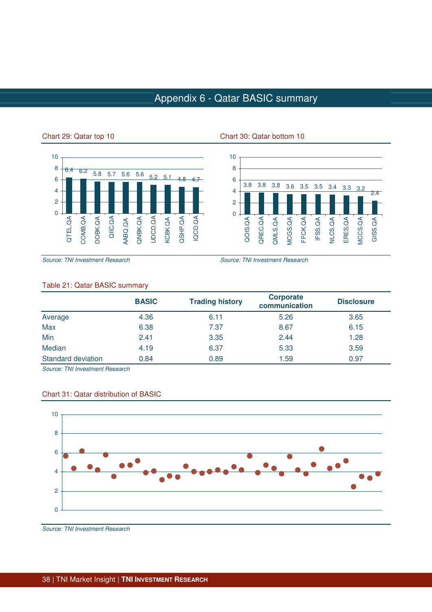## Appendix 6 - Qatar BASIC summary





#### Chart 29: Qatar top 10 Chart 30: Qatar bottom 10

Source: TNI Investment Research Source: TNI Investment Research

#### Table 21: Qatar BASIC summary

|                    | <b>BASIC</b> | <b>Trading history</b> | <b>Corporate</b><br>communication | <b>Disclosure</b> |
|--------------------|--------------|------------------------|-----------------------------------|-------------------|
| Average            | 4.36         | 6.11                   | 5.26                              | 3.65              |
| Max                | 6.38         | 7.37                   | 8.67                              | 6.15              |
| Min                | 2.41         | 3.35                   | 2.44                              | 1.28              |
| Median             | 4.19         | 6.37                   | 5.33                              | 3.59              |
| Standard deviation | 0.84         | 0.89                   | 1.59                              | 0.97              |

Source: TNI Investment Research



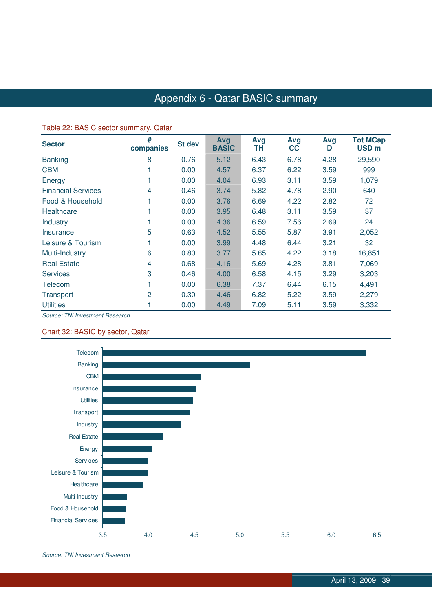## Appendix 6 - Qatar BASIC summary

#### Table 22: BASIC sector summary, Qatar

| <b>Sector</b>             | #<br>companies | St dev | Avg<br><b>BASIC</b> | Avg<br>TΗ | Avg<br>cc | Avg<br>D | <b>Tot MCap</b><br>USD <sub>m</sub> |
|---------------------------|----------------|--------|---------------------|-----------|-----------|----------|-------------------------------------|
| <b>Banking</b>            | 8              | 0.76   | 5.12                | 6.43      | 6.78      | 4.28     | 29,590                              |
| <b>CBM</b>                |                | 0.00   | 4.57                | 6.37      | 6.22      | 3.59     | 999                                 |
| Energy                    |                | 0.00   | 4.04                | 6.93      | 3.11      | 3.59     | 1,079                               |
| <b>Financial Services</b> | 4              | 0.46   | 3.74                | 5.82      | 4.78      | 2.90     | 640                                 |
| Food & Household          |                | 0.00   | 3.76                | 6.69      | 4.22      | 2.82     | 72                                  |
| Healthcare                |                | 0.00   | 3.95                | 6.48      | 3.11      | 3.59     | 37                                  |
| Industry                  |                | 0.00   | 4.36                | 6.59      | 7.56      | 2.69     | 24                                  |
| Insurance                 | 5              | 0.63   | 4.52                | 5.55      | 5.87      | 3.91     | 2,052                               |
| Leisure & Tourism         |                | 0.00   | 3.99                | 4.48      | 6.44      | 3.21     | 32                                  |
| Multi-Industry            | 6              | 0.80   | 3.77                | 5.65      | 4.22      | 3.18     | 16,851                              |
| <b>Real Estate</b>        | 4              | 0.68   | 4.16                | 5.69      | 4.28      | 3.81     | 7,069                               |
| <b>Services</b>           | 3              | 0.46   | 4.00                | 6.58      | 4.15      | 3.29     | 3,203                               |
| Telecom                   |                | 0.00   | 6.38                | 7.37      | 6.44      | 6.15     | 4,491                               |
| Transport                 | $\overline{2}$ | 0.30   | 4.46                | 6.82      | 5.22      | 3.59     | 2,279                               |
| <b>Utilities</b>          |                | 0.00   | 4.49                | 7.09      | 5.11      | 3.59     | 3,332                               |

Source: TNI Investment Research

#### Chart 32: BASIC by sector, Qatar



Source: TNI Investment Research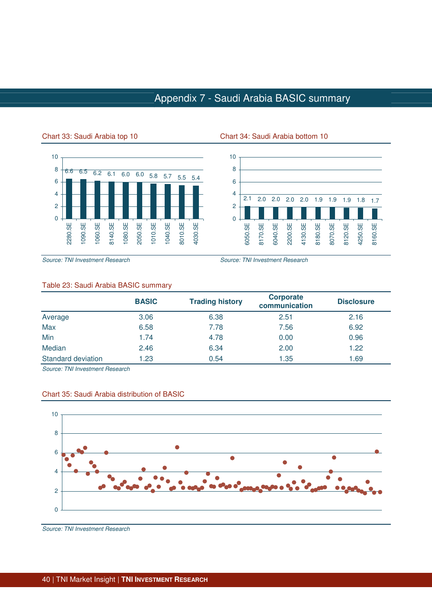## Appendix 7 - Saudi Arabia BASIC summary



#### Chart 33: Saudi Arabia top 10 Chart 34: Saudi Arabia bottom 10



Source: TNI Investment Research Source: TNI Investment Research

#### Table 23: Saudi Arabia BASIC summary

|                    | <b>BASIC</b> | <b>Trading history</b> | <b>Corporate</b><br>communication | <b>Disclosure</b> |
|--------------------|--------------|------------------------|-----------------------------------|-------------------|
| Average            | 3.06         | 6.38                   | 2.51                              | 2.16              |
| Max                | 6.58         | 7.78                   | 7.56                              | 6.92              |
| Min                | 1.74         | 4.78                   | 0.00                              | 0.96              |
| Median             | 2.46         | 6.34                   | 2.00                              | 1.22              |
| Standard deviation | 1.23         | 0.54                   | 1.35                              | 1.69              |

Source: TNI Investment Research



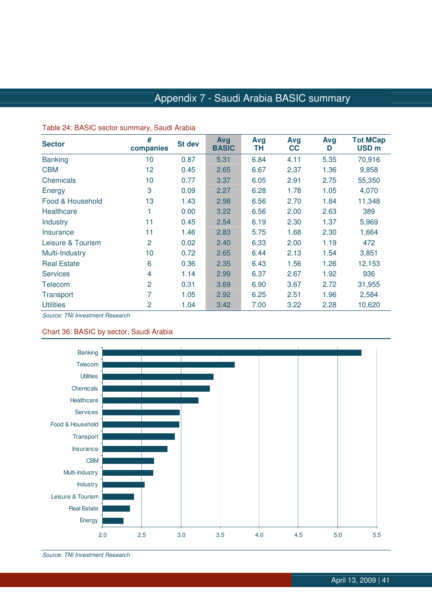## Appendix 7 - Saudi Arabia BASIC summary

| <b>Sector</b>      | #              | <b>St dev</b> | Avg<br><b>BASIC</b> | Avg  | Avg  | Avg<br>D | <b>Tot MCap</b><br>USD <sub>m</sub> |
|--------------------|----------------|---------------|---------------------|------|------|----------|-------------------------------------|
|                    | companies      |               |                     | ΤH   | cc   |          |                                     |
| <b>Banking</b>     | 10             | 0.87          | 5.31                | 6.84 | 4.11 | 5.35     | 70,916                              |
| <b>CBM</b>         | 12             | 0.45          | 2.65                | 6.67 | 2.37 | 1.36     | 9,858                               |
| Chemicals          | 10             | 0.77          | 3.37                | 6.05 | 2.91 | 2.75     | 55,350                              |
| Energy             | 3              | 0.09          | 2.27                | 6.28 | 1.78 | 1.05     | 4,070                               |
| Food & Household   | 13             | 1.43          | 2.98                | 6.56 | 2.70 | 1.84     | 11,348                              |
| Healthcare         |                | 0.00          | 3.22                | 6.56 | 2.00 | 2.63     | 389                                 |
| <b>Industry</b>    | 11             | 0.45          | 2.54                | 6.19 | 2.30 | 1.37     | 5,969                               |
| Insurance          | 11             | 1.46          | 2.83                | 5.75 | 1.68 | 2.30     | 1,664                               |
| Leisure & Tourism  | 2              | 0.02          | 2.40                | 6.33 | 2.00 | 1.19     | 472                                 |
| Multi-Industry     | 10             | 0.72          | 2.65                | 6.44 | 2.13 | 1.54     | 3,851                               |
| <b>Real Estate</b> | 6              | 0.36          | 2.35                | 6.43 | 1.56 | 1.26     | 12,153                              |
| <b>Services</b>    | 4              | 1.14          | 2.99                | 6.37 | 2.67 | 1.92     | 936                                 |
| Telecom            | $\overline{2}$ | 0.31          | 3.69                | 6.90 | 3.67 | 2.72     | 31,955                              |
| Transport          |                | 1.05          | 2.92                | 6.25 | 2.51 | 1.96     | 2,584                               |
| <b>Utilities</b>   | $\overline{2}$ | 1.04          | 3.42                | 7.00 | 3.22 | 2.28     | 10,620                              |

#### Table 24: BASIC sector summary, Saudi Arabia

Source: TNI Investment Research

#### Chart 36: BASIC by sector, Saudi Arabia



Source: TNI Investment Research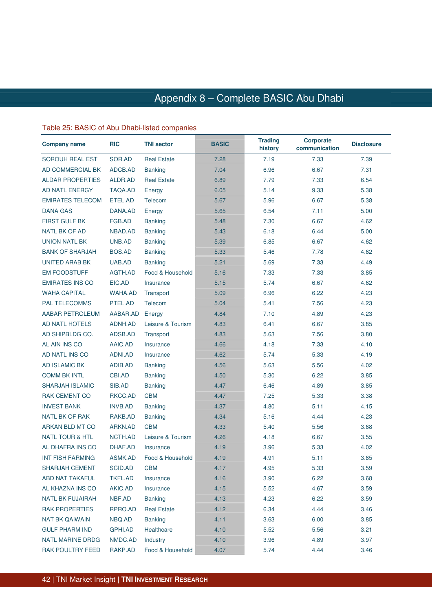### Appendix 8 – Complete BASIC Abu Dhabi Dhabi

#### Table 25: BASIC of Abu Dhabi-listed companies

| <b>Company name</b>        | <b>RIC</b>     | <b>TNI sector</b>  | <b>BASIC</b> | <b>Trading</b><br>history | <b>Corporate</b><br>communication | <b>Disclosure</b> |
|----------------------------|----------------|--------------------|--------------|---------------------------|-----------------------------------|-------------------|
| <b>SOROUH REAL EST</b>     | SOR.AD         | <b>Real Estate</b> | 7.28         | 7.19                      | 7.33                              | 7.39              |
| AD COMMERCIAL BK           | ADCB.AD        | <b>Banking</b>     | 7.04         | 6.96                      | 6.67                              | 7.31              |
| <b>ALDAR PROPERTIES</b>    | ALDR.AD        | <b>Real Estate</b> | 6.89         | 7.79                      | 7.33                              | 6.54              |
| <b>AD NATL ENERGY</b>      | <b>TAQA.AD</b> | Energy             | 6.05         | 5.14                      | 9.33                              | 5.38              |
| <b>EMIRATES TELECOM</b>    | ETEL.AD        | Telecom            | 5.67         | 5.96                      | 6.67                              | 5.38              |
| <b>DANA GAS</b>            | DANA.AD        | Energy             | 5.65         | 6.54                      | 7.11                              | 5.00              |
| <b>FIRST GULF BK</b>       | FGB.AD         | <b>Banking</b>     | 5.48         | 7.30                      | 6.67                              | 4.62              |
| <b>NATL BK OF AD</b>       | NBAD.AD        | <b>Banking</b>     | 5.43         | 6.18                      | 6.44                              | 5.00              |
| <b>UNION NATL BK</b>       | UNB.AD         | <b>Banking</b>     | 5.39         | 6.85                      | 6.67                              | 4.62              |
| <b>BANK OF SHARJAH</b>     | <b>BOS.AD</b>  | <b>Banking</b>     | 5.33         | 5.46                      | 7.78                              | 4.62              |
| UNITED ARAB BK             | UAB.AD         | <b>Banking</b>     | 5.21         | 5.69                      | 7.33                              | 4.49              |
| <b>EM FOODSTUFF</b>        | AGTH.AD        | Food & Household   | 5.16         | 7.33                      | 7.33                              | 3.85              |
| <b>EMIRATES INS CO</b>     | EIC.AD         | Insurance          | 5.15         | 5.74                      | 6.67                              | 4.62              |
| <b>WAHA CAPITAL</b>        | <b>WAHA.AD</b> | Transport          | 5.09         | 6.96                      | 6.22                              | 4.23              |
| <b>PAL TELECOMMS</b>       | PTEL.AD        | Telecom            | 5.04         | 5.41                      | 7.56                              | 4.23              |
| AABAR PETROLEUM            | AABAR.AD       | Energy             | 4.84         | 7.10                      | 4.89                              | 4.23              |
| <b>AD NATL HOTELS</b>      | ADNH.AD        | Leisure & Tourism  | 4.83         | 6.41                      | 6.67                              | 3.85              |
| AD SHIPBLDG CO.            | ADSB.AD        | Transport          | 4.83         | 5.63                      | 7.56                              | 3.80              |
| AL AIN INS CO              | AAIC.AD        | Insurance          | 4.66         | 4.18                      | 7.33                              | 4.10              |
| AD NATL INS CO             | ADNI.AD        | Insurance          | 4.62         | 5.74                      | 5.33                              | 4.19              |
| <b>AD ISLAMIC BK</b>       | ADIB.AD        | <b>Banking</b>     | 4.56         | 5.63                      | 5.56                              | 4.02              |
| <b>COMM BK INTL</b>        | CBI.AD         | <b>Banking</b>     | 4.50         | 5.30                      | 6.22                              | 3.85              |
| <b>SHARJAH ISLAMIC</b>     | SIB.AD         | <b>Banking</b>     | 4.47         | 6.46                      | 4.89                              | 3.85              |
| <b>RAK CEMENT CO</b>       | RKCC.AD        | <b>CBM</b>         | 4.47         | 7.25                      | 5.33                              | 3.38              |
| <b>INVEST BANK</b>         | <b>INVB.AD</b> | <b>Banking</b>     | 4.37         | 4.80                      | 5.11                              | 4.15              |
| <b>NATL BK OF RAK</b>      | RAKB.AD        | <b>Banking</b>     | 4.34         | 5.16                      | 4.44                              | 4.23              |
| ARKAN BLD MT CO            | ARKN.AD        | <b>CBM</b>         | 4.33         | 5.40                      | 5.56                              | 3.68              |
| <b>NATL TOUR &amp; HTL</b> | NCTH.AD        | Leisure & Tourism  | 4.26         | 4.18                      | 6.67                              | 3.55              |
| AL DHAFRA INS CO           | DHAF.AD        | Insurance          | 4.19         | 3.96                      | 5.33                              | 4.02              |
| <b>INT FISH FARMING</b>    | ASMK.AD        | Food & Household   | 4.19         | 4.91                      | 5.11                              | 3.85              |
| <b>SHARJAH CEMENT</b>      | SCID.AD        | <b>CBM</b>         | 4.17         | 4.95                      | 5.33                              | 3.59              |
| ABD NAT TAKAFUL            | <b>TKFL.AD</b> | Insurance          | 4.16         | 3.90                      | 6.22                              | 3.68              |
| AL KHAZNA INS CO           | AKIC.AD        | Insurance          | 4.15         | 5.52                      | 4.67                              | 3.59              |
| NATL BK FUJAIRAH           | NBF.AD         | <b>Banking</b>     | 4.13         | 4.23                      | 6.22                              | 3.59              |
| <b>RAK PROPERTIES</b>      | RPRO.AD        | <b>Real Estate</b> | 4.12         | 6.34                      | 4.44                              | 3.46              |
| <b>NAT BK QAIWAIN</b>      | NBQ.AD         | <b>Banking</b>     | 4.11         | 3.63                      | 6.00                              | 3.85              |
| <b>GULF PHARM IND</b>      | GPHI.AD        | Healthcare         | 4.10         | 5.52                      | 5.56                              | 3.21              |
| <b>NATL MARINE DRDG</b>    | NMDC.AD        | Industry           | 4.10         | 3.96                      | 4.89                              | 3.97              |
| RAK POULTRY FEED           | RAKP.AD        | Food & Household   | 4.07         | 5.74                      | 4.44                              | 3.46              |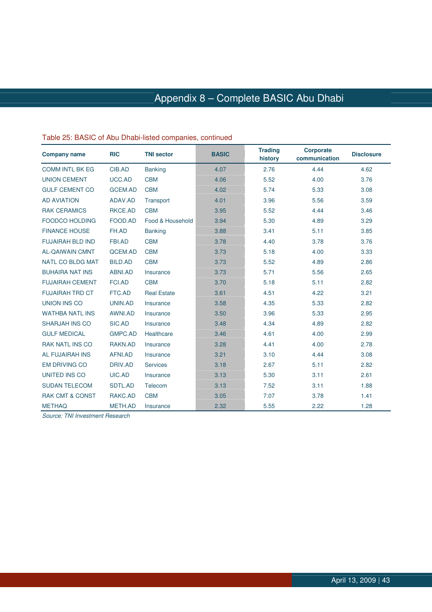# Appendix 8 – Complete BASIC Abu Dhabi

| <b>Company name</b>        | <b>RIC</b>     | <b>TNI sector</b>  | <b>BASIC</b> | <b>Trading</b><br>history | <b>Corporate</b><br>communication | <b>Disclosure</b> |
|----------------------------|----------------|--------------------|--------------|---------------------------|-----------------------------------|-------------------|
| <b>COMM INTL BK EG</b>     | CIB.AD         | <b>Banking</b>     | 4.07         | 2.76                      | 4.44                              | 4.62              |
| <b>UNION CEMENT</b>        | UCC.AD         | <b>CBM</b>         | 4.06         | 5.52                      | 4.00                              | 3.76              |
| <b>GULF CEMENT CO</b>      | <b>GCEM.AD</b> | <b>CBM</b>         | 4.02         | 5.74                      | 5.33                              | 3.08              |
| <b>AD AVIATION</b>         | ADAV.AD        | Transport          | 4.01         | 3.96                      | 5.56                              | 3.59              |
| <b>RAK CERAMICS</b>        | RKCE.AD        | <b>CBM</b>         | 3.95         | 5.52                      | 4.44                              | 3.46              |
| <b>FOODCO HOLDING</b>      | FOOD.AD        | Food & Household   | 3.94         | 5.30                      | 4.89                              | 3.29              |
| <b>FINANCE HOUSE</b>       | FH.AD          | <b>Banking</b>     | 3.88         | 3.41                      | 5.11                              | 3.85              |
| <b>FUJAIRAH BLD IND</b>    | <b>FBI.AD</b>  | <b>CBM</b>         | 3.78         | 4.40                      | 3.78                              | 3.76              |
| <b>AL-QAIWAIN CMNT</b>     | QCEM.AD        | <b>CBM</b>         | 3.73         | 5.18                      | 4.00                              | 3.33              |
| <b>NATL CO BLDG MAT</b>    | <b>BILD.AD</b> | <b>CBM</b>         | 3.73         | 5.52                      | 4.89                              | 2.86              |
| <b>BUHAIRA NAT INS</b>     | ABNI.AD        | Insurance          | 3.73         | 5.71                      | 5.56                              | 2.65              |
| <b>FUJAIRAH CEMENT</b>     | <b>FCI.AD</b>  | <b>CBM</b>         | 3.70         | 5.18                      | 5.11                              | 2.82              |
| <b>FUJAIRAH TRD CT</b>     | FTC.AD         | <b>Real Estate</b> | 3.61         | 4.51                      | 4.22                              | 3.21              |
| <b>UNION INS CO</b>        | UNIN.AD        | Insurance          | 3.58         | 4.35                      | 5.33                              | 2.82              |
| <b>WATHBA NATL INS</b>     | AWNI.AD        | Insurance          | 3.50         | 3.96                      | 5.33                              | 2.95              |
| <b>SHARJAH INS CO</b>      | SIC.AD         | Insurance          | 3.48         | 4.34                      | 4.89                              | 2.82              |
| <b>GULF MEDICAL</b>        | <b>GMPC.AD</b> | Healthcare         | 3.46         | 4.61                      | 4.00                              | 2.99              |
| <b>RAK NATL INS CO</b>     | RAKN.AD        | Insurance          | 3.28         | 4.41                      | 4.00                              | 2.78              |
| AL FUJAIRAH INS            | AFNI.AD        | Insurance          | 3.21         | 3.10                      | 4.44                              | 3.08              |
| <b>EM DRIVING CO</b>       | DRIV.AD        | <b>Services</b>    | 3.18         | 2.67                      | 5.11                              | 2.82              |
| <b>UNITED INS CO</b>       | UIC.AD         | Insurance          | 3.13         | 5.30                      | 3.11                              | 2.61              |
| <b>SUDAN TELECOM</b>       | <b>SDTL.AD</b> | Telecom            | 3.13         | 7.52                      | 3.11                              | 1.88              |
| <b>RAK CMT &amp; CONST</b> | RAKC.AD        | <b>CBM</b>         | 3.05         | 7.07                      | 3.78                              | 1.41              |
| <b>METHAQ</b>              | <b>METH.AD</b> | Insurance          | 2.32         | 5.55                      | 2.22                              | 1.28              |

#### Table 25: BASIC of Abu Dhabi-listed companies, continued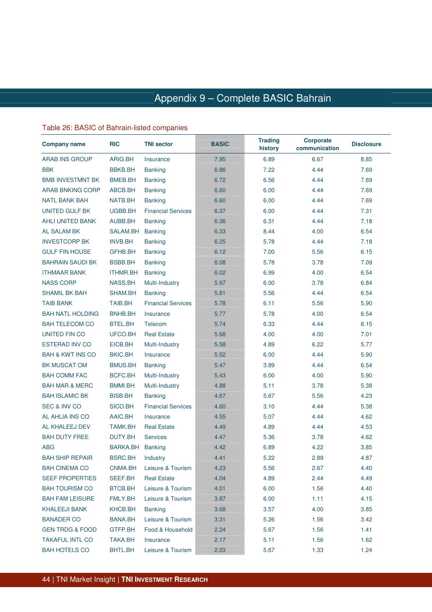### Appendix 9 – Complete BASIC Bahrain Bahrain

### Table 26: BASIC of Bahrain-listed companies

| <b>Company name</b>         | <b>RIC</b>      | <b>TNI sector</b>         | <b>BASIC</b> | <b>Trading</b><br>history | <b>Corporate</b><br>communication | <b>Disclosure</b> |
|-----------------------------|-----------------|---------------------------|--------------|---------------------------|-----------------------------------|-------------------|
| <b>ARAB INS GROUP</b>       | ARIG.BH         | Insurance                 | 7.95         | 6.89                      | 6.67                              | 8.85              |
| <b>BBK</b>                  | <b>BBKB.BH</b>  | <b>Banking</b>            | 6.86         | 7.22                      | 4.44                              | 7.69              |
| <b>BMB INVESTMNT BK</b>     | <b>BMEB.BH</b>  | <b>Banking</b>            | 6.72         | 6.56                      | 4.44                              | 7.69              |
| <b>ARAB BNKING CORP</b>     | ABCB.BH         | <b>Banking</b>            | 6.60         | 6.00                      | 4.44                              | 7.69              |
| <b>NATL BANK BAH</b>        | NATB.BH         | <b>Banking</b>            | 6.60         | 6.00                      | 4.44                              | 7.69              |
| <b>UNITED GULF BK</b>       | UGBB.BH         | <b>Financial Services</b> | 6.37         | 6.00                      | 4.44                              | 7.31              |
| <b>AHLI UNITED BANK</b>     | AUBB.BH         | <b>Banking</b>            | 6.36         | 6.31                      | 4.44                              | 7.18              |
| <b>AL SALAM BK</b>          | SALAM.BH        | <b>Banking</b>            | 6.33         | 8.44                      | 4.00                              | 6.54              |
| <b>INVESTCORP BK</b>        | <b>INVB.BH</b>  | <b>Banking</b>            | 6.25         | 5.78                      | 4.44                              | 7.18              |
| <b>GULF FIN HOUSE</b>       | GFHB.BH         | <b>Banking</b>            | 6.12         | 7.00                      | 5.56                              | 6.15              |
| <b>BAHRAIN SAUDI BK</b>     | <b>BSBB.BH</b>  | <b>Banking</b>            | 6.08         | 5.78                      | 3.78                              | 7.09              |
| <b>ITHMAAR BANK</b>         | <b>ITHMR.BH</b> | <b>Banking</b>            | 6.02         | 6.99                      | 4.00                              | 6.54              |
| <b>NASS CORP</b>            | NASS.BH         | Multi-Industry            | 5.97         | 6.00                      | 3.78                              | 6.84              |
| <b>SHAMIL BK BAH</b>        | SHAM.BH         | <b>Banking</b>            | 5.81         | 5.56                      | 4.44                              | 6.54              |
| <b>TAIB BANK</b>            | TAIB.BH         | <b>Financial Services</b> | 5.78         | 6.11                      | 5.56                              | 5.90              |
| <b>BAH NATL HOLDING</b>     | <b>BNHB.BH</b>  | Insurance                 | 5.77         | 5.78                      | 4.00                              | 6.54              |
| <b>BAH TELECOM CO</b>       | BTEL.BH         | Telecom                   | 5.74         | 6.33                      | 4.44                              | 6.15              |
| <b>UNITED FIN CO</b>        | UFCO.BH         | <b>Real Estate</b>        | 5.68         | 4.00                      | 4.00                              | 7.01              |
| <b>ESTERAD INV CO</b>       | EICB.BH         | Multi-Industry            | 5.58         | 4.89                      | 6.22                              | 5.77              |
| <b>BAH &amp; KWT INS CO</b> | BKIC.BH         | Insurance                 | 5.52         | 6.00                      | 4.44                              | 5.90              |
| BK MUSCAT OM                | <b>BMUS.BH</b>  | <b>Banking</b>            | 5.47         | 3.89                      | 4.44                              | 6.54              |
| <b>BAH COMM FAC</b>         | BCFC.BH         | Multi-Industry            | 5.43         | 6.00                      | 4.00                              | 5.90              |
| <b>BAH MAR &amp; MERC</b>   | BMMI.BH         | Multi-Industry            | 4.88         | 5.11                      | 3.78                              | 5.38              |
| <b>BAH ISLAMIC BK</b>       | <b>BISB.BH</b>  | <b>Banking</b>            | 4.67         | 5.67                      | 5.56                              | 4.23              |
| <b>SEC &amp; INV CO</b>     | SICO.BH         | <b>Financial Services</b> | 4.60         | 3.10                      | 4.44                              | 5.38              |
| AL AHLIA INS CO             | AAIC.BH         | Insurance                 | 4.55         | 5.07                      | 4.44                              | 4.62              |
| AL KHALEEJ DEV              | <b>TAMK.BH</b>  | <b>Real Estate</b>        | 4.49         | 4.89                      | 4.44                              | 4.53              |
| <b>BAH DUTY FREE</b>        | <b>DUTY.BH</b>  | <b>Services</b>           | 4.47         | 5.36                      | 3.78                              | 4.62              |
| <b>ABG</b>                  | <b>BARKA.BH</b> | <b>Banking</b>            | 4.42         | 6.89                      | 4.22                              | 3.85              |
| <b>BAH SHIP REPAIR</b>      | BSRC.BH         | Industry                  | 4.41         | 5.22                      | 2.89                              | 4.87              |
| <b>BAH CINEMA CO</b>        | CNMA.BH         | Leisure & Tourism         | 4.23         | 5.56                      | 2.67                              | 4.40              |
| SEEF PROPERTIES             | SEEF.BH         | <b>Real Estate</b>        | 4.04         | 4.89                      | 2.44                              | 4.49              |
| <b>BAH TOURISM CO</b>       | BTCB.BH         | Leisure & Tourism         | 4.01         | 6.00                      | 1.56                              | 4.40              |
| <b>BAH FAM LEISURE</b>      | FMLY.BH         | Leisure & Tourism         | 3.87         | 6.00                      | 1.11                              | 4.15              |
| <b>KHALEEJI BANK</b>        | KHCB.BH         | <b>Banking</b>            | 3.68         | 3.57                      | 4.00                              | 3.85              |
| <b>BANADER CO</b>           | BANA.BH         | Leisure & Tourism         | 3.31         | 5.26                      | 1.56                              | 3.42              |
| <b>GEN TRDG &amp; FOOD</b>  | GTFP.BH         | Food & Household          | 2.24         | 5.67                      | 1.56                              | 1.41              |
| <b>TAKAFUL INTL CO</b>      | TAKA.BH         | Insurance                 | 2.17         | 5.11                      | 1.56                              | 1.62              |
| <b>BAH HOTELS CO</b>        | BHTL.BH         | Leisure & Tourism         | 2.03         | 5.67                      | 1.33                              | 1.24              |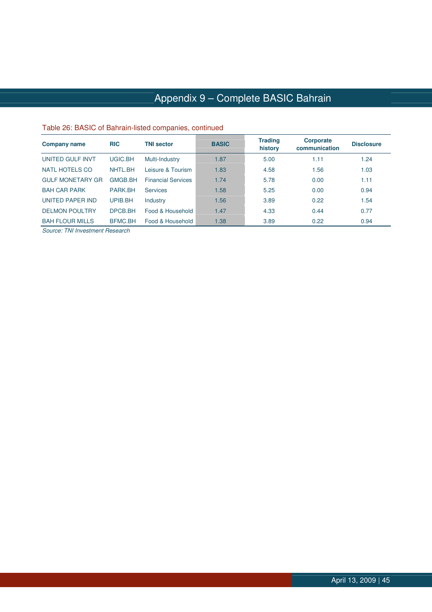# Appendix 9 – Complete BASIC Bahrain

#### Table 26: BASIC of Bahrain-listed companies, continued

| <b>Company name</b>     | <b>RIC</b>     | <b>TNI sector</b>         | <b>BASIC</b> | <b>Trading</b><br>history | Corporate<br>communication | <b>Disclosure</b> |
|-------------------------|----------------|---------------------------|--------------|---------------------------|----------------------------|-------------------|
| UNITED GULF INVT        | UGIC.BH        | Multi-Industry            | 1.87         | 5.00                      | 1.11                       | 1.24              |
| <b>NATL HOTELS CO</b>   | NHTL.BH        | Leisure & Tourism         | 1.83         | 4.58                      | 1.56                       | 1.03              |
| <b>GULF MONETARY GR</b> | <b>GMGB.BH</b> | <b>Financial Services</b> | 1.74         | 5.78                      | 0.00                       | 1.11              |
| <b>BAH CAR PARK</b>     | PARK.BH        | Services                  | 1.58         | 5.25                      | 0.00                       | 0.94              |
| <b>UNITED PAPER IND</b> | UPIB.BH        | Industry                  | 1.56         | 3.89                      | 0.22                       | 1.54              |
| <b>DELMON POULTRY</b>   | DPCB.BH        | Food & Household          | 1.47         | 4.33                      | 0.44                       | 0.77              |
| <b>BAH FLOUR MILLS</b>  | BFMC.BH        | Food & Household          | 1.38         | 3.89                      | 0.22                       | 0.94              |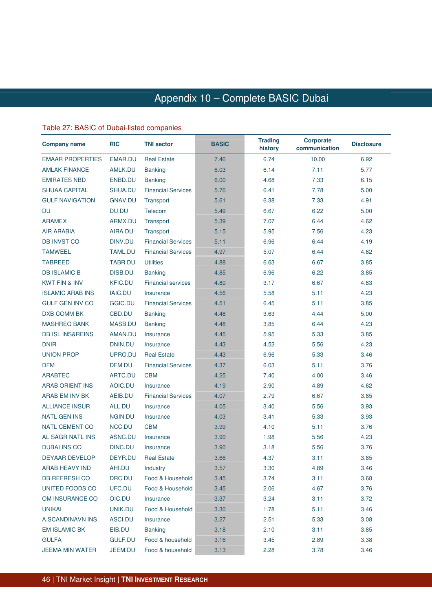### Appendix 10 – Complete BASIC Dubai Dubai

### Table 27: BASIC of Dubai-listed companies

| <b>Company name</b>         | <b>RIC</b>     | <b>TNI sector</b>         | <b>BASIC</b> | <b>Trading</b><br>history | <b>Corporate</b><br>communication | <b>Disclosure</b> |  |
|-----------------------------|----------------|---------------------------|--------------|---------------------------|-----------------------------------|-------------------|--|
| <b>EMAAR PROPERTIES</b>     | <b>EMAR.DU</b> | <b>Real Estate</b>        | 7.46         | 6.74                      | 10.00                             | 6.92              |  |
| <b>AMLAK FINANCE</b>        | AMLK.DU        | <b>Banking</b>            | 6.03         | 6.14                      | 7.11                              | 5.77              |  |
| <b>EMIRATES NBD</b>         | ENBD.DU        | <b>Banking</b>            | 6.00         | 4.68                      | 7.33                              | 6.15              |  |
| <b>SHUAA CAPITAL</b>        | SHUA.DU        | <b>Financial Services</b> | 5.76         | 6.41                      | 7.78                              | 5.00              |  |
| <b>GULF NAVIGATION</b>      | <b>GNAV.DU</b> | Transport                 | 5.61         | 6.38                      | 7.33                              | 4.91              |  |
| DU                          | DU.DU          | Telecom                   | 5.49         | 6.67                      | 6.22                              | 5.00              |  |
| <b>ARAMEX</b>               | ARMX.DU        | Transport                 | 5.39         | 7.07                      | 6.44                              | 4.62              |  |
| <b>AIR ARABIA</b>           | AIRA.DU        | Transport                 | 5.15         | 5.95                      | 7.56                              | 4.23              |  |
| <b>DB INVST CO</b>          | DINV.DU        | <b>Financial Services</b> | 5.11         | 6.96                      | 6.44                              | 4.19              |  |
| <b>TAMWEEL</b>              | <b>TAML.DU</b> | <b>Financial Services</b> | 4.97         | 5.07                      | 6.44                              | 4.62              |  |
| <b>TABREED</b>              | TABR.DU        | <b>Utilities</b>          | 4.88         | 6.63                      | 6.67                              | 3.85              |  |
| <b>DB ISLAMIC B</b>         | <b>DISB.DU</b> | <b>Banking</b>            | 4.85         | 6.96                      | 6.22                              | 3.85              |  |
| <b>KWT FIN &amp; INV</b>    | <b>KFIC.DU</b> | <b>Financial services</b> | 4.80         | 3.17                      | 6.67                              | 4.83              |  |
| <b>ISLAMIC ARAB INS</b>     | <b>IAIC.DU</b> | Insurance                 | 4.56         | 5.58                      | 5.11                              | 4.23              |  |
| <b>GULF GEN INV CO</b>      | <b>GGIC.DU</b> | <b>Financial Services</b> | 4.51         | 6.45                      | 5.11                              | 3.85              |  |
| DXB COMM BK                 | CBD.DU         | <b>Banking</b>            | 4.48         | 3.63                      | 4.44                              | 5.00              |  |
| <b>MASHREQ BANK</b>         | MASB.DU        | <b>Banking</b>            | 4.48         | 3.85                      | 6.44                              | 4.23              |  |
| <b>DB ISL INS&amp;REINS</b> | AMAN.DU        | Insurance                 | 4.45         | 5.95                      | 5.33                              | 3.85              |  |
| <b>DNIR</b>                 | DNIN.DU        | Insurance                 | 4.43         | 4.52                      | 5.56                              | 4.23              |  |
| <b>UNION PROP</b>           | UPRO.DU        | <b>Real Estate</b>        | 4.43         | 6.96                      | 5.33                              | 3.46              |  |
| <b>DFM</b>                  | DFM.DU         | <b>Financial Services</b> | 4.37         | 6.03                      | 5.11                              | 3.76              |  |
| <b>ARABTEC</b>              | ARTC.DU        | <b>CBM</b>                | 4.25         | 7.40                      | 4.00                              | 3.46              |  |
| <b>ARAB ORIENT INS</b>      | AOIC.DU        | Insurance                 | 4.19         | 2.90                      | 4.89                              | 4.62              |  |
| ARAB EM INV BK              | AEIB.DU        | <b>Financial Services</b> | 4.07         | 2.79                      | 6.67                              | 3.85              |  |
| <b>ALLIANCE INSUR</b>       | ALL.DU         | Insurance                 | 4.05         | 3.40                      | 5.56                              | 3.93              |  |
| <b>NATL GEN INS</b>         | NGIN.DU        | Insurance                 | 4.03         | 3.41                      | 5.33                              | 3.93              |  |
| <b>NATL CEMENT CO</b>       | NCC.DU         | <b>CBM</b>                | 3.99         | 4.10                      | 5.11                              | 3.76              |  |
| <b>AL SAGR NATL INS</b>     | ASNC.DU        | Insurance                 | 3.90         | 1.98                      | 5.56                              | 4.23              |  |
| <b>DUBAI INS CO</b>         | DINC.DU        | Insurance                 | 3.90         | 3.18                      | 5.56                              | 3.76              |  |
| DEYAAR DEVELOP              | DEYR.DU        | <b>Real Estate</b>        | 3.66         | 4.37                      | 3.11                              | 3.85              |  |
| ARAB HEAVY IND              | AHI.DU         | Industry                  | 3.57         | 3.30                      | 4.89                              | 3.46              |  |
| DB REFRESH CO               | DRC.DU         | Food & Household          | 3.45         | 3.74                      | 3.11                              | 3.68              |  |
| UNITED FOODS CO             | UFC.DU         | Food & Household          | 3.45         | 2.06                      | 4.67                              | 3.76              |  |
| OM INSURANCE CO             | OIC.DU         | Insurance                 | 3.37         | 3.24                      | 3.11                              | 3.72              |  |
| <b>UNIKAI</b>               | UNIK.DU        | Food & Household          | 3.30         | 1.78                      | 5.11                              | 3.46              |  |
| A.SCANDINAVN INS            | ASCI.DU        | Insurance                 | 3.27         | 2.51                      | 5.33                              | 3.08              |  |
| <b>EM ISLAMIC BK</b>        | EIB.DU         | <b>Banking</b>            | 3.18         | 2.10                      | 3.11                              | 3.85              |  |
| <b>GULFA</b>                | <b>GULF.DU</b> | Food & household          | 3.16         | 3.45                      | 2.89                              | 3.38              |  |
| <b>JEEMA MIN WATER</b>      | JEEM.DU        | Food & household          | 3.13         | 2.28                      | 3.78                              | 3.46              |  |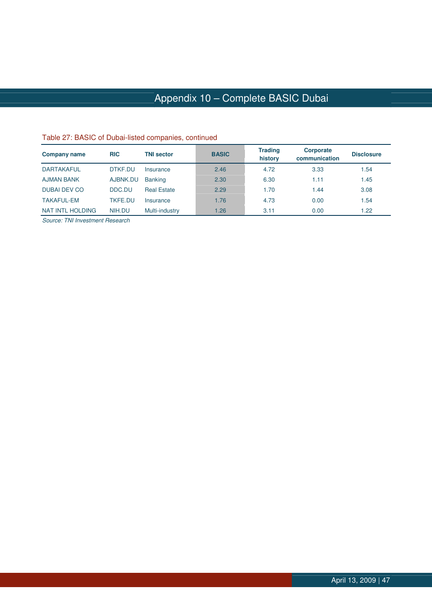# Appendix 10 – Complete BASIC Dubai

| <b>Company name</b> | <b>RIC</b>     | <b>TNI sector</b>  | <b>BASIC</b> | <b>Trading</b><br>history | Corporate<br>communication | <b>Disclosure</b> |
|---------------------|----------------|--------------------|--------------|---------------------------|----------------------------|-------------------|
| <b>DARTAKAFUL</b>   | DTKF.DU        | Insurance          | 2.46         | 4.72                      | 3.33                       | .54               |
| <b>AJMAN BANK</b>   | AJBNK.DU       | <b>Banking</b>     | 2.30         | 6.30                      | 1.11                       | 1.45              |
| <b>DUBAI DEV CO</b> | DDC.DU         | <b>Real Estate</b> | 2.29         | 1.70                      | 1.44                       | 3.08              |
| <b>TAKAFUL-EM</b>   | <b>TKFE.DU</b> | Insurance          | 1.76         | 4.73                      | 0.00                       | .54               |
| NAT INTL HOLDING    | NIH.DU         | Multi-industry     | 1.26         | 3.11                      | 0.00                       | 1.22              |

#### Table 27: BASIC of Dubai-listed companies, continued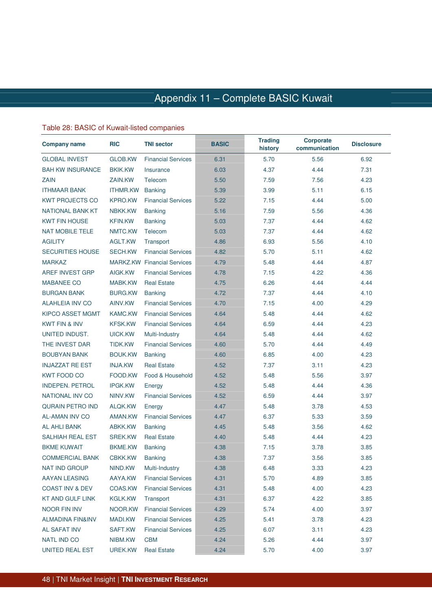#### Table 28: BASIC of Kuwait-listed companies

| <b>Company name</b>         | <b>RIC</b>      | <b>TNI sector</b>                  | <b>BASIC</b> | <b>Trading</b><br>history | <b>Corporate</b><br>communication | <b>Disclosure</b> |
|-----------------------------|-----------------|------------------------------------|--------------|---------------------------|-----------------------------------|-------------------|
| <b>GLOBAL INVEST</b>        | GLOB.KW         | <b>Financial Services</b>          | 6.31         | 5.70                      | 5.56                              | 6.92              |
| <b>BAH KW INSURANCE</b>     | <b>BKIK.KW</b>  | Insurance                          | 6.03         | 4.37                      | 4.44                              | 7.31              |
| <b>ZAIN</b>                 | ZAIN.KW         | Telecom                            | 5.50         | 7.59                      | 7.56                              | 4.23              |
| <b>ITHMAAR BANK</b>         | <b>ITHMR.KW</b> | <b>Banking</b>                     | 5.39         | 3.99                      | 5.11                              | 6.15              |
| <b>KWT PROJECTS CO</b>      | <b>KPRO.KW</b>  | <b>Financial Services</b>          | 5.22         | 7.15                      | 4.44                              | 5.00              |
| NATIONAL BANK KT            | NBKK.KW         | <b>Banking</b>                     | 5.16         | 7.59                      | 5.56                              | 4.36              |
| <b>KWT FIN HOUSE</b>        | <b>KFIN.KW</b>  | <b>Banking</b>                     | 5.03         | 7.37                      | 4.44                              | 4.62              |
| <b>NAT MOBILE TELE</b>      | NMTC.KW         | Telecom                            | 5.03         | 7.37                      | 4.44                              | 4.62              |
| <b>AGILITY</b>              | AGLT.KW         | Transport                          | 4.86         | 6.93                      | 5.56                              | 4.10              |
| <b>SECURITIES HOUSE</b>     | <b>SECH.KW</b>  | <b>Financial Services</b>          | 4.82         | 5.70                      | 5.11                              | 4.62              |
| <b>MARKAZ</b>               |                 | <b>MARKZ.KW</b> Financial Services | 4.79         | 5.48                      | 4.44                              | 4.87              |
| AREF INVEST GRP             | AIGK.KW         | <b>Financial Services</b>          | 4.78         | 7.15                      | 4.22                              | 4.36              |
| <b>MABANEE CO</b>           | MABK.KW         | <b>Real Estate</b>                 | 4.75         | 6.26                      | 4.44                              | 4.44              |
| <b>BURGAN BANK</b>          | <b>BURG.KW</b>  | <b>Banking</b>                     | 4.72         | 7.37                      | 4.44                              | 4.10              |
| <b>ALAHLEIA INV CO</b>      | AINV.KW         | <b>Financial Services</b>          | 4.70         | 7.15                      | 4.00                              | 4.29              |
| <b>KIPCO ASSET MGMT</b>     | <b>KAMC.KW</b>  | <b>Financial Services</b>          | 4.64         | 5.48                      | 4.44                              | 4.62              |
| <b>KWT FIN &amp; INV</b>    | <b>KFSK.KW</b>  | <b>Financial Services</b>          | 4.64         | 6.59                      | 4.44                              | 4.23              |
| UNITED INDUST.              | UICK.KW         | Multi-Industry                     | 4.64         | 5.48                      | 4.44                              | 4.62              |
| THE INVEST DAR              | TIDK.KW         | <b>Financial Services</b>          | 4.60         | 5.70                      | 4.44                              | 4.49              |
| <b>BOUBYAN BANK</b>         | <b>BOUK.KW</b>  | <b>Banking</b>                     | 4.60         | 6.85                      | 4.00                              | 4.23              |
| <b>INJAZZAT RE EST</b>      | <b>INJA.KW</b>  | <b>Real Estate</b>                 | 4.52         | 7.37                      | 3.11                              | 4.23              |
| <b>KWT FOOD CO</b>          | FOOD.KW         | Food & Household                   | 4.52         | 5.48                      | 5.56                              | 3.97              |
| <b>INDEPEN. PETROL</b>      | <b>IPGK.KW</b>  | Energy                             | 4.52         | 5.48                      | 4.44                              | 4.36              |
| <b>NATIONAL INV CO</b>      | NINV.KW         | <b>Financial Services</b>          | 4.52         | 6.59                      | 4.44                              | 3.97              |
| <b>QURAIN PETRO IND</b>     | ALQK.KW         | Energy                             | 4.47         | 5.48                      | 3.78                              | 4.53              |
| <b>AL-AMAN INV CO</b>       | AMAN.KW         | <b>Financial Services</b>          | 4.47         | 6.37                      | 5.33                              | 3.59              |
| <b>AL AHLI BANK</b>         | ABKK.KW         | <b>Banking</b>                     | 4.45         | 5.48                      | 3.56                              | 4.62              |
| <b>SALHIAH REAL EST</b>     | <b>SREK.KW</b>  | <b>Real Estate</b>                 | 4.40         | 5.48                      | 4.44                              | 4.23              |
| <b>BKME KUWAIT</b>          | <b>BKME.KW</b>  | <b>Banking</b>                     | 4.38         | 7.15                      | 3.78                              | 3.85              |
| <b>COMMERCIAL BANK</b>      | <b>CBKK.KW</b>  | Banking                            | 4.38         | 7.37                      | 3.56                              | 3.85              |
| <b>NAT IND GROUP</b>        | NIND.KW         | Multi-Industry                     | 4.38         | 6.48                      | 3.33                              | 4.23              |
| AAYAN LEASING               | AAYA.KW         | <b>Financial Services</b>          | 4.31         | 5.70                      | 4.89                              | 3.85              |
| <b>COAST INV &amp; DEV</b>  | COAS.KW         | <b>Financial Services</b>          | 4.31         | 5.48                      | 4.00                              | 4.23              |
| <b>KT AND GULF LINK</b>     | <b>KGLK.KW</b>  | Transport                          | 4.31         | 6.37                      | 4.22                              | 3.85              |
| <b>NOOR FIN INV</b>         | NOOR.KW         | <b>Financial Services</b>          | 4.29         | 5.74                      | 4.00                              | 3.97              |
| <b>ALMADINA FIN&amp;INV</b> | MADI.KW         | <b>Financial Services</b>          | 4.25         | 5.41                      | 3.78                              | 4.23              |
| <b>AL SAFAT INV</b>         | SAFT.KW         | <b>Financial Services</b>          | 4.25         | 6.07                      | 3.11                              | 4.23              |
| <b>NATL IND CO</b>          | NIBM.KW         | <b>CBM</b>                         | 4.24         | 5.26                      | 4.44                              | 3.97              |
| UNITED REAL EST             | UREK.KW         | <b>Real Estate</b>                 | 4.24         | 5.70                      | 4.00                              | 3.97              |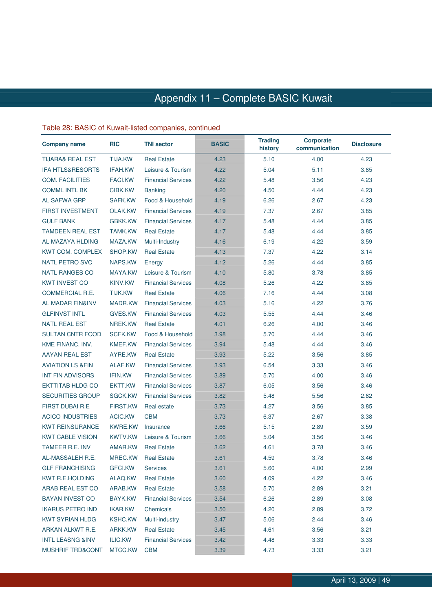### Table 28: BASIC of Kuwait-listed companies, continued

| <b>Company name</b>         | <b>RIC</b>      | <b>TNI sector</b>         | <b>BASIC</b> | <b>Trading</b><br>history | <b>Corporate</b><br>communication | <b>Disclosure</b> |
|-----------------------------|-----------------|---------------------------|--------------|---------------------------|-----------------------------------|-------------------|
| <b>TIJARA&amp; REAL EST</b> | <b>TIJA.KW</b>  | <b>Real Estate</b>        | 4.23         | 5.10                      | 4.00                              | 4.23              |
| <b>IFA HTLS&amp;RESORTS</b> | <b>IFAH.KW</b>  | Leisure & Tourism         | 4.22         | 5.04                      | 5.11                              | 3.85              |
| <b>COM. FACILITIES</b>      | <b>FACI.KW</b>  | <b>Financial Services</b> | 4.22         | 5.48                      | 3.56                              | 4.23              |
| <b>COMML INTL BK</b>        | CIBK.KW         | <b>Banking</b>            | 4.20         | 4.50                      | 4.44                              | 4.23              |
| <b>AL SAFWA GRP</b>         | SAFK.KW         | Food & Household          | 4.19         | 6.26                      | 2.67                              | 4.23              |
| <b>FIRST INVESTMENT</b>     | OLAK.KW         | <b>Financial Services</b> | 4.19         | 7.37                      | 2.67                              | 3.85              |
| <b>GULF BANK</b>            | <b>GBKK.KW</b>  | <b>Financial Services</b> | 4.17         | 5.48                      | 4.44                              | 3.85              |
| <b>TAMDEEN REAL EST</b>     | <b>TAMK.KW</b>  | <b>Real Estate</b>        | 4.17         | 5.48                      | 4.44                              | 3.85              |
| AL MAZAYA HLDING            | MAZA.KW         | Multi-Industry            | 4.16         | 6.19                      | 4.22                              | 3.59              |
| <b>KWT COM. COMPLEX</b>     | SHOP.KW         | <b>Real Estate</b>        | 4.13         | 7.37                      | 4.22                              | 3.14              |
| <b>NATL PETRO SVC</b>       | NAPS.KW         | Energy                    | 4.12         | 5.26                      | 4.44                              | 3.85              |
| <b>NATL RANGES CO</b>       | MAYA.KW         | Leisure & Tourism         | 4.10         | 5.80                      | 3.78                              | 3.85              |
| <b>KWT INVEST CO</b>        | KINV.KW         | <b>Financial Services</b> | 4.08         | 5.26                      | 4.22                              | 3.85              |
| <b>COMMERCIAL R.E.</b>      | <b>TIJK.KW</b>  | <b>Real Estate</b>        | 4.06         | 7.16                      | 4.44                              | 3.08              |
| <b>AL MADAR FIN&amp;INV</b> | MADR.KW         | <b>Financial Services</b> | 4.03         | 5.16                      | 4.22                              | 3.76              |
| <b>GLFINVST INTL</b>        | GVES.KW         | <b>Financial Services</b> | 4.03         | 5.55                      | 4.44                              | 3.46              |
| <b>NATL REAL EST</b>        | NREK.KW         | <b>Real Estate</b>        | 4.01         | 6.26                      | 4.00                              | 3.46              |
| <b>SULTAN CNTR FOOD</b>     | <b>SCFK.KW</b>  | Food & Household          | 3.98         | 5.70                      | 4.44                              | 3.46              |
| KME FINANC. INV.            | <b>KMEF.KW</b>  | <b>Financial Services</b> | 3.94         | 5.48                      | 4.44                              | 3.46              |
| <b>AAYAN REAL EST</b>       | AYRE.KW         | <b>Real Estate</b>        | 3.93         | 5.22                      | 3.56                              | 3.85              |
| <b>AVIATION LS &amp;FIN</b> | ALAF.KW         | <b>Financial Services</b> | 3.93         | 6.54                      | 3.33                              | 3.46              |
| <b>INT FIN ADVISORS</b>     | <b>IFIN.KW</b>  | <b>Financial Services</b> | 3.89         | 5.70                      | 4.00                              | 3.46              |
| <b>EKTTITAB HLDG CO</b>     | EKTT.KW         | <b>Financial Services</b> | 3.87         | 6.05                      | 3.56                              | 3.46              |
| <b>SECURITIES GROUP</b>     | SGCK.KW         | <b>Financial Services</b> | 3.82         | 5.48                      | 5.56                              | 2.82              |
| <b>FIRST DUBAI R.E</b>      | <b>FIRST.KW</b> | Real estate               | 3.73         | 4.27                      | 3.56                              | 3.85              |
| <b>ACICO INDUSTRIES</b>     | ACIC.KW         | <b>CBM</b>                | 3.73         | 6.37                      | 2.67                              | 3.38              |
| <b>KWT REINSURANCE</b>      | <b>KWRE.KW</b>  | Insurance                 | 3.66         | 5.15                      | 2.89                              | 3.59              |
| <b>KWT CABLE VISION</b>     | <b>KWTV.KW</b>  | Leisure & Tourism         | 3.66         | 5.04                      | 3.56                              | 3.46              |
| <b>TAMEER R.E. INV</b>      | AMAR.KW         | <b>Real Estate</b>        | 3.62         | 4.61                      | 3.78                              | 3.46              |
| AL-MASSALEH R.E.            | MREC.KW         | <b>Real Estate</b>        | 3.61         | 4.59                      | 3.78                              | 3.46              |
| <b>GLF FRANCHISING</b>      | <b>GFCI.KW</b>  | <b>Services</b>           | 3.61         | 5.60                      | 4.00                              | 2.99              |
| <b>KWT R.E.HOLDING</b>      | ALAQ.KW         | <b>Real Estate</b>        | 3.60         | 4.09                      | 4.22                              | 3.46              |
| ARAB REAL EST CO            | ARAB.KW         | <b>Real Estate</b>        | 3.58         | 5.70                      | 2.89                              | 3.21              |
| <b>BAYAN INVEST CO</b>      | <b>BAYK.KW</b>  | <b>Financial Services</b> | 3.54         | 6.26                      | 2.89                              | 3.08              |
| <b>IKARUS PETRO IND</b>     | IKAR.KW         | Chemicals                 | 3.50         | 4.20                      | 2.89                              | 3.72              |
| <b>KWT SYRIAN HLDG</b>      | <b>KSHC.KW</b>  | Multi-industry            | 3.47         | 5.06                      | 2.44                              | 3.46              |
| ARKAN ALKWT R.E.            | ARKK.KW         | <b>Real Estate</b>        | 3.45         | 4.61                      | 3.56                              | 3.21              |
| <b>INTL LEASNG &amp;INV</b> | ILIC.KW         | <b>Financial Services</b> | 3.42         | 4.48                      | 3.33                              | 3.33              |
| <b>MUSHRIF TRD&amp;CONT</b> | MTCC.KW         | <b>CBM</b>                | 3.39         | 4.73                      | 3.33                              | 3.21              |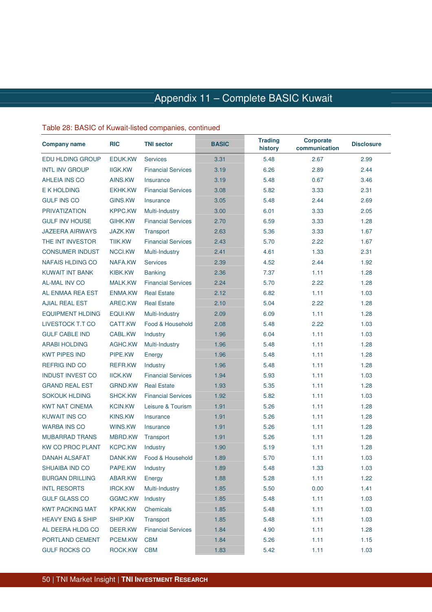#### Table 28: BASIC of Kuwait-listed companies, continued

| <b>Company name</b>         | <b>RIC</b>     | <b>TNI sector</b>         | <b>BASIC</b> | <b>Trading</b><br>history | <b>Corporate</b><br>communication | <b>Disclosure</b> |
|-----------------------------|----------------|---------------------------|--------------|---------------------------|-----------------------------------|-------------------|
| <b>EDU HLDING GROUP</b>     | EDUK.KW        | <b>Services</b>           | 3.31         | 5.48                      | 2.67                              | 2.99              |
| <b>INTL INV GROUP</b>       | <b>IIGK.KW</b> | <b>Financial Services</b> | 3.19         | 6.26                      | 2.89                              | 2.44              |
| <b>AHLEIA INS CO</b>        | AINS.KW        | Insurance                 | 3.19         | 5.48                      | 0.67                              | 3.46              |
| E K HOLDING                 | EKHK.KW        | <b>Financial Services</b> | 3.08         | 5.82                      | 3.33                              | 2.31              |
| <b>GULF INS CO</b>          | <b>GINS.KW</b> | Insurance                 | 3.05         | 5.48                      | 2.44                              | 2.69              |
| <b>PRIVATIZATION</b>        | <b>KPPC.KW</b> | Multi-Industry            | 3.00         | 6.01                      | 3.33                              | 2.05              |
| <b>GULF INV HOUSE</b>       | GIHK.KW        | <b>Financial Services</b> | 2.70         | 6.59                      | 3.33                              | 1.28              |
| <b>JAZEERA AIRWAYS</b>      | JAZK.KW        | Transport                 | 2.63         | 5.36                      | 3.33                              | 1.67              |
| THE INT INVESTOR            | TIIK.KW        | <b>Financial Services</b> | 2.43         | 5.70                      | 2.22                              | 1.67              |
| <b>CONSUMER INDUST</b>      | NCCI.KW        | Multi-Industry            | 2.41         | 4.61                      | 1.33                              | 2.31              |
| <b>NAFAIS HLDING CO</b>     | NAFA.KW        | <b>Services</b>           | 2.39         | 4.52                      | 2.44                              | 1.92              |
| <b>KUWAIT INT BANK</b>      | KIBK.KW        | <b>Banking</b>            | 2.36         | 7.37                      | 1.11                              | 1.28              |
| <b>AL-MAL INV CO</b>        | <b>MALK.KW</b> | <b>Financial Services</b> | 2.24         | 5.70                      | 2.22                              | 1.28              |
| AL ENMAA REA EST            | <b>ENMA.KW</b> | <b>Real Estate</b>        | 2.12         | 6.82                      | 1.11                              | 1.03              |
| <b>AJIAL REAL EST</b>       | AREC.KW        | <b>Real Estate</b>        | 2.10         | 5.04                      | 2.22                              | 1.28              |
| <b>EQUIPMENT HLDING</b>     | EQUI.KW        | Multi-Industry            | 2.09         | 6.09                      | 1.11                              | 1.28              |
| <b>LIVESTOCK T.T CO</b>     | CATT.KW        | Food & Household          | 2.08         | 5.48                      | 2.22                              | 1.03              |
| <b>GULF CABLE IND</b>       | CABL.KW        | Industry                  | 1.96         | 6.04                      | 1.11                              | 1.03              |
| <b>ARABI HOLDING</b>        | AGHC.KW        | Multi-Industry            | 1.96         | 5.48                      | 1.11                              | 1.28              |
| <b>KWT PIPES IND</b>        | PIPE.KW        | Energy                    | 1.96         | 5.48                      | 1.11                              | 1.28              |
| <b>REFRIG IND CO</b>        | REFR.KW        | Industry                  | 1.96         | 5.48                      | 1.11                              | 1.28              |
| <b>INDUST INVEST CO</b>     | <b>IICK.KW</b> | <b>Financial Services</b> | 1.94         | 5.93                      | 1.11                              | 1.03              |
| <b>GRAND REAL EST</b>       | <b>GRND.KW</b> | <b>Real Estate</b>        | 1.93         | 5.35                      | 1.11                              | 1.28              |
| <b>SOKOUK HLDING</b>        | <b>SHCK.KW</b> | <b>Financial Services</b> | 1.92         | 5.82                      | 1.11                              | 1.03              |
| <b>KWT NAT CINEMA</b>       | <b>KCIN.KW</b> | Leisure & Tourism         | 1.91         | 5.26                      | 1.11                              | 1.28              |
| <b>KUWAIT INS CO</b>        | <b>KINS.KW</b> | Insurance                 | 1.91         | 5.26                      | 1.11                              | 1.28              |
| <b>WARBA INS CO</b>         | WINS.KW        | Insurance                 | 1.91         | 5.26                      | 1.11                              | 1.28              |
| <b>MUBARRAD TRANS</b>       | MBRD.KW        | Transport                 | 1.91         | 5.26                      | 1.11                              | 1.28              |
| <b>KW CO PROC PLANT</b>     | <b>KCPC.KW</b> | Industry                  | 1.90         | 5.19                      | 1.11                              | 1.28              |
| DANAH ALSAFAT               | DANK.KW        | Food & Household          | 1.89         | 5.70                      | 1.11                              | 1.03              |
| <b>SHUAIBA IND CO</b>       | PAPE.KW        | Industry                  | 1.89         | 5.48                      | 1.33                              | 1.03              |
| <b>BURGAN DRILLING</b>      | ABAR.KW        | Energy                    | 1.88         | 5.28                      | 1.11                              | 1.22              |
| <b>INTL RESORTS</b>         | <b>IRCK.KW</b> | Multi-Industry            | 1.85         | 5.50                      | 0.00                              | 1.41              |
| <b>GULF GLASS CO</b>        | GGMC.KW        | Industry                  | 1.85         | 5.48                      | 1.11                              | 1.03              |
| <b>KWT PACKING MAT</b>      | <b>KPAK.KW</b> | Chemicals                 | 1.85         | 5.48                      | 1.11                              | 1.03              |
| <b>HEAVY ENG &amp; SHIP</b> | SHIP.KW        | Transport                 | 1.85         | 5.48                      | 1.11                              | 1.03              |
| AL DEERA HLDG CO            | DEER.KW        | <b>Financial Services</b> | 1.84         | 4.90                      | 1.11                              | 1.28              |
| PORTLAND CEMENT             | PCEM.KW        | <b>CBM</b>                | 1.84         | 5.26                      | 1.11                              | 1.15              |
| <b>GULF ROCKS CO</b>        | ROCK.KW        | <b>CBM</b>                | 1.83         | 5.42                      | 1.11                              | 1.03              |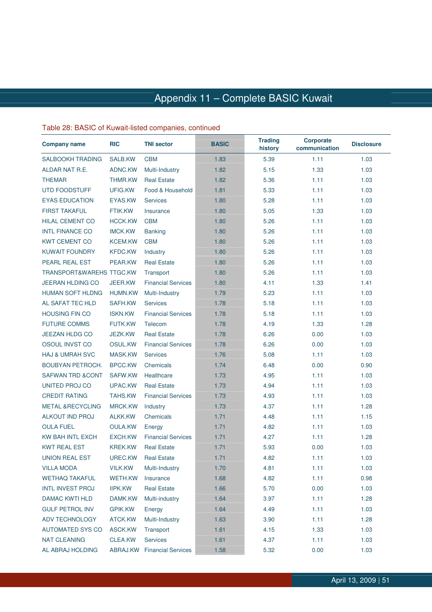### Table 28: BASIC of Kuwait-listed companies, continued

| <b>Company name</b>                 | <b>RIC</b>     | <b>TNI sector</b>                  | <b>BASIC</b> | <b>Trading</b><br>history | <b>Corporate</b><br>communication | <b>Disclosure</b> |
|-------------------------------------|----------------|------------------------------------|--------------|---------------------------|-----------------------------------|-------------------|
| <b>SALBOOKH TRADING</b>             | SALB.KW        | <b>CBM</b>                         | 1.83         | 5.39                      | 1.11                              | 1.03              |
| ALDAR NAT R.E.                      | ADNC.KW        | Multi-Industry                     | 1.82         | 5.15                      | 1.33                              | 1.03              |
| <b>THEMAR</b>                       | <b>THMR.KW</b> | <b>Real Estate</b>                 | 1.82         | 5.36                      | 1.11                              | 1.03              |
| <b>UTD FOODSTUFF</b>                | UFIG.KW        | Food & Household                   | 1.81         | 5.33                      | 1.11                              | 1.03              |
| <b>EYAS EDUCATION</b>               | EYAS.KW        | <b>Services</b>                    | 1.80         | 5.28                      | 1.11                              | 1.03              |
| <b>FIRST TAKAFUL</b>                | <b>FTIK.KW</b> | Insurance                          | 1.80         | 5.05                      | 1.33                              | 1.03              |
| <b>HILAL CEMENT CO</b>              | <b>HCCK.KW</b> | <b>CBM</b>                         | 1.80         | 5.26                      | 1.11                              | 1.03              |
| <b>INTL FINANCE CO</b>              | <b>IMCK.KW</b> | <b>Banking</b>                     | 1.80         | 5.26                      | 1.11                              | 1.03              |
| <b>KWT CEMENT CO</b>                | <b>KCEM.KW</b> | <b>CBM</b>                         | 1.80         | 5.26                      | 1.11                              | 1.03              |
| <b>KUWAIT FOUNDRY</b>               | <b>KFDC.KW</b> | Industry                           | 1.80         | 5.26                      | 1.11                              | 1.03              |
| PEARL REAL EST                      | PEAR.KW        | <b>Real Estate</b>                 | 1.80         | 5.26                      | 1.11                              | 1.03              |
| <b>TRANSPORT&amp;WAREHS TTGC.KW</b> |                | Transport                          | 1.80         | 5.26                      | 1.11                              | 1.03              |
| <b>JEERAN HLDING CO</b>             | JEER.KW        | <b>Financial Services</b>          | 1.80         | 4.11                      | 1.33                              | 1.41              |
| <b>HUMAN SOFT HLDNG</b>             | <b>HUMN.KW</b> | Multi-Industry                     | 1.79         | 5.23                      | 1.11                              | 1.03              |
| AL SAFAT TEC HLD                    | SAFH.KW        | <b>Services</b>                    | 1.78         | 5.18                      | 1.11                              | 1.03              |
| <b>HOUSING FIN CO</b>               | <b>ISKN.KW</b> | <b>Financial Services</b>          | 1.78         | 5.18                      | 1.11                              | 1.03              |
| <b>FUTURE COMMS</b>                 | FUTK.KW        | Telecom                            | 1.78         | 4.19                      | 1.33                              | 1.28              |
| <b>JEEZAN HLDG CO</b>               | <b>JEZK.KW</b> | <b>Real Estate</b>                 | 1.78         | 6.26                      | 0.00                              | 1.03              |
| OSOUL INVST CO                      | OSUL.KW        | <b>Financial Services</b>          | 1.78         | 6.26                      | 0.00                              | 1.03              |
| <b>HAJ &amp; UMRAH SVC</b>          | MASK.KW        | <b>Services</b>                    | 1.76         | 5.08                      | 1.11                              | 1.03              |
| <b>BOUBYAN PETROCH.</b>             | <b>BPCC.KW</b> | <b>Chemicals</b>                   | 1.74         | 6.48                      | 0.00                              | 0.90              |
| <b>SAFWAN TRD &amp;CONT</b>         | SAFW.KW        | Healthcare                         | 1.73         | 4.95                      | 1.11                              | 1.03              |
| UNITED PROJ CO                      | UPAC.KW        | <b>Real Estate</b>                 | 1.73         | 4.94                      | 1.11                              | 1.03              |
| <b>CREDIT RATING</b>                | <b>TAHS.KW</b> | <b>Financial Services</b>          | 1.73         | 4.93                      | 1.11                              | 1.03              |
| <b>METAL &amp;RECYCLING</b>         | <b>MRCK.KW</b> | Industry                           | 1.73         | 4.37                      | 1.11                              | 1.28              |
| <b>ALKOUT IND PROJ</b>              | <b>ALKK.KW</b> | Chemicals                          | 1.71         | 4.48                      | 1.11                              | 1.15              |
| <b>OULA FUEL</b>                    | <b>OULA.KW</b> | Energy                             | 1.71         | 4.82                      | 1.11                              | 1.03              |
| KW BAH INTL EXCH                    | EXCH.KW        | <b>Financial Services</b>          | 1.71         | 4.27                      | 1.11                              | 1.28              |
| <b>KWT REAL EST</b>                 | <b>KREK.KW</b> | <b>Real Estate</b>                 | 1.71         | 5.93                      | 0.00                              | 1.03              |
| UNION REAL EST                      | UREC.KW        | <b>Real Estate</b>                 | 1.71         | 4.82                      | 1.11                              | 1.03              |
| <b>VILLA MODA</b>                   | <b>VILK.KW</b> | Multi-Industry                     | 1.70         | 4.81                      | 1.11                              | 1.03              |
| <b>WETHAQ TAKAFUL</b>               | <b>WETH.KW</b> | Insurance                          | 1.68         | 4.82                      | 1.11                              | 0.98              |
| <b>INTL INVEST PROJ</b>             | <b>IIPK.KW</b> | <b>Real Estate</b>                 | 1.66         | 5.70                      | 0.00                              | 1.03              |
| <b>DAMAC KWTI HLD</b>               | DAMK.KW        | Multi-industry                     | 1.64         | 3.97                      | 1.11                              | 1.28              |
| <b>GULF PETROL INV</b>              | <b>GPIK.KW</b> | Energy                             | 1.64         | 4.49                      | 1.11                              | 1.03              |
| <b>ADV TECHNOLOGY</b>               | ATCK.KW        | Multi-Industry                     | 1.63         | 3.90                      | 1.11                              | 1.28              |
| <b>AUTOMATED SYS CO</b>             | ASCK.KW        | Transport                          | 1.61         | 4.15                      | 1.33                              | 1.03              |
| <b>NAT CLEANING</b>                 | CLEA.KW        | <b>Services</b>                    | 1.61         | 4.37                      | 1.11                              | 1.03              |
| AL ABRAJ HOLDING                    |                | <b>ABRAJ.KW</b> Financial Services | 1.58         | 5.32                      | 0.00                              | 1.03              |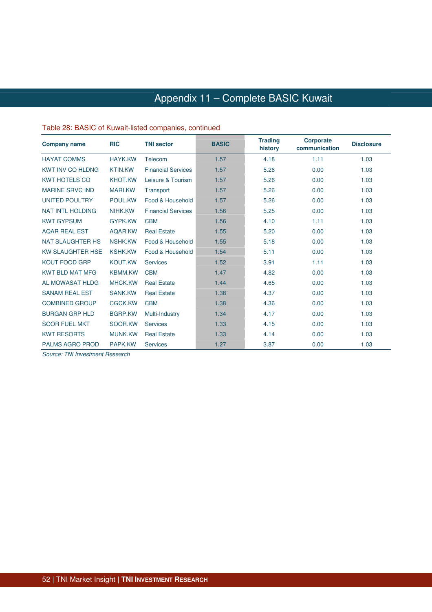#### Table 28: BASIC of Kuwait-listed companies, continued

| <b>Company name</b>     | <b>RIC</b>     | <b>TNI sector</b>         | <b>BASIC</b> | <b>Trading</b><br>history | <b>Corporate</b><br>communication | <b>Disclosure</b> |
|-------------------------|----------------|---------------------------|--------------|---------------------------|-----------------------------------|-------------------|
| <b>HAYAT COMMS</b>      | <b>HAYK.KW</b> | Telecom                   | 1.57         | 4.18                      | 1.11                              | 1.03              |
| <b>KWT INV CO HLDNG</b> | <b>KTIN.KW</b> | <b>Financial Services</b> | 1.57         | 5.26                      | 0.00                              | 1.03              |
| <b>KWT HOTELS CO</b>    | <b>KHOT.KW</b> | Leisure & Tourism         | 1.57         | 5.26                      | 0.00                              | 1.03              |
| <b>MARINE SRVC IND</b>  | <b>MARI.KW</b> | Transport                 | 1.57         | 5.26                      | 0.00                              | 1.03              |
| <b>UNITED POULTRY</b>   | POUL.KW        | Food & Household          | 1.57         | 5.26                      | 0.00                              | 1.03              |
| <b>NAT INTL HOLDING</b> | NIHK.KW        | <b>Financial Services</b> | 1.56         | 5.25                      | 0.00                              | 1.03              |
| <b>KWT GYPSUM</b>       | <b>GYPK.KW</b> | <b>CBM</b>                | 1.56         | 4.10                      | 1.11                              | 1.03              |
| <b>AQAR REAL EST</b>    | AQAR.KW        | <b>Real Estate</b>        | 1.55         | 5.20                      | 0.00                              | 1.03              |
| <b>NAT SLAUGHTER HS</b> | <b>NSHK.KW</b> | Food & Household          | 1.55         | 5.18                      | 0.00                              | 1.03              |
| <b>KW SLAUGHTER HSE</b> | <b>KSHK.KW</b> | Food & Household          | 1.54         | 5.11                      | 0.00                              | 1.03              |
| <b>KOUT FOOD GRP</b>    | <b>KOUT.KW</b> | <b>Services</b>           | 1.52         | 3.91                      | 1.11                              | 1.03              |
| <b>KWT BLD MAT MFG</b>  | <b>KBMM.KW</b> | <b>CBM</b>                | 1.47         | 4.82                      | 0.00                              | 1.03              |
| AL MOWASAT HLDG         | <b>MHCK.KW</b> | <b>Real Estate</b>        | 1.44         | 4.65                      | 0.00                              | 1.03              |
| <b>SANAM REAL EST</b>   | <b>SANK.KW</b> | <b>Real Estate</b>        | 1.38         | 4.37                      | 0.00                              | 1.03              |
| <b>COMBINED GROUP</b>   | <b>CGCK.KW</b> | <b>CBM</b>                | 1.38         | 4.36                      | 0.00                              | 1.03              |
| <b>BURGAN GRP HLD</b>   | <b>BGRP.KW</b> | Multi-Industry            | 1.34         | 4.17                      | 0.00                              | 1.03              |
| <b>SOOR FUEL MKT</b>    | SOOR.KW        | <b>Services</b>           | 1.33         | 4.15                      | 0.00                              | 1.03              |
| <b>KWT RESORTS</b>      | <b>MUNK.KW</b> | <b>Real Estate</b>        | 1.33         | 4.14                      | 0.00                              | 1.03              |
| <b>PALMS AGRO PROD</b>  | PAPK.KW        | <b>Services</b>           | 1.27         | 3.87                      | 0.00                              | 1.03              |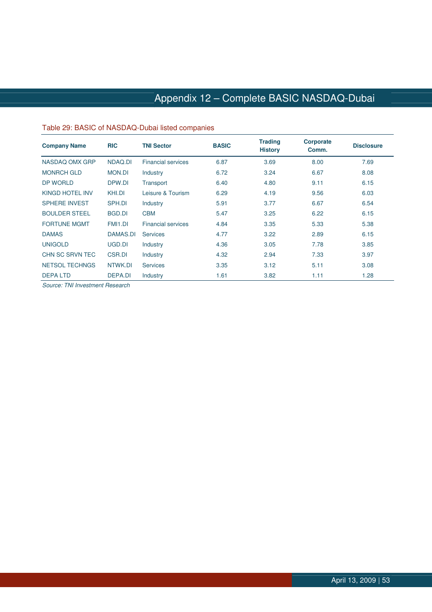## Appendix 12 – Complete BASIC NASDAQ-Dubai

#### Table 29: BASIC of NASDAQ-Dubai listed companies

| <b>Company Name</b>   | <b>RIC</b>     | <b>TNI Sector</b>         | <b>BASIC</b> | <b>Trading</b><br><b>History</b> | <b>Corporate</b><br>Comm. | <b>Disclosure</b> |
|-----------------------|----------------|---------------------------|--------------|----------------------------------|---------------------------|-------------------|
| NASDAQ OMX GRP        | NDAQ.DI        | <b>Financial services</b> | 6.87         | 3.69                             | 8.00                      | 7.69              |
| <b>MONRCH GLD</b>     | <b>MON.DI</b>  | Industry                  | 6.72         | 3.24                             | 6.67                      | 8.08              |
| DP WORLD              | DPW.DI         | Transport                 | 6.40         | 4.80                             | 9.11                      | 6.15              |
| KINGD HOTEL INV       | KHI.DI         | Leisure & Tourism         | 6.29         | 4.19                             | 9.56                      | 6.03              |
| <b>SPHERE INVEST</b>  | SPH.DI         | Industry                  | 5.91         | 3.77                             | 6.67                      | 6.54              |
| <b>BOULDER STEEL</b>  | BGD.DI         | <b>CBM</b>                | 5.47         | 3.25                             | 6.22                      | 6.15              |
| <b>FORTUNE MGMT</b>   | FMI1.DI        | <b>Financial services</b> | 4.84         | 3.35                             | 5.33                      | 5.38              |
| <b>DAMAS</b>          | DAMAS.DI       | <b>Services</b>           | 4.77         | 3.22                             | 2.89                      | 6.15              |
| <b>UNIGOLD</b>        | UGD.DI         | Industry                  | 4.36         | 3.05                             | 7.78                      | 3.85              |
| CHN SC SRVN TEC       | CSR.DI         | Industry                  | 4.32         | 2.94                             | 7.33                      | 3.97              |
| <b>NETSOL TECHNGS</b> | NTWK.DI        | <b>Services</b>           | 3.35         | 3.12                             | 5.11                      | 3.08              |
| <b>DEPALTD</b>        | <b>DEPA.DI</b> | Industry                  | 1.61         | 3.82                             | 1.11                      | 1.28              |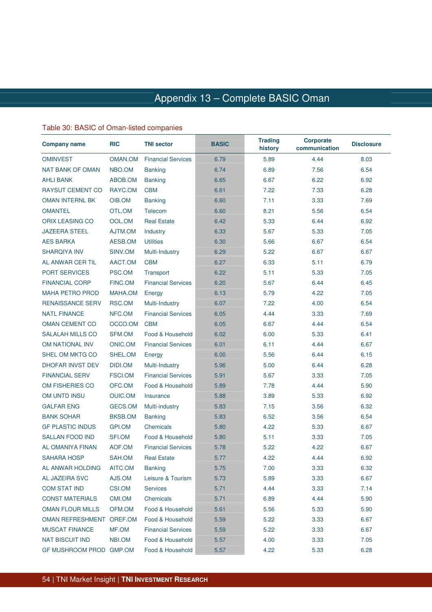### Table 30: BASIC of Oman-listed companies

| <b>Company name</b>     | <b>RIC</b>     | <b>TNI sector</b>         | <b>BASIC</b> | <b>Trading</b><br>history | <b>Corporate</b><br>communication | <b>Disclosure</b> |
|-------------------------|----------------|---------------------------|--------------|---------------------------|-----------------------------------|-------------------|
| <b>OMINVEST</b>         | OMAN.OM        | <b>Financial Services</b> | 6.79         | 5.89                      | 4.44                              | 8.03              |
| <b>NAT BANK OF OMAN</b> | NBO.OM         | <b>Banking</b>            | 6.74         | 6.89                      | 7.56                              | 6.54              |
| <b>AHLI BANK</b>        | ABOB.OM        | <b>Banking</b>            | 6.65         | 6.67                      | 6.22                              | 6.92              |
| <b>RAYSUT CEMENT CO</b> | RAYC.OM        | <b>CBM</b>                | 6.61         | 7.22                      | 7.33                              | 6.28              |
| <b>OMAN INTERNL BK</b>  | OIB.OM         | <b>Banking</b>            | 6.60         | 7.11                      | 3.33                              | 7.69              |
| <b>OMANTEL</b>          | OTL.OM         | Telecom                   | 6.60         | 8.21                      | 5.56                              | 6.54              |
| <b>ORIX LEASING CO</b>  | OOL.OM         | <b>Real Estate</b>        | 6.42         | 5.33                      | 6.44                              | 6.92              |
| <b>JAZEERA STEEL</b>    | AJTM.OM        | Industry                  | 6.33         | 5.67                      | 5.33                              | 7.05              |
| <b>AES BARKA</b>        | AESB.OM        | <b>Utilities</b>          | 6.30         | 5.66                      | 6.67                              | 6.54              |
| <b>SHARQIYA INV</b>     | SINV.OM        | Multi-Industry            | 6.29         | 5.22                      | 6.67                              | 6.67              |
| AL ANWAR CER TIL        | AACT.OM        | <b>CBM</b>                | 6.27         | 6.33                      | 5.11                              | 6.79              |
| <b>PORT SERVICES</b>    | PSC.OM         | Transport                 | 6.22         | 5.11                      | 5.33                              | 7.05              |
| <b>FINANCIAL CORP</b>   | FINC.OM        | <b>Financial Services</b> | 6.20         | 5.67                      | 6.44                              | 6.45              |
| <b>MAHA PETRO PROD</b>  | MAHA.OM        | Energy                    | 6.13         | 5.79                      | 4.22                              | 7.05              |
| <b>RENAISSANCE SERV</b> | RSC.OM         | Multi-Industry            | 6.07         | 7.22                      | 4.00                              | 6.54              |
| <b>NATL FINANCE</b>     | NFC.OM         | <b>Financial Services</b> | 6.05         | 4.44                      | 3.33                              | 7.69              |
| <b>OMAN CEMENT CO</b>   | OCCO.OM        | <b>CBM</b>                | 6.05         | 6.67                      | 4.44                              | 6.54              |
| <b>SALALAH MILLS CO</b> | SFM.OM         | Food & Household          | 6.02         | 6.00                      | 5.33                              | 6.41              |
| OM NATIONAL INV         | ONIC.OM        | <b>Financial Services</b> | 6.01         | 6.11                      | 4.44                              | 6.67              |
| SHEL OM MKTG CO         | SHEL.OM        | Energy                    | 6.00         | 5.56                      | 6.44                              | 6.15              |
| DHOFAR INVST DEV        | DIDI.OM        | Multi-Industry            | 5.96         | 5.00                      | 6.44                              | 6.28              |
| <b>FINANCIAL SERV</b>   | <b>FSCI.OM</b> | <b>Financial Services</b> | 5.91         | 5.67                      | 3.33                              | 7.05              |
| OM FISHERIES CO         | OFC.OM         | Food & Household          | 5.89         | 7.78                      | 4.44                              | 5.90              |
| OM UNTD INSU            | <b>OUIC.OM</b> | Insurance                 | 5.88         | 3.89                      | 5.33                              | 6.92              |
| <b>GALFAR ENG</b>       | GECS.OM        | Multi-industry            | 5.83         | 7.15                      | 3.56                              | 6.32              |
| <b>BANK SOHAR</b>       | BKSB.OM        | <b>Banking</b>            | 5.83         | 6.52                      | 3.56                              | 6.54              |
| <b>GF PLASTIC INDUS</b> | GPI.OM         | Chemicals                 | 5.80         | 4.22                      | 5.33                              | 6.67              |
| <b>SALLAN FOOD IND</b>  | SFI.OM         | Food & Household          | 5.80         | 5.11                      | 3.33                              | 7.05              |
| AL OMANIYA FINAN        | AOF.OM         | <b>Financial Services</b> | 5.78         | 5.22                      | 4.22                              | 6.67              |
| SAHARA HOSP             | SAH.OM         | <b>Real Estate</b>        | 5.77         | 4.22                      | 4.44                              | 6.92              |
| AL ANWAR HOLDING        | AITC.OM        | <b>Banking</b>            | 5.75         | 7.00                      | 3.33                              | 6.32              |
| AL JAZEIRA SVC          | AJS.OM         | Leisure & Tourism         | 5.73         | 5.89                      | 3.33                              | 6.67              |
| <b>COM STAT IND</b>     | <b>CSI.OM</b>  | <b>Services</b>           | 5.71         | 4.44                      | 3.33                              | 7.14              |
| <b>CONST MATERIALS</b>  | CMI.OM         | Chemicals                 | 5.71         | 6.89                      | 4.44                              | 5.90              |
| <b>OMAN FLOUR MILLS</b> | OFM.OM         | Food & Household          | 5.61         | 5.56                      | 5.33                              | 5.90              |
| <b>OMAN REFRESHMENT</b> | OREF.OM        | Food & Household          | 5.59         | 5.22                      | 3.33                              | 6.67              |
| <b>MUSCAT FINANCE</b>   | MF.OM          | <b>Financial Services</b> | 5.59         | 5.22                      | 3.33                              | 6.67              |
| <b>NAT BISCUIT IND</b>  | NBI.OM         | Food & Household          | 5.57         | 4.00                      | 3.33                              | 7.05              |
| <b>GF MUSHROOM PROD</b> | GMP.OM         | Food & Household          | 5.57         | 4.22                      | 5.33                              | 6.28              |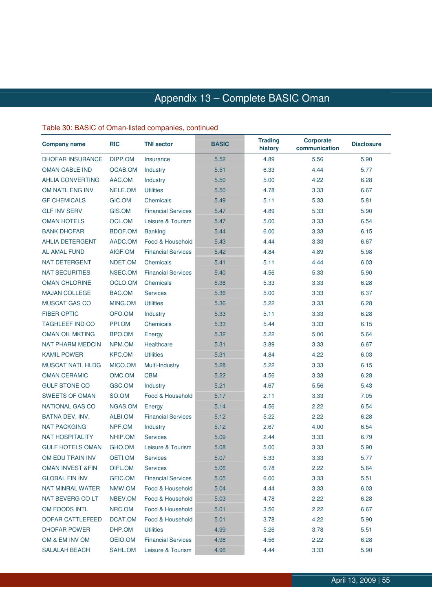### Table 30: BASIC of Oman-listed companies, continued

| <b>Company name</b>         | <b>RIC</b>     | <b>TNI sector</b>         | <b>BASIC</b> | <b>Trading</b><br>history | <b>Corporate</b><br>communication | <b>Disclosure</b> |
|-----------------------------|----------------|---------------------------|--------------|---------------------------|-----------------------------------|-------------------|
| <b>DHOFAR INSURANCE</b>     | DIPP.OM        | Insurance                 | 5.52         | 4.89                      | 5.56                              | 5.90              |
| <b>OMAN CABLE IND</b>       | OCAB.OM        | Industry                  | 5.51         | 6.33                      | 4.44                              | 5.77              |
| <b>AHLIA CONVERTING</b>     | AAC.OM         | Industry                  | 5.50         | 5.00                      | 4.22                              | 6.28              |
| OM NATL ENG INV             | NELE.OM        | <b>Utilities</b>          | 5.50         | 4.78                      | 3.33                              | 6.67              |
| <b>GF CHEMICALS</b>         | GIC.OM         | Chemicals                 | 5.49         | 5.11                      | 5.33                              | 5.81              |
| <b>GLF INV SERV</b>         | GIS.OM         | <b>Financial Services</b> | 5.47         | 4.89                      | 5.33                              | 5.90              |
| <b>OMAN HOTELS</b>          | OCL.OM         | Leisure & Tourism         | 5.47         | 5.00                      | 3.33                              | 6.54              |
| <b>BANK DHOFAR</b>          | <b>BDOF.OM</b> | <b>Banking</b>            | 5.44         | 6.00                      | 3.33                              | 6.15              |
| <b>AHLIA DETERGENT</b>      | AADC.OM        | Food & Household          | 5.43         | 4.44                      | 3.33                              | 6.67              |
| <b>AL AMAL FUND</b>         | AIGF.OM        | <b>Financial Services</b> | 5.42         | 4.84                      | 4.89                              | 5.98              |
| NAT DETERGENT               | NDET.OM        | Chemicals                 | 5.41         | 5.11                      | 4.44                              | 6.03              |
| <b>NAT SECURITIES</b>       | NSEC.OM        | <b>Financial Services</b> | 5.40         | 4.56                      | 5.33                              | 5.90              |
| <b>OMAN CHLORINE</b>        | OCLO.OM        | Chemicals                 | 5.38         | 5.33                      | 3.33                              | 6.28              |
| <b>MAJAN COLLEGE</b>        | BAC.OM         | <b>Services</b>           | 5.36         | 5.00                      | 3.33                              | 6.37              |
| <b>MUSCAT GAS CO</b>        | MING.OM        | <b>Utilities</b>          | 5.36         | 5.22                      | 3.33                              | 6.28              |
| <b>FIBER OPTIC</b>          | OFO.OM         | Industry                  | 5.33         | 5.11                      | 3.33                              | 6.28              |
| <b>TAGHLEEF IND CO</b>      | PPI.OM         | Chemicals                 | 5.33         | 5.44                      | 3.33                              | 6.15              |
| <b>OMAN OIL MKTING</b>      | BPO.OM         | Energy                    | 5.32         | 5.22                      | 5.00                              | 5.64              |
| <b>NAT PHARM MEDCIN</b>     | NPM.OM         | Healthcare                | 5.31         | 3.89                      | 3.33                              | 6.67              |
| <b>KAMIL POWER</b>          | KPC.OM         | <b>Utilities</b>          | 5.31         | 4.84                      | 4.22                              | 6.03              |
| <b>MUSCAT NATL HLDG</b>     | MICO.OM        | Multi-Industry            | 5.28         | 5.22                      | 3.33                              | 6.15              |
| <b>OMAN CERAMIC</b>         | OMC.OM         | <b>CBM</b>                | 5.22         | 4.56                      | 3.33                              | 6.28              |
| <b>GULF STONE CO</b>        | GSC.OM         | Industry                  | 5.21         | 4.67                      | 5.56                              | 5.43              |
| <b>SWEETS OF OMAN</b>       | SO.OM          | Food & Household          | 5.17         | 2.11                      | 3.33                              | 7.05              |
| <b>NATIONAL GAS CO</b>      | NGAS.OM        | Energy                    | 5.14         | 4.56                      | 2.22                              | 6.54              |
| <b>BATNA DEV. INV.</b>      | ALBI.OM        | <b>Financial Services</b> | 5.12         | 5.22                      | 2.22                              | 6.28              |
| <b>NAT PACKGING</b>         | NPF.OM         | Industry                  | 5.12         | 2.67                      | 4.00                              | 6.54              |
| <b>NAT HOSPITALITY</b>      | NHIP.OM        | <b>Services</b>           | 5.09         | 2.44                      | 3.33                              | 6.79              |
| <b>GULF HOTELS OMAN</b>     | GHO.OM         | Leisure & Tourism         | 5.08         | 5.00                      | 3.33                              | 5.90              |
| OM EDU TRAIN INV            | OETI.OM        | Services                  | 5.07         | 5.33                      | 3.33                              | 5.77              |
| <b>OMAN INVEST &amp;FIN</b> | OIFL.OM        | <b>Services</b>           | 5.06         | 6.78                      | 2.22                              | 5.64              |
| <b>GLOBAL FIN INV</b>       | GFIC.OM        | <b>Financial Services</b> | 5.05         | 6.00                      | 3.33                              | 5.51              |
| NAT MINRAL WATER            | NMW.OM         | Food & Household          | 5.04         | 4.44                      | 3.33                              | 6.03              |
| NAT BEVERG CO LT            | NBEV.OM        | Food & Household          | 5.03         | 4.78                      | 2.22                              | 6.28              |
| OM FOODS INTL               | NRC.OM         | Food & Household          | 5.01         | 3.56                      | 2.22                              | 6.67              |
| DOFAR CATTLEFEED            | DCAT.OM        | Food & Household          | 5.01         | 3.78                      | 4.22                              | 5.90              |
| <b>DHOFAR POWER</b>         | DHP.OM         | <b>Utilities</b>          | 4.99         | 5.26                      | 3.78                              | 5.51              |
| OM & EM INV OM              | OEIO.OM        | <b>Financial Services</b> | 4.98         | 4.56                      | 2.22                              | 6.28              |
| <b>SALALAH BEACH</b>        | SAHL.OM        | Leisure & Tourism         | 4.96         | 4.44                      | 3.33                              | 5.90              |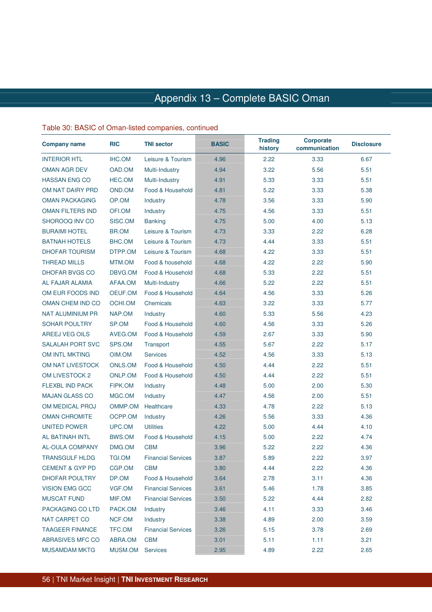#### Table 30: BASIC of Oman-listed companies, continued

| <b>Company name</b>        | <b>RIC</b>     | <b>TNI sector</b>         | <b>BASIC</b> | <b>Trading</b><br>history | <b>Corporate</b><br>communication | <b>Disclosure</b> |
|----------------------------|----------------|---------------------------|--------------|---------------------------|-----------------------------------|-------------------|
| <b>INTERIOR HTL</b>        | <b>IHC.OM</b>  | Leisure & Tourism         | 4.96         | 2.22                      | 3.33                              | 6.67              |
| <b>OMAN AGR DEV</b>        | OAD.OM         | Multi-Industry            | 4.94         | 3.22                      | 5.56                              | 5.51              |
| <b>HASSAN ENG CO</b>       | HEC.OM         | Multi-Industry            | 4.91         | 5.33                      | 3.33                              | 5.51              |
| OM NAT DAIRY PRD           | OND.OM         | Food & Household          | 4.81         | 5.22                      | 3.33                              | 5.38              |
| <b>OMAN PACKAGING</b>      | OP.OM          | Industry                  | 4.78         | 3.56                      | 3.33                              | 5.90              |
| <b>OMAN FILTERS IND</b>    | OFI.OM         | Industry                  | 4.75         | 4.56                      | 3.33                              | 5.51              |
| SHOROOQ INV CO             | SISC.OM        | <b>Banking</b>            | 4.75         | 5.00                      | 4.00                              | 5.13              |
| <b>BURAIMI HOTEL</b>       | BR.OM          | Leisure & Tourism         | 4.73         | 3.33                      | 2.22                              | 6.28              |
| <b>BATNAH HOTELS</b>       | BHC.OM         | Leisure & Tourism         | 4.73         | 4.44                      | 3.33                              | 5.51              |
| <b>DHOFAR TOURISM</b>      | DTPP.OM        | Leisure & Tourism         | 4.68         | 4.22                      | 3.33                              | 5.51              |
| <b>THREAD MILLS</b>        | MTM.OM         | Food & household          | 4.68         | 4.22                      | 2.22                              | 5.90              |
| <b>DHOFAR BVGS CO</b>      | DBVG.OM        | Food & Household          | 4.68         | 5.33                      | 2.22                              | 5.51              |
| AL FAJAR ALAMIA            | AFAA.OM        | Multi-Industry            | 4.66         | 5.22                      | 2.22                              | 5.51              |
| OM EUR FOODS IND           | OEUF.OM        | Food & Household          | 4.64         | 4.56                      | 3.33                              | 5.26              |
| OMAN CHEM IND CO           | OCHI.OM        | Chemicals                 | 4.63         | 3.22                      | 3.33                              | 5.77              |
| <b>NAT ALUMINIUM PR</b>    | NAP.OM         | Industry                  | 4.60         | 5.33                      | 5.56                              | 4.23              |
| <b>SOHAR POULTRY</b>       | SP.OM          | Food & Household          | 4.60         | 4.56                      | 3.33                              | 5.26              |
| <b>AREEJ VEG OILS</b>      | AVEG.OM        | Food & Household          | 4.59         | 2.67                      | 3.33                              | 5.90              |
| <b>SALALAH PORT SVC</b>    | SPS.OM         | Transport                 | 4.55         | 5.67                      | 2.22                              | 5.17              |
| OM INTL MKTING             | OIM.OM         | <b>Services</b>           | 4.52         | 4.56                      | 3.33                              | 5.13              |
| OM NAT LIVESTOCK           | ONLS.OM        | Food & Household          | 4.50         | 4.44                      | 2.22                              | 5.51              |
| OM LIVESTOCK 2             | <b>ONLP.OM</b> | Food & Household          | 4.50         | 4.44                      | 2.22                              | 5.51              |
| <b>FLEXBL IND PACK</b>     | FIPK.OM        | Industry                  | 4.48         | 5.00                      | 2.00                              | 5.30              |
| <b>MAJAN GLASS CO</b>      | MGC.OM         | Industry                  | 4.47         | 4.56                      | 2.00                              | 5.51              |
| OM MEDICAL PROJ            | OMMP.OM        | Healthcare                | 4.33         | 4.78                      | 2.22                              | 5.13              |
| <b>OMAN CHROMITE</b>       | OCPP.OM        | Industry                  | 4.26         | 5.56                      | 3.33                              | 4.36              |
| <b>UNITED POWER</b>        | UPC.OM         | <b>Utilities</b>          | 4.22         | 5.00                      | 4.44                              | 4.10              |
| <b>AL BATINAH INTL</b>     | BWS.OM         | Food & Household          | 4.15         | 5.00                      | 2.22                              | 4.74              |
| <b>AL-OULA COMPANY</b>     | DMG.OM         | <b>CBM</b>                | 3.96         | 5.22                      | 2.22                              | 4.36              |
| <b>TRANSGULF HLDG</b>      | <b>TGI.OM</b>  | <b>Financial Services</b> | 3.87         | 5.89                      | 2.22                              | 3.97              |
| <b>CEMENT &amp; GYP PD</b> | CGP.OM         | <b>CBM</b>                | 3.80         | 4.44                      | 2.22                              | 4.36              |
| <b>DHOFAR POULTRY</b>      | DP.OM          | Food & Household          | 3.64         | 2.78                      | 3.11                              | 4.36              |
| <b>VISION EMG GCC</b>      | VGF.OM         | <b>Financial Services</b> | 3.61         | 5.46                      | 1.78                              | 3.85              |
| <b>MUSCAT FUND</b>         | MIF.OM         | <b>Financial Services</b> | 3.50         | 5.22                      | 4.44                              | 2.82              |
| PACKAGING CO LTD           | PACK.OM        | Industry                  | 3.46         | 4.11                      | 3.33                              | 3.46              |
| NAT CARPET CO              | NCF.OM         | Industry                  | 3.38         | 4.89                      | 2.00                              | 3.59              |
| <b>TAAGEER FINANCE</b>     | TFC.OM         | <b>Financial Services</b> | 3.26         | 5.15                      | 3.78                              | 2.69              |
| ABRASIVES MFC CO           | ABRA.OM        | <b>CBM</b>                | 3.01         | 5.11                      | 1.11                              | 3.21              |
| <b>MUSAMDAM MKTG</b>       | MUSM.OM        | Services                  | 2.95         | 4.89                      | 2.22                              | 2.65              |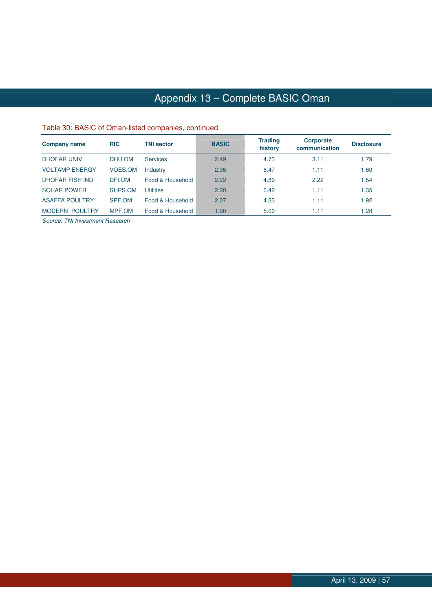### Table 30: BASIC of Oman-listed companies, continued

| <b>Company name</b>    | <b>RIC</b> | <b>TNI sector</b> | <b>BASIC</b> | <b>Trading</b><br>history | <b>Corporate</b><br>communication | <b>Disclosure</b> |
|------------------------|------------|-------------------|--------------|---------------------------|-----------------------------------|-------------------|
| <b>DHOFAR UNIV</b>     | DHU.OM     | <b>Services</b>   | 2.49         | 4.73                      | 3.11                              | 1.79              |
| <b>VOLTAMP ENERGY</b>  | VOES.OM    | Industry          | 2.36         | 6.47                      | 1.11                              | 1.60              |
| <b>DHOFAR FISH IND</b> | DFI.OM     | Food & Household  | 2.22         | 4.89                      | 2.22                              | 1.54              |
| <b>SOHAR POWER</b>     | SHPS.OM    | Utilities         | 2.20         | 6.42                      | 1.11                              | 1.35              |
| <b>ASAFFA POULTRY</b>  | SPF.OM     | Food & Household  | 2.07         | 4.33                      | 1.11                              | 1.92              |
| <b>MODERN POULTRY</b>  | MPF.OM     | Food & Household  | 1.90         | 5.00                      | 1.11                              | 1.28              |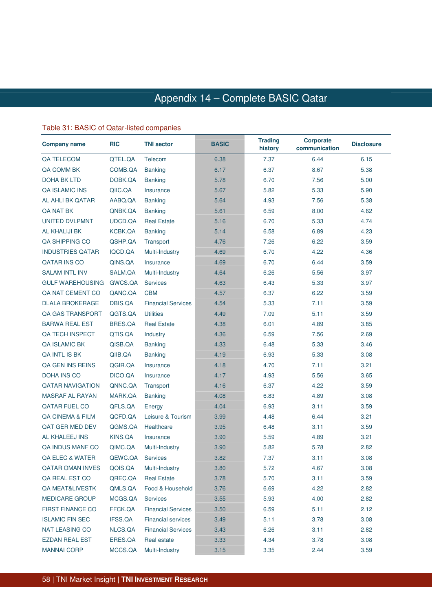### Appendix 14 – Complete BASIC Qatar

### Table 31: BASIC of Qatar-listed companies

| <b>Company name</b>     | <b>RIC</b> | <b>TNI sector</b>         | <b>BASIC</b> | <b>Trading</b><br>history | <b>Corporate</b><br>communication | <b>Disclosure</b> |
|-------------------------|------------|---------------------------|--------------|---------------------------|-----------------------------------|-------------------|
| QA TELECOM              | QTEL.QA    | Telecom                   | 6.38         | 7.37                      | 6.44                              | 6.15              |
| QA COMM BK              | COMB.QA    | <b>Banking</b>            | 6.17         | 6.37                      | 8.67                              | 5.38              |
| <b>DOHA BK LTD</b>      | DOBK.QA    | <b>Banking</b>            | 5.78         | 6.70                      | 7.56                              | 5.00              |
| <b>QA ISLAMIC INS</b>   | QIIC.QA    | Insurance                 | 5.67         | 5.82                      | 5.33                              | 5.90              |
| AL AHLI BK QATAR        | AABQ.QA    | <b>Banking</b>            | 5.64         | 4.93                      | 7.56                              | 5.38              |
| QA NAT BK               | QNBK.QA    | <b>Banking</b>            | 5.61         | 6.59                      | 8.00                              | 4.62              |
| <b>UNITED DVLPMNT</b>   | UDCD.QA    | <b>Real Estate</b>        | 5.16         | 6.70                      | 5.33                              | 4.74              |
| <b>AL KHALIJI BK</b>    | KCBK.QA    | <b>Banking</b>            | 5.14         | 6.58                      | 6.89                              | 4.23              |
| QA SHIPPING CO          | QSHP.QA    | Transport                 | 4.76         | 7.26                      | 6.22                              | 3.59              |
| <b>INDUSTRIES QATAR</b> | IQCD.QA    | Multi-Industry            | 4.69         | 6.70                      | 4.22                              | 4.36              |
| <b>QATAR INS CO</b>     | QINS.QA    | Insurance                 | 4.69         | 6.70                      | 6.44                              | 3.59              |
| <b>SALAM INTL INV</b>   | SALM.QA    | Multi-Industry            | 4.64         | 6.26                      | 5.56                              | 3.97              |
| <b>GULF WAREHOUSING</b> | GWCS.QA    | <b>Services</b>           | 4.63         | 6.43                      | 5.33                              | 3.97              |
| QA NAT CEMENT CO        | QANC.QA    | <b>CBM</b>                | 4.57         | 6.37                      | 6.22                              | 3.59              |
| <b>DLALA BROKERAGE</b>  | DBIS.QA    | <b>Financial Services</b> | 4.54         | 5.33                      | 7.11                              | 3.59              |
| <b>QA GAS TRANSPORT</b> | QGTS.QA    | <b>Utilities</b>          | 4.49         | 7.09                      | 5.11                              | 3.59              |
| <b>BARWA REAL EST</b>   | BRES.QA    | <b>Real Estate</b>        | 4.38         | 6.01                      | 4.89                              | 3.85              |
| QA TECH INSPECT         | QTIS.QA    | Industry                  | 4.36         | 6.59                      | 7.56                              | 2.69              |
| <b>QA ISLAMIC BK</b>    | QISB.QA    | <b>Banking</b>            | 4.33         | 6.48                      | 5.33                              | 3.46              |
| QA INTL IS BK           | QIIB.QA    | <b>Banking</b>            | 4.19         | 6.93                      | 5.33                              | 3.08              |
| <b>QA GEN INS REINS</b> | QGIR.QA    | Insurance                 | 4.18         | 4.70                      | 7.11                              | 3.21              |
| <b>DOHA INS CO</b>      | DICO.QA    | Insurance                 | 4.17         | 4.93                      | 5.56                              | 3.65              |
| <b>QATAR NAVIGATION</b> | QNNC.QA    | Transport                 | 4.16         | 6.37                      | 4.22                              | 3.59              |
| <b>MASRAF AL RAYAN</b>  | MARK.QA    | <b>Banking</b>            | 4.08         | 6.83                      | 4.89                              | 3.08              |
| <b>QATAR FUEL CO</b>    | QFLS.QA    | Energy                    | 4.04         | 6.93                      | 3.11                              | 3.59              |
| QA CINEMA & FILM        | QCFD.QA    | Leisure & Tourism         | 3.99         | 4.48                      | 6.44                              | 3.21              |
| QAT GER MED DEV         | QGMS.QA    | Healthcare                | 3.95         | 6.48                      | 3.11                              | 3.59              |
| <b>AL KHALEEJ INS</b>   | KINS.QA    | Insurance                 | 3.90         | 5.59                      | 4.89                              | 3.21              |
| QA INDUS MANF CO        | QIMC.QA    | Multi-Industry            | 3.90         | 5.82                      | 5.78                              | 2.82              |
| QA ELEC & WATER         | QEWC.QA    | <b>Services</b>           | 3.82         | 7.37                      | 3.11                              | 3.08              |
| <b>QATAR OMAN INVES</b> | QOIS.QA    | Multi-Industry            | 3.80         | 5.72                      | 4.67                              | 3.08              |
| QA REAL EST CO          | QREC.QA    | <b>Real Estate</b>        | 3.78         | 5.70                      | 3.11                              | 3.59              |
| QA MEAT&LIVESTK         | QMLS.QA    | Food & Household          | 3.76         | 6.69                      | 4.22                              | 2.82              |
| <b>MEDICARE GROUP</b>   | MCGS.QA    | <b>Services</b>           | 3.55         | 5.93                      | 4.00                              | 2.82              |
| <b>FIRST FINANCE CO</b> | FFCK.QA    | <b>Financial Services</b> | 3.50         | 6.59                      | 5.11                              | 2.12              |
| <b>ISLAMIC FIN SEC</b>  | IFSS.QA    | <b>Financial services</b> | 3.49         | 5.11                      | 3.78                              | 3.08              |
| <b>NAT LEASING CO</b>   | NLCS.QA    | <b>Financial Services</b> | 3.43         | 6.26                      | 3.11                              | 2.82              |
| <b>EZDAN REAL EST</b>   | ERES.QA    | Real estate               | 3.33         | 4.34                      | 3.78                              | 3.08              |
| <b>MANNAI CORP</b>      | MCCS.QA    | Multi-Industry            | 3.15         | 3.35                      | 2.44                              | 3.59              |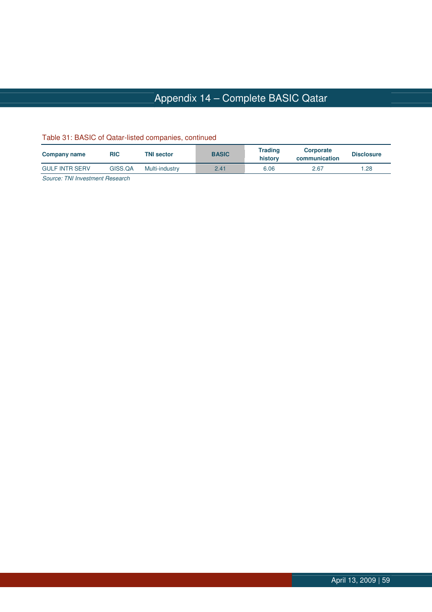# Appendix 14 – Complete BASIC Qatar

| Company name          | RIC     | <b>TNI sector</b> | <b>BASIC</b> | <b>Trading</b><br>history | Corporate<br>communication | <b>Disclosure</b> |
|-----------------------|---------|-------------------|--------------|---------------------------|----------------------------|-------------------|
| <b>GULF INTR SERV</b> | GISS.QA | Multi-industry    | 2.41         | 6.06                      | 2.67                       | 28. ا             |
| ______<br>$\sim$      |         |                   |              |                           |                            |                   |

#### Table 31: BASIC of Qatar-listed companies, continued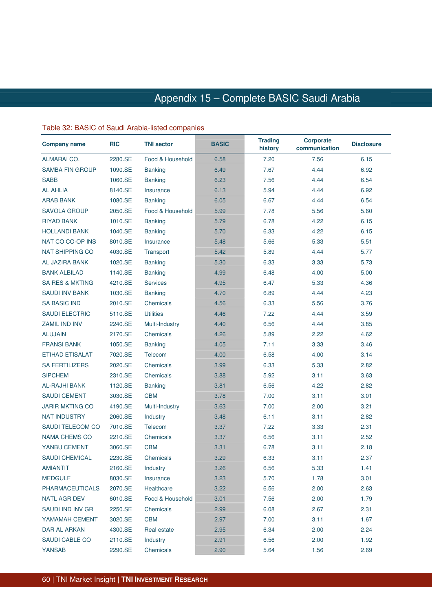### Appendix 15 – Complete BASIC Saudi Arabia Arabia

#### Table 32: BASIC of Saudi Arabia-listed companies

| <b>Company name</b>        | <b>RIC</b> | <b>TNI sector</b> | <b>BASIC</b> | <b>Trading</b><br>history | <b>Corporate</b><br>communication | <b>Disclosure</b> |
|----------------------------|------------|-------------------|--------------|---------------------------|-----------------------------------|-------------------|
| ALMARAI CO.                | 2280.SE    | Food & Household  | 6.58         | 7.20                      | 7.56                              | 6.15              |
| <b>SAMBA FIN GROUP</b>     | 1090.SE    | <b>Banking</b>    | 6.49         | 7.67                      | 4.44                              | 6.92              |
| <b>SABB</b>                | 1060.SE    | <b>Banking</b>    | 6.23         | 7.56                      | 4.44                              | 6.54              |
| <b>AL AHLIA</b>            | 8140.SE    | Insurance         | 6.13         | 5.94                      | 4.44                              | 6.92              |
| <b>ARAB BANK</b>           | 1080.SE    | <b>Banking</b>    | 6.05         | 6.67                      | 4.44                              | 6.54              |
| <b>SAVOLA GROUP</b>        | 2050.SE    | Food & Household  | 5.99         | 7.78                      | 5.56                              | 5.60              |
| <b>RIYAD BANK</b>          | 1010.SE    | <b>Banking</b>    | 5.79         | 6.78                      | 4.22                              | 6.15              |
| <b>HOLLANDI BANK</b>       | 1040.SE    | <b>Banking</b>    | 5.70         | 6.33                      | 4.22                              | 6.15              |
| NAT CO CO-OP INS           | 8010.SE    | Insurance         | 5.48         | 5.66                      | 5.33                              | 5.51              |
| <b>NAT SHIPPING CO</b>     | 4030.SE    | Transport         | 5.42         | 5.89                      | 4.44                              | 5.77              |
| <b>AL JAZIRA BANK</b>      | 1020.SE    | <b>Banking</b>    | 5.30         | 6.33                      | 3.33                              | 5.73              |
| <b>BANK ALBILAD</b>        | 1140.SE    | <b>Banking</b>    | 4.99         | 6.48                      | 4.00                              | 5.00              |
| <b>SA RES &amp; MKTING</b> | 4210.SE    | <b>Services</b>   | 4.95         | 6.47                      | 5.33                              | 4.36              |
| <b>SAUDI INV BANK</b>      | 1030.SE    | <b>Banking</b>    | 4.70         | 6.89                      | 4.44                              | 4.23              |
| <b>SA BASIC IND</b>        | 2010.SE    | Chemicals         | 4.56         | 6.33                      | 5.56                              | 3.76              |
| <b>SAUDI ELECTRIC</b>      | 5110.SE    | <b>Utilities</b>  | 4.46         | 7.22                      | 4.44                              | 3.59              |
| <b>ZAMIL IND INV</b>       | 2240.SE    | Multi-Industry    | 4.40         | 6.56                      | 4.44                              | 3.85              |
| <b>ALUJAIN</b>             | 2170.SE    | Chemicals         | 4.26         | 5.89                      | 2.22                              | 4.62              |
| <b>FRANSI BANK</b>         | 1050.SE    | <b>Banking</b>    | 4.05         | 7.11                      | 3.33                              | 3.46              |
| ETIHAD ETISALAT            | 7020.SE    | Telecom           | 4.00         | 6.58                      | 4.00                              | 3.14              |
| <b>SA FERTILIZERS</b>      | 2020.SE    | Chemicals         | 3.99         | 6.33                      | 5.33                              | 2.82              |
| <b>SIPCHEM</b>             | 2310.SE    | Chemicals         | 3.88         | 5.92                      | 3.11                              | 3.63              |
| <b>AL-RAJHI BANK</b>       | 1120.SE    | <b>Banking</b>    | 3.81         | 6.56                      | 4.22                              | 2.82              |
| <b>SAUDI CEMENT</b>        | 3030.SE    | <b>CBM</b>        | 3.78         | 7.00                      | 3.11                              | 3.01              |
| <b>JARIR MKTING CO</b>     | 4190.SE    | Multi-Industry    | 3.63         | 7.00                      | 2.00                              | 3.21              |
| <b>NAT INDUSTRY</b>        | 2060.SE    | Industry          | 3.48         | 6.11                      | 3.11                              | 2.82              |
| SAUDI TELECOM CO           | 7010.SE    | Telecom           | 3.37         | 7.22                      | 3.33                              | 2.31              |
| <b>NAMA CHEMS CO</b>       | 2210.SE    | Chemicals         | 3.37         | 6.56                      | 3.11                              | 2.52              |
| YANBU CEMENT               | 3060.SE    | <b>CBM</b>        | 3.31         | 6.78                      | 3.11                              | 2.18              |
| <b>SAUDI CHEMICAL</b>      | 2230.SE    | Chemicals         | 3.29         | 6.33                      | 3.11                              | 2.37              |
| <b>AMIANTIT</b>            | 2160.SE    | Industry          | 3.26         | 6.56                      | 5.33                              | 1.41              |
| <b>MEDGULF</b>             | 8030.SE    | Insurance         | 3.23         | 5.70                      | 1.78                              | 3.01              |
| <b>PHARMACEUTICALS</b>     | 2070.SE    | Healthcare        | 3.22         | 6.56                      | 2.00                              | 2.63              |
| <b>NATL AGR DEV</b>        | 6010.SE    | Food & Household  | 3.01         | 7.56                      | 2.00                              | 1.79              |
| SAUDI IND INV GR           | 2250.SE    | Chemicals         | 2.99         | 6.08                      | 2.67                              | 2.31              |
| YAMAMAH CEMENT             | 3020.SE    | <b>CBM</b>        | 2.97         | 7.00                      | 3.11                              | 1.67              |
| DAR AL ARKAN               | 4300.SE    | Real estate       | 2.95         | 6.34                      | 2.00                              | 2.24              |
| SAUDI CABLE CO             | 2110.SE    | Industry          | 2.91         | 6.56                      | 2.00                              | 1.92              |
| <b>YANSAB</b>              | 2290.SE    | Chemicals         | 2.90         | 5.64                      | 1.56                              | 2.69              |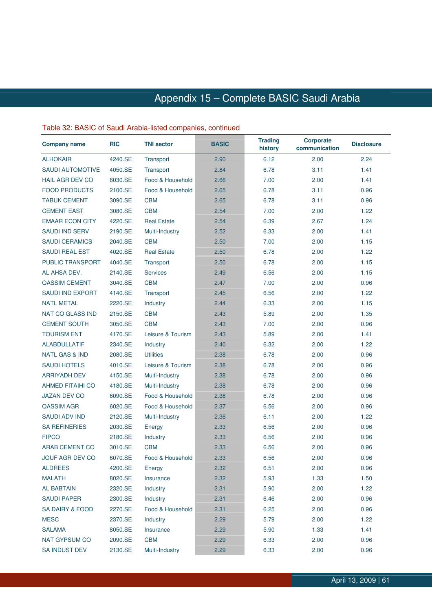# Appendix 15 – Complete BASIC Saudi Arabia

| <b>Company name</b>        | <b>RIC</b> | <b>TNI sector</b>  | <b>BASIC</b> | <b>Trading</b><br>history | <b>Corporate</b><br>communication | <b>Disclosure</b> |
|----------------------------|------------|--------------------|--------------|---------------------------|-----------------------------------|-------------------|
| <b>ALHOKAIR</b>            | 4240.SE    | Transport          | 2.90         | 6.12                      | 2.00                              | 2.24              |
| <b>SAUDI AUTOMOTIVE</b>    | 4050.SE    | Transport          | 2.84         | 6.78                      | 3.11                              | 1.41              |
| <b>HAIL AGR DEV CO</b>     | 6030.SE    | Food & Household   | 2.66         | 7.00                      | 2.00                              | 1.41              |
| <b>FOOD PRODUCTS</b>       | 2100.SE    | Food & Household   | 2.65         | 6.78                      | 3.11                              | 0.96              |
| <b>TABUK CEMENT</b>        | 3090.SE    | <b>CBM</b>         | 2.65         | 6.78                      | 3.11                              | 0.96              |
| <b>CEMENT EAST</b>         | 3080.SE    | <b>CBM</b>         | 2.54         | 7.00                      | 2.00                              | 1.22              |
| <b>EMAAR ECON CITY</b>     | 4220.SE    | <b>Real Estate</b> | 2.54         | 6.39                      | 2.67                              | 1.24              |
| <b>SAUDI IND SERV</b>      | 2190.SE    | Multi-Industry     | 2.52         | 6.33                      | 2.00                              | 1.41              |
| <b>SAUDI CERAMICS</b>      | 2040.SE    | <b>CBM</b>         | 2.50         | 7.00                      | 2.00                              | 1.15              |
| <b>SAUDI REAL EST</b>      | 4020.SE    | <b>Real Estate</b> | 2.50         | 6.78                      | 2.00                              | 1.22              |
| <b>PUBLIC TRANSPORT</b>    | 4040.SE    | Transport          | 2.50         | 6.78                      | 2.00                              | 1.15              |
| AL AHSA DEV.               | 2140.SE    | <b>Services</b>    | 2.49         | 6.56                      | 2.00                              | 1.15              |
| <b>QASSIM CEMENT</b>       | 3040.SE    | <b>CBM</b>         | 2.47         | 7.00                      | 2.00                              | 0.96              |
| <b>SAUDI IND EXPORT</b>    | 4140.SE    | Transport          | 2.45         | 6.56                      | 2.00                              | 1.22              |
| <b>NATL METAL</b>          | 2220.SE    | Industry           | 2.44         | 6.33                      | 2.00                              | 1.15              |
| <b>NAT CO GLASS IND</b>    | 2150.SE    | <b>CBM</b>         | 2.43         | 5.89                      | 2.00                              | 1.35              |
| <b>CEMENT SOUTH</b>        | 3050.SE    | <b>CBM</b>         | 2.43         | 7.00                      | 2.00                              | 0.96              |
| <b>TOURISM ENT</b>         | 4170.SE    | Leisure & Tourism  | 2.43         | 5.89                      | 2.00                              | 1.41              |
| <b>ALABDULLATIF</b>        | 2340.SE    | Industry           | 2.40         | 6.32                      | 2.00                              | 1.22              |
| <b>NATL GAS &amp; IND</b>  | 2080.SE    | <b>Utilities</b>   | 2.38         | 6.78                      | 2.00                              | 0.96              |
| <b>SAUDI HOTELS</b>        | 4010.SE    | Leisure & Tourism  | 2.38         | 6.78                      | 2.00                              | 0.96              |
| <b>ARRIYADH DEV</b>        | 4150.SE    | Multi-Industry     | 2.38         | 6.78                      | 2.00                              | 0.96              |
| <b>AHMED FITAIHI CO</b>    | 4180.SE    | Multi-Industry     | 2.38         | 6.78                      | 2.00                              | 0.96              |
| <b>JAZAN DEV CO</b>        | 6090.SE    | Food & Household   | 2.38         | 6.78                      | 2.00                              | 0.96              |
| <b>QASSIM AGR</b>          | 6020.SE    | Food & Household   | 2.37         | 6.56                      | 2.00                              | 0.96              |
| <b>SAUDI ADV IND</b>       | 2120.SE    | Multi-Industry     | 2.36         | 6.11                      | 2.00                              | 1.22              |
| <b>SA REFINERIES</b>       | 2030.SE    | Energy             | 2.33         | 6.56                      | 2.00                              | 0.96              |
| <b>FIPCO</b>               | 2180.SE    | Industry           | 2.33         | 6.56                      | 2.00                              | 0.96              |
| <b>ARAB CEMENT CO</b>      | 3010.SE    | <b>CBM</b>         | 2.33         | 6.56                      | 2.00                              | 0.96              |
| <b>JOUF AGR DEV CO</b>     | 6070.SE    | Food & Household   | 2.33         | 6.56                      | 2.00                              | 0.96              |
| <b>ALDREES</b>             | 4200.SE    | Energy             | 2.32         | 6.51                      | 2.00                              | 0.96              |
| <b>MALATH</b>              | 8020.SE    | Insurance          | 2.32         | 5.93                      | 1.33                              | 1.50              |
| <b>AL BABTAIN</b>          | 2320.SE    | Industry           | 2.31         | 5.90                      | 2.00                              | 1.22              |
| <b>SAUDI PAPER</b>         | 2300.SE    | Industry           | 2.31         | 6.46                      | 2.00                              | 0.96              |
| <b>SA DAIRY &amp; FOOD</b> | 2270.SE    | Food & Household   | 2.31         | 6.25                      | 2.00                              | 0.96              |
| <b>MESC</b>                | 2370.SE    | Industry           | 2.29         | 5.79                      | 2.00                              | 1.22              |
| <b>SALAMA</b>              | 8050.SE    | Insurance          | 2.29         | 5.90                      | 1.33                              | 1.41              |
| <b>NAT GYPSUM CO</b>       | 2090.SE    | <b>CBM</b>         | 2.29         | 6.33                      | 2.00                              | 0.96              |
| SA INDUST DEV              | 2130.SE    | Multi-Industry     | 2.29         | 6.33                      | 2.00                              | 0.96              |

### Table 32: BASIC of Saudi Arabia-listed companies, continued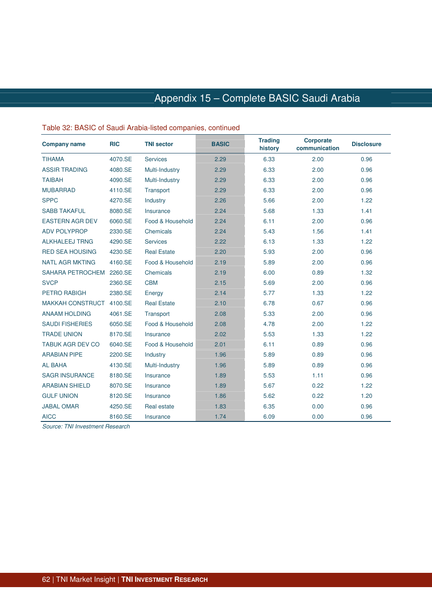# Appendix 15 – Complete BASIC Saudi Arabia

| <b>Company name</b>     | <b>RIC</b> | <b>TNI sector</b>  | <b>BASIC</b> | <b>Trading</b><br>history | <b>Corporate</b><br>communication | <b>Disclosure</b> |
|-------------------------|------------|--------------------|--------------|---------------------------|-----------------------------------|-------------------|
| <b>TIHAMA</b>           | 4070.SE    | <b>Services</b>    | 2.29         | 6.33                      | 2.00                              | 0.96              |
| <b>ASSIR TRADING</b>    | 4080.SE    | Multi-Industry     | 2.29         | 6.33                      | 2.00                              | 0.96              |
| <b>TAIBAH</b>           | 4090.SE    | Multi-Industry     | 2.29         | 6.33                      | 2.00                              | 0.96              |
| <b>MUBARRAD</b>         | 4110.SE    | Transport          | 2.29         | 6.33                      | 2.00                              | 0.96              |
| <b>SPPC</b>             | 4270.SE    | Industry           | 2.26         | 5.66                      | 2.00                              | 1.22              |
| <b>SABB TAKAFUL</b>     | 8080.SE    | Insurance          | 2.24         | 5.68                      | 1.33                              | 1.41              |
| <b>EASTERN AGR DEV</b>  | 6060.SE    | Food & Household   | 2.24         | 6.11                      | 2.00                              | 0.96              |
| <b>ADV POLYPROP</b>     | 2330.SE    | Chemicals          | 2.24         | 5.43                      | 1.56                              | 1.41              |
| <b>ALKHALEEJ TRNG</b>   | 4290.SE    | <b>Services</b>    | 2.22         | 6.13                      | 1.33                              | 1.22              |
| <b>RED SEA HOUSING</b>  | 4230.SE    | <b>Real Estate</b> | 2.20         | 5.93                      | 2.00                              | 0.96              |
| <b>NATL AGR MKTING</b>  | 4160.SE    | Food & Household   | 2.19         | 5.89                      | 2.00                              | 0.96              |
| SAHARA PETROCHEM        | 2260.SE    | Chemicals          | 2.19         | 6.00                      | 0.89                              | 1.32              |
| <b>SVCP</b>             | 2360.SE    | <b>CBM</b>         | 2.15         | 5.69                      | 2.00                              | 0.96              |
| <b>PETRO RABIGH</b>     | 2380.SE    | Energy             | 2.14         | 5.77                      | 1.33                              | 1.22              |
| <b>MAKKAH CONSTRUCT</b> | 4100.SE    | <b>Real Estate</b> | 2.10         | 6.78                      | 0.67                              | 0.96              |
| <b>ANAAM HOLDING</b>    | 4061.SE    | Transport          | 2.08         | 5.33                      | 2.00                              | 0.96              |
| <b>SAUDI FISHERIES</b>  | 6050.SE    | Food & Household   | 2.08         | 4.78                      | 2.00                              | 1.22              |
| <b>TRADE UNION</b>      | 8170.SE    | Insurance          | 2.02         | 5.53                      | 1.33                              | 1.22              |
| <b>TABUK AGR DEV CO</b> | 6040.SE    | Food & Household   | 2.01         | 6.11                      | 0.89                              | 0.96              |
| <b>ARABIAN PIPE</b>     | 2200.SE    | Industry           | 1.96         | 5.89                      | 0.89                              | 0.96              |
| <b>AL BAHA</b>          | 4130.SE    | Multi-Industry     | 1.96         | 5.89                      | 0.89                              | 0.96              |
| <b>SAGR INSURANCE</b>   | 8180.SE    | Insurance          | 1.89         | 5.53                      | 1.11                              | 0.96              |
| <b>ARABIAN SHIELD</b>   | 8070.SE    | Insurance          | 1.89         | 5.67                      | 0.22                              | 1.22              |
| <b>GULF UNION</b>       | 8120.SE    | Insurance          | 1.86         | 5.62                      | 0.22                              | 1.20              |
| <b>JABAL OMAR</b>       | 4250.SE    | Real estate        | 1.83         | 6.35                      | 0.00                              | 0.96              |
| <b>AICC</b>             | 8160.SE    | Insurance          | 1.74         | 6.09                      | 0.00                              | 0.96              |

#### Table 32: BASIC of Saudi Arabia-listed companies, continued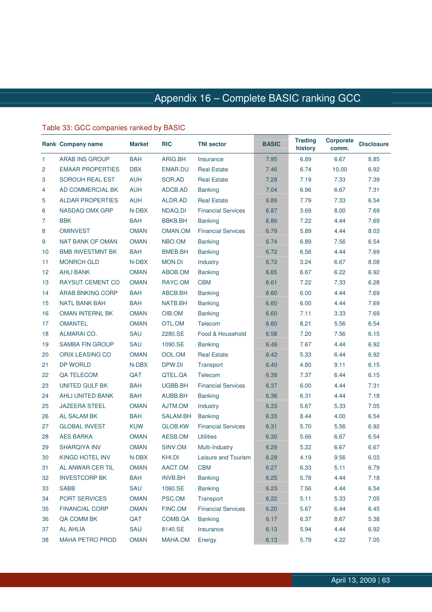### Table 33: GCC companies ranked by BASIC

|                | <b>Rank Company name</b> | <b>Market</b> | <b>RIC</b>    | <b>TNI sector</b>         | <b>BASIC</b> | <b>Trading</b><br>history | <b>Corporate</b><br>comm. | <b>Disclosure</b> |
|----------------|--------------------------|---------------|---------------|---------------------------|--------------|---------------------------|---------------------------|-------------------|
| $\mathbf{1}$   | <b>ARAB INS GROUP</b>    | <b>BAH</b>    | ARIG.BH       | Insurance                 | 7.95         | 6.89                      | 6.67                      | 8.85              |
| $\overline{2}$ | <b>EMAAR PROPERTIES</b>  | <b>DBX</b>    | EMAR.DU       | <b>Real Estate</b>        | 7.46         | 6.74                      | 10.00                     | 6.92              |
| 3              | SOROUH REAL EST          | <b>AUH</b>    | SOR.AD        | <b>Real Estate</b>        | 7.28         | 7.19                      | 7.33                      | 7.39              |
| 4              | AD COMMERCIAL BK         | <b>AUH</b>    | ADCB.AD       | <b>Banking</b>            | 7.04         | 6.96                      | 6.67                      | 7.31              |
| 5              | <b>ALDAR PROPERTIES</b>  | <b>AUH</b>    | ALDR.AD       | <b>Real Estate</b>        | 6.89         | 7.79                      | 7.33                      | 6.54              |
| 6              | NASDAQ OMX GRP           | N-DBX         | NDAQ.DI       | <b>Financial Services</b> | 6.87         | 3.69                      | 8.00                      | 7.69              |
| 7              | <b>BBK</b>               | BAH           | BBKB.BH       | <b>Banking</b>            | 6.86         | 7.22                      | 4.44                      | 7.69              |
| 8              | <b>OMINVEST</b>          | <b>OMAN</b>   | OMAN.OM       | <b>Financial Services</b> | 6.79         | 5.89                      | 4.44                      | 8.03              |
| 9              | <b>NAT BANK OF OMAN</b>  | <b>OMAN</b>   | NBO.OM        | <b>Banking</b>            | 6.74         | 6.89                      | 7.56                      | 6.54              |
| 10             | <b>BMB INVESTMNT BK</b>  | <b>BAH</b>    | BMEB.BH       | <b>Banking</b>            | 6.72         | 6.56                      | 4.44                      | 7.69              |
| 11             | <b>MONRCH GLD</b>        | N-DBX         | <b>MON.DI</b> | Industry                  | 6.72         | 3.24                      | 6.67                      | 8.08              |
| 12             | <b>AHLI BANK</b>         | <b>OMAN</b>   | ABOB.OM       | <b>Banking</b>            | 6.65         | 6.67                      | 6.22                      | 6.92              |
| 13             | <b>RAYSUT CEMENT CO</b>  | <b>OMAN</b>   | RAYC.OM       | <b>CBM</b>                | 6.61         | 7.22                      | 7.33                      | 6.28              |
| 14             | <b>ARAB BNKING CORP</b>  | <b>BAH</b>    | ABCB.BH       | <b>Banking</b>            | 6.60         | 6.00                      | 4.44                      | 7.69              |
| 15             | <b>NATL BANK BAH</b>     | <b>BAH</b>    | NATB.BH       | <b>Banking</b>            | 6.60         | 6.00                      | 4.44                      | 7.69              |
| 16             | <b>OMAN INTERNL BK</b>   | <b>OMAN</b>   | OIB.OM        | <b>Banking</b>            | 6.60         | 7.11                      | 3.33                      | 7.69              |
| 17             | <b>OMANTEL</b>           | <b>OMAN</b>   | OTL.OM        | Telecom                   | 6.60         | 8.21                      | 5.56                      | 6.54              |
| 18             | ALMARAI CO.              | SAU           | 2280.SE       | Food & Household          | 6.58         | 7.20                      | 7.56                      | 6.15              |
| 19             | <b>SAMBA FIN GROUP</b>   | SAU           | 1090.SE       | <b>Banking</b>            | 6.49         | 7.67                      | 4.44                      | 6.92              |
| 20             | ORIX LEASING CO          | <b>OMAN</b>   | OOL.OM        | <b>Real Estate</b>        | 6.42         | 5.33                      | 6.44                      | 6.92              |
| 21             | <b>DP WORLD</b>          | N-DBX         | DPW.DI        | Transport                 | 6.40         | 4.80                      | 9.11                      | 6.15              |
| 22             | QA TELECOM               | QAT           | QTEL.QA       | <b>Telecom</b>            | 6.38         | 7.37                      | 6.44                      | 6.15              |
| 23             | UNITED GULF BK           | <b>BAH</b>    | UGBB.BH       | <b>Financial Services</b> | 6.37         | 6.00                      | 4.44                      | 7.31              |
| 24             | AHLI UNITED BANK         | BAH           | AUBB.BH       | <b>Banking</b>            | 6.36         | 6.31                      | 4.44                      | 7.18              |
| 25             | <b>JAZEERA STEEL</b>     | <b>OMAN</b>   | AJTM.OM       | Industry                  | 6.33         | 5.67                      | 5.33                      | 7.05              |
| 26             | <b>AL SALAM BK</b>       | <b>BAH</b>    | SALAM.BH      | <b>Banking</b>            | 6.33         | 8.44                      | 4.00                      | 6.54              |
| 27             | <b>GLOBAL INVEST</b>     | <b>KUW</b>    | GLOB.KW       | <b>Financial Services</b> | 6.31         | 5.70                      | 5.56                      | 6.92              |
| 28             | <b>AES BARKA</b>         | <b>OMAN</b>   | AESB.OM       | <b>Utilities</b>          | 6.30         | 5.66                      | 6.67                      | 6.54              |
| 29             | <b>SHARQIYA INV</b>      | <b>OMAN</b>   | SINV.OM       | Multi-Industry            | 6.29         | 5.22                      | 6.67                      | 6.67              |
| 30             | <b>KINGD HOTEL INV</b>   | N-DBX         | KHI.DI        | Leisure and Tourism       | 6.29         | 4.19                      | 9.56                      | 6.03              |
| 31             | AL ANWAR CER TIL         | <b>OMAN</b>   | AACT.OM       | <b>CBM</b>                | 6.27         | 6.33                      | 5.11                      | 6.79              |
| 32             | <b>INVESTCORP BK</b>     | <b>BAH</b>    | INVB.BH       | <b>Banking</b>            | 6.25         | 5.78                      | 4.44                      | 7.18              |
| 33             | <b>SABB</b>              | SAU           | 1060.SE       | <b>Banking</b>            | 6.23         | 7.56                      | 4.44                      | 6.54              |
| 34             | PORT SERVICES            | <b>OMAN</b>   | PSC.OM        | Transport                 | 6.22         | 5.11                      | 5.33                      | 7.05              |
| 35             | <b>FINANCIAL CORP</b>    | <b>OMAN</b>   | FINC.OM       | <b>Financial Services</b> | 6.20         | 5.67                      | 6.44                      | 6.45              |
| 36             | QA COMM BK               | QAT           | COMB.QA       | <b>Banking</b>            | 6.17         | 6.37                      | 8.67                      | 5.38              |
| 37             | <b>AL AHLIA</b>          | SAU           | 8140.SE       | Insurance                 | 6.13         | 5.94                      | 4.44                      | 6.92              |
| 38             | MAHA PETRO PROD          | <b>OMAN</b>   | MAHA.OM       | Energy                    | 6.13         | 5.79                      | 4.22                      | 7.05              |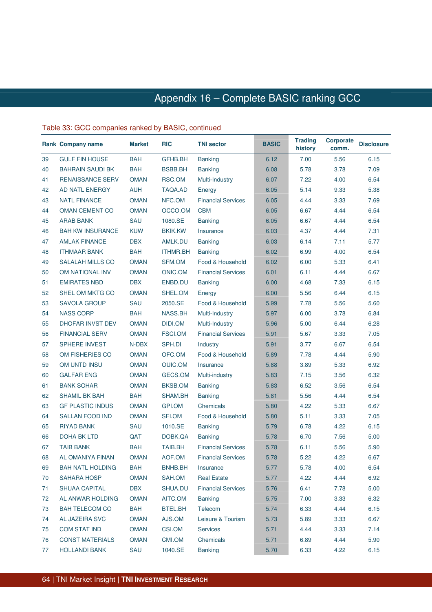|    | <b>Rank Company name</b> | <b>Market</b> | <b>RIC</b>      | <b>TNI sector</b>         | <b>BASIC</b> | <b>Trading</b><br>history | <b>Corporate</b><br>comm. | <b>Disclosure</b> |
|----|--------------------------|---------------|-----------------|---------------------------|--------------|---------------------------|---------------------------|-------------------|
| 39 | <b>GULF FIN HOUSE</b>    | <b>BAH</b>    | GFHB.BH         | <b>Banking</b>            | 6.12         | 7.00                      | 5.56                      | 6.15              |
| 40 | <b>BAHRAIN SAUDI BK</b>  | <b>BAH</b>    | BSBB.BH         | <b>Banking</b>            | 6.08         | 5.78                      | 3.78                      | 7.09              |
| 41 | <b>RENAISSANCE SERV</b>  | <b>OMAN</b>   | RSC.OM          | Multi-Industry            | 6.07         | 7.22                      | 4.00                      | 6.54              |
| 42 | AD NATL ENERGY           | <b>AUH</b>    | TAQA.AD         | Energy                    | 6.05         | 5.14                      | 9.33                      | 5.38              |
| 43 | <b>NATL FINANCE</b>      | <b>OMAN</b>   | NFC.OM          | <b>Financial Services</b> | 6.05         | 4.44                      | 3.33                      | 7.69              |
| 44 | OMAN CEMENT CO           | <b>OMAN</b>   | OCCO.OM         | <b>CBM</b>                | 6.05         | 6.67                      | 4.44                      | 6.54              |
| 45 | <b>ARAB BANK</b>         | SAU           | 1080.SE         | <b>Banking</b>            | 6.05         | 6.67                      | 4.44                      | 6.54              |
| 46 | <b>BAH KW INSURANCE</b>  | <b>KUW</b>    | <b>BKIK.KW</b>  | Insurance                 | 6.03         | 4.37                      | 4.44                      | 7.31              |
| 47 | <b>AMLAK FINANCE</b>     | <b>DBX</b>    | AMLK.DU         | <b>Banking</b>            | 6.03         | 6.14                      | 7.11                      | 5.77              |
| 48 | <b>ITHMAAR BANK</b>      | <b>BAH</b>    | <b>ITHMR.BH</b> | <b>Banking</b>            | 6.02         | 6.99                      | 4.00                      | 6.54              |
| 49 | <b>SALALAH MILLS CO</b>  | <b>OMAN</b>   | SFM.OM          | Food & Household          | 6.02         | 6.00                      | 5.33                      | 6.41              |
| 50 | OM NATIONAL INV          | <b>OMAN</b>   | <b>ONIC.OM</b>  | <b>Financial Services</b> | 6.01         | 6.11                      | 4.44                      | 6.67              |
| 51 | <b>EMIRATES NBD</b>      | <b>DBX</b>    | ENBD.DU         | <b>Banking</b>            | 6.00         | 4.68                      | 7.33                      | 6.15              |
| 52 | SHEL OM MKTG CO          | <b>OMAN</b>   | SHEL.OM         | Energy                    | 6.00         | 5.56                      | 6.44                      | 6.15              |
| 53 | <b>SAVOLA GROUP</b>      | SAU           | 2050.SE         | Food & Household          | 5.99         | 7.78                      | 5.56                      | 5.60              |
| 54 | <b>NASS CORP</b>         | <b>BAH</b>    | NASS.BH         | Multi-Industry            | 5.97         | 6.00                      | 3.78                      | 6.84              |
| 55 | <b>DHOFAR INVST DEV</b>  | <b>OMAN</b>   | DIDI.OM         | Multi-Industry            | 5.96         | 5.00                      | 6.44                      | 6.28              |
| 56 | <b>FINANCIAL SERV</b>    | <b>OMAN</b>   | FSCI.OM         | <b>Financial Services</b> | 5.91         | 5.67                      | 3.33                      | 7.05              |
| 57 | <b>SPHERE INVEST</b>     | N-DBX         | SPH.DI          | Industry                  | 5.91         | 3.77                      | 6.67                      | 6.54              |
| 58 | OM FISHERIES CO          | <b>OMAN</b>   | OFC.OM          | Food & Household          | 5.89         | 7.78                      | 4.44                      | 5.90              |
| 59 | OM UNTD INSU             | <b>OMAN</b>   | <b>OUIC.OM</b>  | Insurance                 | 5.88         | 3.89                      | 5.33                      | 6.92              |
| 60 | <b>GALFAR ENG</b>        | <b>OMAN</b>   | GECS.OM         | Multi-industry            | 5.83         | 7.15                      | 3.56                      | 6.32              |
| 61 | <b>BANK SOHAR</b>        | <b>OMAN</b>   | BKSB.OM         | <b>Banking</b>            | 5.83         | 6.52                      | 3.56                      | 6.54              |
| 62 | SHAMIL BK BAH            | <b>BAH</b>    | SHAM.BH         | <b>Banking</b>            | 5.81         | 5.56                      | 4.44                      | 6.54              |
| 63 | <b>GF PLASTIC INDUS</b>  | <b>OMAN</b>   | GPI.OM          | Chemicals                 | 5.80         | 4.22                      | 5.33                      | 6.67              |
| 64 | <b>SALLAN FOOD IND</b>   | <b>OMAN</b>   | SFI.OM          | Food & Household          | 5.80         | 5.11                      | 3.33                      | 7.05              |
| 65 | <b>RIYAD BANK</b>        | SAU           | 1010.SE         | <b>Banking</b>            | 5.79         | 6.78                      | 4.22                      | 6.15              |
| 66 | <b>DOHA BK LTD</b>       | QAT           | DOBK.QA         | <b>Banking</b>            | 5.78         | 6.70                      | 7.56                      | 5.00              |
| 67 | <b>TAIB BANK</b>         | <b>BAH</b>    | <b>TAIB.BH</b>  | <b>Financial Services</b> | 5.78         | 6.11                      | 5.56                      | 5.90              |
| 68 | AL OMANIYA FINAN         | <b>OMAN</b>   | AOF.OM          | <b>Financial Services</b> | 5.78         | 5.22                      | 4.22                      | 6.67              |
| 69 | <b>BAH NATL HOLDING</b>  | <b>BAH</b>    | BNHB.BH         | Insurance                 | 5.77         | 5.78                      | 4.00                      | 6.54              |
| 70 | <b>SAHARA HOSP</b>       | <b>OMAN</b>   | SAH.OM          | <b>Real Estate</b>        | 5.77         | 4.22                      | 4.44                      | 6.92              |
| 71 | <b>SHUAA CAPITAL</b>     | <b>DBX</b>    | SHUA.DU         | <b>Financial Services</b> | 5.76         | 6.41                      | 7.78                      | 5.00              |
| 72 | AL ANWAR HOLDING         | <b>OMAN</b>   | AITC.OM         | <b>Banking</b>            | 5.75         | 7.00                      | 3.33                      | 6.32              |
| 73 | <b>BAH TELECOM CO</b>    | <b>BAH</b>    | BTEL.BH         | Telecom                   | 5.74         | 6.33                      | 4.44                      | 6.15              |
| 74 | AL JAZEIRA SVC           | <b>OMAN</b>   | AJS.OM          | Leisure & Tourism         | 5.73         | 5.89                      | 3.33                      | 6.67              |
| 75 | <b>COM STAT IND</b>      | <b>OMAN</b>   | CSI.OM          | <b>Services</b>           | 5.71         | 4.44                      | 3.33                      | 7.14              |
| 76 | <b>CONST MATERIALS</b>   | <b>OMAN</b>   | CMI.OM          | Chemicals                 | 5.71         | 6.89                      | 4.44                      | 5.90              |
| 77 | <b>HOLLANDI BANK</b>     | SAU           | 1040.SE         | <b>Banking</b>            | 5.70         | 6.33                      | 4.22                      | 6.15              |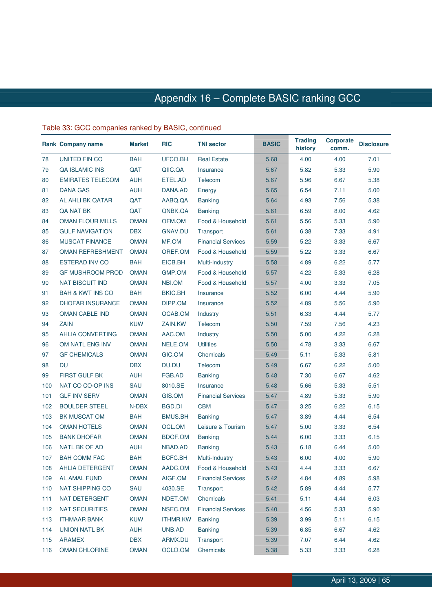|     | <b>Rank Company name</b>    | <b>Market</b> | <b>RIC</b>      | <b>TNI sector</b>         | <b>BASIC</b> | <b>Trading</b><br>history | <b>Corporate</b><br>comm. | <b>Disclosure</b> |
|-----|-----------------------------|---------------|-----------------|---------------------------|--------------|---------------------------|---------------------------|-------------------|
| 78  | <b>UNITED FIN CO</b>        | <b>BAH</b>    | UFCO.BH         | <b>Real Estate</b>        | 5.68         | 4.00                      | 4.00                      | 7.01              |
| 79  | <b>QA ISLAMIC INS</b>       | QAT           | QIIC.QA         | Insurance                 | 5.67         | 5.82                      | 5.33                      | 5.90              |
| 80  | <b>EMIRATES TELECOM</b>     | <b>AUH</b>    | ETEL.AD         | Telecom                   | 5.67         | 5.96                      | 6.67                      | 5.38              |
| 81  | <b>DANA GAS</b>             | <b>AUH</b>    | DANA.AD         | Energy                    | 5.65         | 6.54                      | 7.11                      | 5.00              |
| 82  | AL AHLI BK QATAR            | QAT           | AABQ.QA         | <b>Banking</b>            | 5.64         | 4.93                      | 7.56                      | 5.38              |
| 83  | QA NAT BK                   | QAT           | QNBK.QA         | <b>Banking</b>            | 5.61         | 6.59                      | 8.00                      | 4.62              |
| 84  | <b>OMAN FLOUR MILLS</b>     | <b>OMAN</b>   | OFM.OM          | Food & Household          | 5.61         | 5.56                      | 5.33                      | 5.90              |
| 85  | <b>GULF NAVIGATION</b>      | <b>DBX</b>    | <b>GNAV.DU</b>  | Transport                 | 5.61         | 6.38                      | 7.33                      | 4.91              |
| 86  | <b>MUSCAT FINANCE</b>       | <b>OMAN</b>   | MF.OM           | <b>Financial Services</b> | 5.59         | 5.22                      | 3.33                      | 6.67              |
| 87  | <b>OMAN REFRESHMENT</b>     | <b>OMAN</b>   | OREF.OM         | Food & Household          | 5.59         | 5.22                      | 3.33                      | 6.67              |
| 88  | <b>ESTERAD INV CO</b>       | <b>BAH</b>    | EICB.BH         | Multi-Industry            | 5.58         | 4.89                      | 6.22                      | 5.77              |
| 89  | <b>GF MUSHROOM PROD</b>     | <b>OMAN</b>   | GMP.OM          | Food & Household          | 5.57         | 4.22                      | 5.33                      | 6.28              |
| 90  | <b>NAT BISCUIT IND</b>      | <b>OMAN</b>   | NBI.OM          | Food & Household          | 5.57         | 4.00                      | 3.33                      | 7.05              |
| 91  | <b>BAH &amp; KWT INS CO</b> | <b>BAH</b>    | <b>BKIC.BH</b>  | Insurance                 | 5.52         | 6.00                      | 4.44                      | 5.90              |
| 92  | <b>DHOFAR INSURANCE</b>     | <b>OMAN</b>   | DIPP.OM         | Insurance                 | 5.52         | 4.89                      | 5.56                      | 5.90              |
| 93  | <b>OMAN CABLE IND</b>       | <b>OMAN</b>   | OCAB.OM         | Industry                  | 5.51         | 6.33                      | 4.44                      | 5.77              |
| 94  | <b>ZAIN</b>                 | <b>KUW</b>    | ZAIN.KW         | Telecom                   | 5.50         | 7.59                      | 7.56                      | 4.23              |
| 95  | <b>AHLIA CONVERTING</b>     | <b>OMAN</b>   | AAC.OM          | Industry                  | 5.50         | 5.00                      | 4.22                      | 6.28              |
| 96  | OM NATL ENG INV             | <b>OMAN</b>   | NELE.OM         | <b>Utilities</b>          | 5.50         | 4.78                      | 3.33                      | 6.67              |
| 97  | <b>GF CHEMICALS</b>         | <b>OMAN</b>   | GIC.OM          | Chemicals                 | 5.49         | 5.11                      | 5.33                      | 5.81              |
| 98  | <b>DU</b>                   | <b>DBX</b>    | DU.DU           | Telecom                   | 5.49         | 6.67                      | 6.22                      | 5.00              |
| 99  | <b>FIRST GULF BK</b>        | <b>AUH</b>    | FGB.AD          | <b>Banking</b>            | 5.48         | 7.30                      | 6.67                      | 4.62              |
| 100 | NAT CO CO-OP INS            | SAU           | 8010.SE         | Insurance                 | 5.48         | 5.66                      | 5.33                      | 5.51              |
| 101 | <b>GLF INV SERV</b>         | <b>OMAN</b>   | GIS.OM          | <b>Financial Services</b> | 5.47         | 4.89                      | 5.33                      | 5.90              |
| 102 | <b>BOULDER STEEL</b>        | N-DBX         | BGD.DI          | <b>CBM</b>                | 5.47         | 3.25                      | 6.22                      | 6.15              |
| 103 | <b>BK MUSCAT OM</b>         | <b>BAH</b>    | <b>BMUS.BH</b>  | <b>Banking</b>            | 5.47         | 3.89                      | 4.44                      | 6.54              |
| 104 | <b>OMAN HOTELS</b>          | <b>OMAN</b>   | OCL.OM          | Leisure & Tourism         | 5.47         | 5.00                      | 3.33                      | 6.54              |
| 105 | <b>BANK DHOFAR</b>          | <b>OMAN</b>   | <b>BDOF.OM</b>  | <b>Banking</b>            | 5.44         | 6.00                      | 3.33                      | 6.15              |
| 106 | NATL BK OF AD               | <b>AUH</b>    | NBAD.AD         | <b>Banking</b>            | 5.43         | 6.18                      | 6.44                      | 5.00              |
| 107 | <b>BAH COMM FAC</b>         | <b>BAH</b>    | BCFC.BH         | Multi-Industry            | 5.43         | 6.00                      | 4.00                      | 5.90              |
| 108 | AHLIA DETERGENT             | <b>OMAN</b>   | AADC.OM         | Food & Household          | 5.43         | 4.44                      | 3.33                      | 6.67              |
| 109 | AL AMAL FUND                | <b>OMAN</b>   | AIGF.OM         | <b>Financial Services</b> | 5.42         | 4.84                      | 4.89                      | 5.98              |
| 110 | <b>NAT SHIPPING CO</b>      | SAU           | 4030.SE         | Transport                 | 5.42         | 5.89                      | 4.44                      | 5.77              |
| 111 | NAT DETERGENT               | <b>OMAN</b>   | NDET.OM         | Chemicals                 | 5.41         | 5.11                      | 4.44                      | 6.03              |
| 112 | <b>NAT SECURITIES</b>       | <b>OMAN</b>   | NSEC.OM         | <b>Financial Services</b> | 5.40         | 4.56                      | 5.33                      | 5.90              |
| 113 | <b>ITHMAAR BANK</b>         | <b>KUW</b>    | <b>ITHMR.KW</b> | <b>Banking</b>            | 5.39         | 3.99                      | 5.11                      | 6.15              |
| 114 | UNION NATL BK               | <b>AUH</b>    | UNB.AD          | <b>Banking</b>            | 5.39         | 6.85                      | 6.67                      | 4.62              |
| 115 | <b>ARAMEX</b>               | <b>DBX</b>    | ARMX.DU         | Transport                 | 5.39         | 7.07                      | 6.44                      | 4.62              |
| 116 | <b>OMAN CHLORINE</b>        | <b>OMAN</b>   | OCLO.OM         | Chemicals                 | 5.38         | 5.33                      | 3.33                      | 6.28              |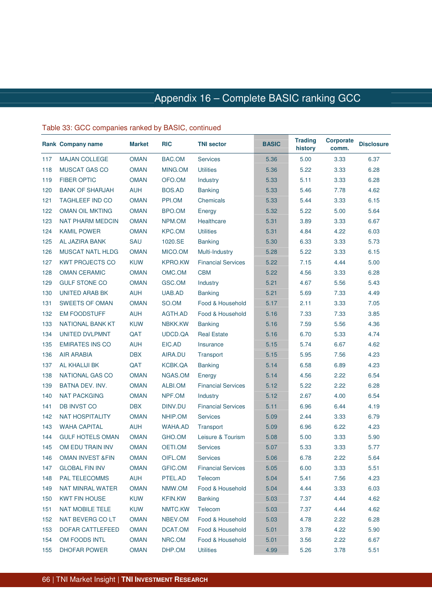|     | <b>Rank Company name</b>    | <b>Market</b> | <b>RIC</b>     | <b>TNI sector</b>         | <b>BASIC</b> | <b>Trading</b><br>history | <b>Corporate</b><br>comm. | <b>Disclosure</b> |
|-----|-----------------------------|---------------|----------------|---------------------------|--------------|---------------------------|---------------------------|-------------------|
| 117 | <b>MAJAN COLLEGE</b>        | <b>OMAN</b>   | BAC.OM         | <b>Services</b>           | 5.36         | 5.00                      | 3.33                      | 6.37              |
| 118 | <b>MUSCAT GAS CO</b>        | <b>OMAN</b>   | MING.OM        | <b>Utilities</b>          | 5.36         | 5.22                      | 3.33                      | 6.28              |
| 119 | <b>FIBER OPTIC</b>          | <b>OMAN</b>   | OFO.OM         | Industry                  | 5.33         | 5.11                      | 3.33                      | 6.28              |
| 120 | <b>BANK OF SHARJAH</b>      | <b>AUH</b>    | BOS.AD         | <b>Banking</b>            | 5.33         | 5.46                      | 7.78                      | 4.62              |
| 121 | <b>TAGHLEEF IND CO</b>      | <b>OMAN</b>   | PPI.OM         | Chemicals                 | 5.33         | 5.44                      | 3.33                      | 6.15              |
| 122 | <b>OMAN OIL MKTING</b>      | <b>OMAN</b>   | BPO.OM         | Energy                    | 5.32         | 5.22                      | 5.00                      | 5.64              |
| 123 | <b>NAT PHARM MEDCIN</b>     | <b>OMAN</b>   | NPM.OM         | Healthcare                | 5.31         | 3.89                      | 3.33                      | 6.67              |
| 124 | <b>KAMIL POWER</b>          | <b>OMAN</b>   | <b>KPC.OM</b>  | <b>Utilities</b>          | 5.31         | 4.84                      | 4.22                      | 6.03              |
| 125 | AL JAZIRA BANK              | SAU           | 1020.SE        | <b>Banking</b>            | 5.30         | 6.33                      | 3.33                      | 5.73              |
| 126 | <b>MUSCAT NATL HLDG</b>     | <b>OMAN</b>   | MICO.OM        | Multi-Industry            | 5.28         | 5.22                      | 3.33                      | 6.15              |
| 127 | <b>KWT PROJECTS CO</b>      | <b>KUW</b>    | <b>KPRO.KW</b> | <b>Financial Services</b> | 5.22         | 7.15                      | 4.44                      | 5.00              |
| 128 | <b>OMAN CERAMIC</b>         | <b>OMAN</b>   | OMC.OM         | <b>CBM</b>                | 5.22         | 4.56                      | 3.33                      | 6.28              |
| 129 | <b>GULF STONE CO</b>        | <b>OMAN</b>   | GSC.OM         | Industry                  | 5.21         | 4.67                      | 5.56                      | 5.43              |
| 130 | UNITED ARAB BK              | <b>AUH</b>    | UAB.AD         | <b>Banking</b>            | 5.21         | 5.69                      | 7.33                      | 4.49              |
| 131 | <b>SWEETS OF OMAN</b>       | <b>OMAN</b>   | SO.OM          | Food & Household          | 5.17         | 2.11                      | 3.33                      | 7.05              |
| 132 | <b>EM FOODSTUFF</b>         | <b>AUH</b>    | AGTH.AD        | Food & Household          | 5.16         | 7.33                      | 7.33                      | 3.85              |
| 133 | <b>NATIONAL BANK KT</b>     | <b>KUW</b>    | NBKK.KW        | <b>Banking</b>            | 5.16         | 7.59                      | 5.56                      | 4.36              |
| 134 | UNITED DVLPMNT              | QAT           | UDCD.QA        | <b>Real Estate</b>        | 5.16         | 6.70                      | 5.33                      | 4.74              |
| 135 | <b>EMIRATES INS CO</b>      | <b>AUH</b>    | EIC.AD         | Insurance                 | 5.15         | 5.74                      | 6.67                      | 4.62              |
| 136 | <b>AIR ARABIA</b>           | <b>DBX</b>    | AIRA.DU        | Transport                 | 5.15         | 5.95                      | 7.56                      | 4.23              |
| 137 | AL KHALIJI BK               | QAT           | KCBK.QA        | <b>Banking</b>            | 5.14         | 6.58                      | 6.89                      | 4.23              |
| 138 | <b>NATIONAL GAS CO</b>      | <b>OMAN</b>   | NGAS.OM        | Energy                    | 5.14         | 4.56                      | 2.22                      | 6.54              |
| 139 | BATNA DEV. INV.             | <b>OMAN</b>   | ALBI.OM        | <b>Financial Services</b> | 5.12         | 5.22                      | 2.22                      | 6.28              |
| 140 | <b>NAT PACKGING</b>         | <b>OMAN</b>   | NPF.OM         | Industry                  | 5.12         | 2.67                      | 4.00                      | 6.54              |
| 141 | <b>DB INVST CO</b>          | <b>DBX</b>    | DINV.DU        | <b>Financial Services</b> | 5.11         | 6.96                      | 6.44                      | 4.19              |
| 142 | <b>NAT HOSPITALITY</b>      | <b>OMAN</b>   | NHIP.OM        | <b>Services</b>           | 5.09         | 2.44                      | 3.33                      | 6.79              |
| 143 | <b>WAHA CAPITAL</b>         | <b>AUH</b>    | <b>WAHA.AD</b> | Transport                 | 5.09         | 6.96                      | 6.22                      | 4.23              |
| 144 | <b>GULF HOTELS OMAN</b>     | <b>OMAN</b>   | GHO.OM         | Leisure & Tourism         | 5.08         | 5.00                      | 3.33                      | 5.90              |
| 145 | OM EDU TRAIN INV            | <b>OMAN</b>   | OETI.OM        | <b>Services</b>           | 5.07         | 5.33                      | 3.33                      | 5.77              |
| 146 | <b>OMAN INVEST &amp;FIN</b> | <b>OMAN</b>   | OIFL.OM        | <b>Services</b>           | 5.06         | 6.78                      | 2.22                      | 5.64              |
| 147 | <b>GLOBAL FIN INV</b>       | <b>OMAN</b>   | GFIC.OM        | <b>Financial Services</b> | 5.05         | 6.00                      | 3.33                      | 5.51              |
| 148 | <b>PAL TELECOMMS</b>        | <b>AUH</b>    | PTEL.AD        | Telecom                   | 5.04         | 5.41                      | 7.56                      | 4.23              |
| 149 | NAT MINRAL WATER            | <b>OMAN</b>   | NMW.OM         | Food & Household          | 5.04         | 4.44                      | 3.33                      | 6.03              |
| 150 | <b>KWT FIN HOUSE</b>        | <b>KUW</b>    | <b>KFIN.KW</b> | <b>Banking</b>            | 5.03         | 7.37                      | 4.44                      | 4.62              |
| 151 | <b>NAT MOBILE TELE</b>      | <b>KUW</b>    | NMTC.KW        | Telecom                   | 5.03         | 7.37                      | 4.44                      | 4.62              |
| 152 | NAT BEVERG CO LT            | <b>OMAN</b>   | NBEV.OM        | Food & Household          | 5.03         | 4.78                      | 2.22                      | 6.28              |
| 153 | DOFAR CATTLEFEED            | <b>OMAN</b>   | DCAT.OM        | Food & Household          | 5.01         | 3.78                      | 4.22                      | 5.90              |
| 154 | OM FOODS INTL               | <b>OMAN</b>   | NRC.OM         | Food & Household          | 5.01         | 3.56                      | 2.22                      | 6.67              |
| 155 | <b>DHOFAR POWER</b>         | <b>OMAN</b>   | DHP.OM         | Utilities                 | 4.99         | 5.26                      | 3.78                      | 5.51              |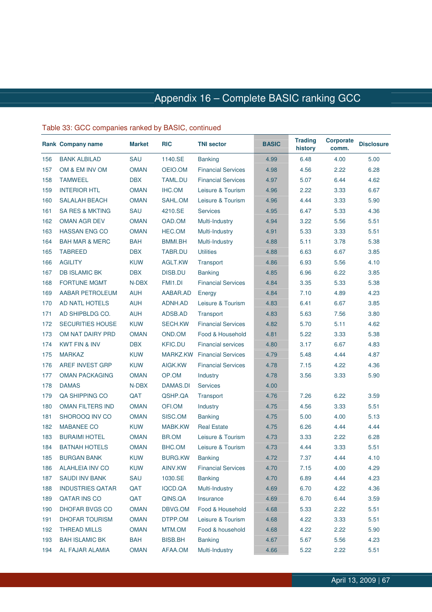|     | Rank Company name          | <b>Market</b> | <b>RIC</b>     | <b>TNI sector</b>         | <b>BASIC</b> | <b>Trading</b><br>history | <b>Corporate</b><br>comm. | <b>Disclosure</b> |
|-----|----------------------------|---------------|----------------|---------------------------|--------------|---------------------------|---------------------------|-------------------|
| 156 | <b>BANK ALBILAD</b>        | SAU           | 1140.SE        | <b>Banking</b>            | 4.99         | 6.48                      | 4.00                      | 5.00              |
| 157 | OM & EM INV OM             | <b>OMAN</b>   | OEIO.OM        | <b>Financial Services</b> | 4.98         | 4.56                      | 2.22                      | 6.28              |
| 158 | <b>TAMWEEL</b>             | <b>DBX</b>    | TAML.DU        | <b>Financial Services</b> | 4.97         | 5.07                      | 6.44                      | 4.62              |
| 159 | <b>INTERIOR HTL</b>        | <b>OMAN</b>   | IHC.OM         | Leisure & Tourism         | 4.96         | 2.22                      | 3.33                      | 6.67              |
| 160 | <b>SALALAH BEACH</b>       | <b>OMAN</b>   | SAHL.OM        | Leisure & Tourism         | 4.96         | 4.44                      | 3.33                      | 5.90              |
| 161 | <b>SA RES &amp; MKTING</b> | SAU           | 4210.SE        | <b>Services</b>           | 4.95         | 6.47                      | 5.33                      | 4.36              |
| 162 | <b>OMAN AGR DEV</b>        | <b>OMAN</b>   | OAD.OM         | Multi-Industry            | 4.94         | 3.22                      | 5.56                      | 5.51              |
| 163 | <b>HASSAN ENG CO</b>       | <b>OMAN</b>   | HEC.OM         | Multi-Industry            | 4.91         | 5.33                      | 3.33                      | 5.51              |
| 164 | <b>BAH MAR &amp; MERC</b>  | <b>BAH</b>    | BMMI.BH        | Multi-Industry            | 4.88         | 5.11                      | 3.78                      | 5.38              |
| 165 | <b>TABREED</b>             | <b>DBX</b>    | TABR.DU        | <b>Utilities</b>          | 4.88         | 6.63                      | 6.67                      | 3.85              |
| 166 | <b>AGILITY</b>             | <b>KUW</b>    | AGLT.KW        | Transport                 | 4.86         | 6.93                      | 5.56                      | 4.10              |
| 167 | <b>DB ISLAMIC BK</b>       | <b>DBX</b>    | <b>DISB.DU</b> | <b>Banking</b>            | 4.85         | 6.96                      | 6.22                      | 3.85              |
| 168 | <b>FORTUNE MGMT</b>        | N-DBX         | FMI1.DI        | <b>Financial Services</b> | 4.84         | 3.35                      | 5.33                      | 5.38              |
| 169 | <b>AABAR PETROLEUM</b>     | <b>AUH</b>    | AABAR.AD       | Energy                    | 4.84         | 7.10                      | 4.89                      | 4.23              |
| 170 | AD NATL HOTELS             | <b>AUH</b>    | ADNH.AD        | Leisure & Tourism         | 4.83         | 6.41                      | 6.67                      | 3.85              |
| 171 | AD SHIPBLDG CO.            | <b>AUH</b>    | ADSB.AD        | Transport                 | 4.83         | 5.63                      | 7.56                      | 3.80              |
| 172 | <b>SECURITIES HOUSE</b>    | <b>KUW</b>    | SECH.KW        | <b>Financial Services</b> | 4.82         | 5.70                      | 5.11                      | 4.62              |
| 173 | OM NAT DAIRY PRD           | <b>OMAN</b>   | OND.OM         | Food & Household          | 4.81         | 5.22                      | 3.33                      | 5.38              |
| 174 | <b>KWT FIN &amp; INV</b>   | <b>DBX</b>    | <b>KFIC.DU</b> | <b>Financial services</b> | 4.80         | 3.17                      | 6.67                      | 4.83              |
| 175 | <b>MARKAZ</b>              | <b>KUW</b>    | MARKZ.KW       | <b>Financial Services</b> | 4.79         | 5.48                      | 4.44                      | 4.87              |
| 176 | AREF INVEST GRP            | <b>KUW</b>    | AIGK.KW        | <b>Financial Services</b> | 4.78         | 7.15                      | 4.22                      | 4.36              |
| 177 | <b>OMAN PACKAGING</b>      | <b>OMAN</b>   | OP.OM          | Industry                  | 4.78         | 3.56                      | 3.33                      | 5.90              |
| 178 | <b>DAMAS</b>               | N-DBX         | DAMAS.DI       | <b>Services</b>           | 4.00         |                           |                           |                   |
| 179 | QA SHIPPING CO             | QAT           | QSHP.QA        | Transport                 | 4.76         | 7.26                      | 6.22                      | 3.59              |
| 180 | <b>OMAN FILTERS IND</b>    | <b>OMAN</b>   | OFI.OM         | Industry                  | 4.75         | 4.56                      | 3.33                      | 5.51              |
| 181 | SHOROOQ INV CO             | <b>OMAN</b>   | SISC.OM        | <b>Banking</b>            | 4.75         | 5.00                      | 4.00                      | 5.13              |
| 182 | <b>MABANEE CO</b>          | <b>KUW</b>    | MABK.KW        | <b>Real Estate</b>        | 4.75         | 6.26                      | 4.44                      | 4.44              |
| 183 | <b>BURAIMI HOTEL</b>       | <b>OMAN</b>   | BR.OM          | Leisure & Tourism         | 4.73         | 3.33                      | 2.22                      | 6.28              |
| 184 | <b>BATNAH HOTELS</b>       | <b>OMAN</b>   | BHC.OM         | Leisure & Tourism         | 4.73         | 4.44                      | 3.33                      | 5.51              |
| 185 | <b>BURGAN BANK</b>         | <b>KUW</b>    | BURG.KW        | <b>Banking</b>            | 4.72         | 7.37                      | 4.44                      | 4.10              |
| 186 | <b>ALAHLEIA INV CO</b>     | <b>KUW</b>    | AINV.KW        | <b>Financial Services</b> | 4.70         | 7.15                      | 4.00                      | 4.29              |
| 187 | <b>SAUDI INV BANK</b>      | SAU           | 1030.SE        | <b>Banking</b>            | 4.70         | 6.89                      | 4.44                      | 4.23              |
| 188 | <b>INDUSTRIES QATAR</b>    | QAT           | IQCD.QA        | Multi-Industry            | 4.69         | 6.70                      | 4.22                      | 4.36              |
| 189 | <b>QATAR INS CO</b>        | QAT           | QINS.QA        | Insurance                 | 4.69         | 6.70                      | 6.44                      | 3.59              |
| 190 | DHOFAR BVGS CO             | <b>OMAN</b>   | DBVG.OM        | Food & Household          | 4.68         | 5.33                      | 2.22                      | 5.51              |
| 191 | <b>DHOFAR TOURISM</b>      | <b>OMAN</b>   | DTPP.OM        | Leisure & Tourism         | 4.68         | 4.22                      | 3.33                      | 5.51              |
| 192 | <b>THREAD MILLS</b>        | <b>OMAN</b>   | MTM.OM         | Food & household          | 4.68         | 4.22                      | 2.22                      | 5.90              |
| 193 | <b>BAH ISLAMIC BK</b>      | <b>BAH</b>    | <b>BISB.BH</b> | <b>Banking</b>            | 4.67         | 5.67                      | 5.56                      | 4.23              |
| 194 | AL FAJAR ALAMIA            | <b>OMAN</b>   | AFAA.OM        | Multi-Industry            | 4.66         | 5.22                      | 2.22                      | 5.51              |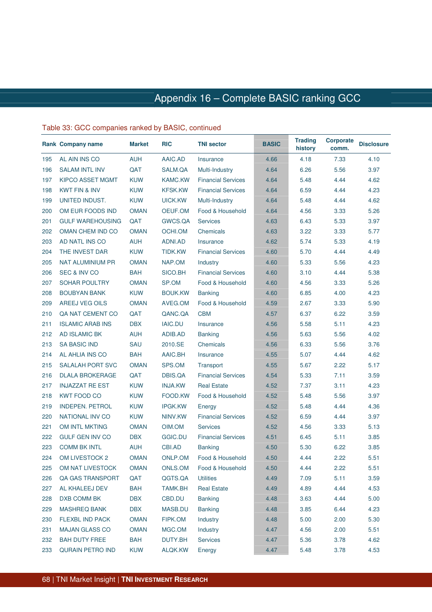|     | <b>Rank Company name</b> | <b>Market</b> | <b>RIC</b>     | <b>TNI sector</b>         | <b>BASIC</b> | <b>Trading</b><br>history | <b>Corporate</b><br>comm. | <b>Disclosure</b> |
|-----|--------------------------|---------------|----------------|---------------------------|--------------|---------------------------|---------------------------|-------------------|
| 195 | AL AIN INS CO            | <b>AUH</b>    | AAIC.AD        | Insurance                 | 4.66         | 4.18                      | 7.33                      | 4.10              |
| 196 | <b>SALAM INTL INV</b>    | QAT           | SALM.QA        | Multi-Industry            | 4.64         | 6.26                      | 5.56                      | 3.97              |
| 197 | <b>KIPCO ASSET MGMT</b>  | <b>KUW</b>    | <b>KAMC.KW</b> | <b>Financial Services</b> | 4.64         | 5.48                      | 4.44                      | 4.62              |
| 198 | <b>KWT FIN &amp; INV</b> | <b>KUW</b>    | <b>KFSK.KW</b> | <b>Financial Services</b> | 4.64         | 6.59                      | 4.44                      | 4.23              |
| 199 | UNITED INDUST.           | <b>KUW</b>    | UICK.KW        | Multi-Industry            | 4.64         | 5.48                      | 4.44                      | 4.62              |
| 200 | OM EUR FOODS IND         | <b>OMAN</b>   | OEUF.OM        | Food & Household          | 4.64         | 4.56                      | 3.33                      | 5.26              |
| 201 | <b>GULF WAREHOUSING</b>  | QAT           | GWCS.QA        | <b>Services</b>           | 4.63         | 6.43                      | 5.33                      | 3.97              |
| 202 | OMAN CHEM IND CO         | <b>OMAN</b>   | OCHI.OM        | Chemicals                 | 4.63         | 3.22                      | 3.33                      | 5.77              |
| 203 | AD NATL INS CO           | <b>AUH</b>    | ADNI.AD        | Insurance                 | 4.62         | 5.74                      | 5.33                      | 4.19              |
| 204 | THE INVEST DAR           | <b>KUW</b>    | TIDK.KW        | <b>Financial Services</b> | 4.60         | 5.70                      | 4.44                      | 4.49              |
| 205 | NAT ALUMINIUM PR         | <b>OMAN</b>   | NAP.OM         | Industry                  | 4.60         | 5.33                      | 5.56                      | 4.23              |
| 206 | <b>SEC &amp; INV CO</b>  | <b>BAH</b>    | SICO.BH        | <b>Financial Services</b> | 4.60         | 3.10                      | 4.44                      | 5.38              |
| 207 | <b>SOHAR POULTRY</b>     | <b>OMAN</b>   | SP.OM          | Food & Household          | 4.60         | 4.56                      | 3.33                      | 5.26              |
| 208 | <b>BOUBYAN BANK</b>      | <b>KUW</b>    | <b>BOUK.KW</b> | <b>Banking</b>            | 4.60         | 6.85                      | 4.00                      | 4.23              |
| 209 | <b>AREEJ VEG OILS</b>    | <b>OMAN</b>   | AVEG.OM        | Food & Household          | 4.59         | 2.67                      | 3.33                      | 5.90              |
| 210 | QA NAT CEMENT CO         | QAT           | QANC.QA        | <b>CBM</b>                | 4.57         | 6.37                      | 6.22                      | 3.59              |
| 211 | <b>ISLAMIC ARAB INS</b>  | <b>DBX</b>    | <b>IAIC.DU</b> | Insurance                 | 4.56         | 5.58                      | 5.11                      | 4.23              |
| 212 | <b>AD ISLAMIC BK</b>     | <b>AUH</b>    | ADIB.AD        | <b>Banking</b>            | 4.56         | 5.63                      | 5.56                      | 4.02              |
| 213 | <b>SA BASIC IND</b>      | SAU           | 2010.SE        | Chemicals                 | 4.56         | 6.33                      | 5.56                      | 3.76              |
| 214 | AL AHLIA INS CO          | <b>BAH</b>    | AAIC.BH        | Insurance                 | 4.55         | 5.07                      | 4.44                      | 4.62              |
| 215 | <b>SALALAH PORT SVC</b>  | <b>OMAN</b>   | SPS.OM         | Transport                 | 4.55         | 5.67                      | 2.22                      | 5.17              |
| 216 | <b>DLALA BROKERAGE</b>   | QAT           | DBIS.QA        | <b>Financial Services</b> | 4.54         | 5.33                      | 7.11                      | 3.59              |
| 217 | <b>INJAZZAT RE EST</b>   | <b>KUW</b>    | <b>INJA.KW</b> | <b>Real Estate</b>        | 4.52         | 7.37                      | 3.11                      | 4.23              |
| 218 | <b>KWT FOOD CO</b>       | <b>KUW</b>    | FOOD.KW        | Food & Household          | 4.52         | 5.48                      | 5.56                      | 3.97              |
| 219 | <b>INDEPEN. PETROL</b>   | <b>KUW</b>    | <b>IPGK.KW</b> | Energy                    | 4.52         | 5.48                      | 4.44                      | 4.36              |
| 220 | <b>NATIONAL INV CO</b>   | <b>KUW</b>    | NINV.KW        | <b>Financial Services</b> | 4.52         | 6.59                      | 4.44                      | 3.97              |
| 221 | <b>OM INTL MKTING</b>    | <b>OMAN</b>   | OIM.OM         | <b>Services</b>           | 4.52         | 4.56                      | 3.33                      | 5.13              |
| 222 | <b>GULF GEN INV CO</b>   | <b>DBX</b>    | GGIC.DU        | <b>Financial Services</b> | 4.51         | 6.45                      | 5.11                      | 3.85              |
| 223 | <b>COMM BK INTL</b>      | <b>AUH</b>    | CBI.AD         | <b>Banking</b>            | 4.50         | 5.30                      | 6.22                      | 3.85              |
| 224 | OM LIVESTOCK 2           | <b>OMAN</b>   | ONLP.OM        | Food & Household          | 4.50         | 4.44                      | 2.22                      | 5.51              |
| 225 | OM NAT LIVESTOCK         | OMAN          | ONLS.OM        | Food & Household          | 4.50         | 4.44                      | 2.22                      | 5.51              |
| 226 | QA GAS TRANSPORT         | QAT           | QGTS.QA        | <b>Utilities</b>          | 4.49         | 7.09                      | 5.11                      | 3.59              |
| 227 | AL KHALEEJ DEV           | <b>BAH</b>    | TAMK.BH        | <b>Real Estate</b>        | 4.49         | 4.89                      | 4.44                      | 4.53              |
| 228 | DXB COMM BK              | <b>DBX</b>    | CBD.DU         | <b>Banking</b>            | 4.48         | 3.63                      | 4.44                      | 5.00              |
| 229 | <b>MASHREQ BANK</b>      | <b>DBX</b>    | MASB.DU        | <b>Banking</b>            | 4.48         | 3.85                      | 6.44                      | 4.23              |
| 230 | FLEXBL IND PACK          | <b>OMAN</b>   | FIPK.OM        | Industry                  | 4.48         | 5.00                      | 2.00                      | 5.30              |
| 231 | <b>MAJAN GLASS CO</b>    | <b>OMAN</b>   | MGC.OM         | Industry                  | 4.47         | 4.56                      | 2.00                      | 5.51              |
| 232 | <b>BAH DUTY FREE</b>     | <b>BAH</b>    | DUTY.BH        | <b>Services</b>           | 4.47         | 5.36                      | 3.78                      | 4.62              |
| 233 | <b>QURAIN PETRO IND</b>  | <b>KUW</b>    | ALQK.KW        | Energy                    | 4.47         | 5.48                      | 3.78                      | 4.53              |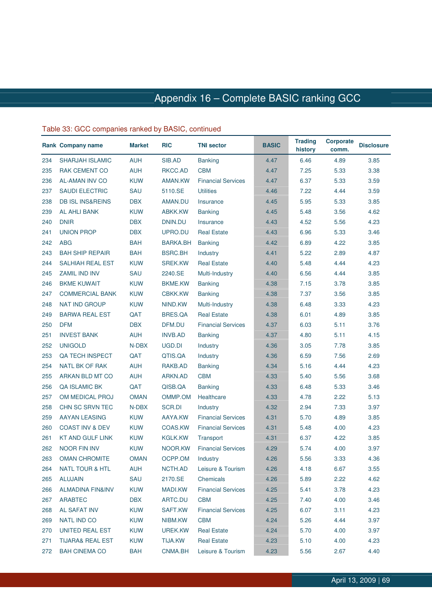|     | Rank Company name           | <b>Market</b> | <b>RIC</b>     | <b>TNI sector</b>         | <b>BASIC</b> | <b>Trading</b><br>history | <b>Corporate</b><br>comm. | <b>Disclosure</b> |
|-----|-----------------------------|---------------|----------------|---------------------------|--------------|---------------------------|---------------------------|-------------------|
| 234 | <b>SHARJAH ISLAMIC</b>      | <b>AUH</b>    | SIB.AD         | <b>Banking</b>            | 4.47         | 6.46                      | 4.89                      | 3.85              |
| 235 | <b>RAK CEMENT CO</b>        | <b>AUH</b>    | RKCC.AD        | <b>CBM</b>                | 4.47         | 7.25                      | 5.33                      | 3.38              |
| 236 | <b>AL-AMAN INV CO</b>       | <b>KUW</b>    | AMAN.KW        | <b>Financial Services</b> | 4.47         | 6.37                      | 5.33                      | 3.59              |
| 237 | <b>SAUDI ELECTRIC</b>       | SAU           | 5110.SE        | <b>Utilities</b>          | 4.46         | 7.22                      | 4.44                      | 3.59              |
| 238 | <b>DB ISL INS&amp;REINS</b> | <b>DBX</b>    | AMAN.DU        | Insurance                 | 4.45         | 5.95                      | 5.33                      | 3.85              |
| 239 | <b>AL AHLI BANK</b>         | <b>KUW</b>    | ABKK.KW        | <b>Banking</b>            | 4.45         | 5.48                      | 3.56                      | 4.62              |
| 240 | <b>DNIR</b>                 | <b>DBX</b>    | DNIN.DU        | Insurance                 | 4.43         | 4.52                      | 5.56                      | 4.23              |
| 241 | <b>UNION PROP</b>           | <b>DBX</b>    | UPRO.DU        | <b>Real Estate</b>        | 4.43         | 6.96                      | 5.33                      | 3.46              |
| 242 | <b>ABG</b>                  | <b>BAH</b>    | BARKA.BH       | <b>Banking</b>            | 4.42         | 6.89                      | 4.22                      | 3.85              |
| 243 | <b>BAH SHIP REPAIR</b>      | <b>BAH</b>    | <b>BSRC.BH</b> | Industry                  | 4.41         | 5.22                      | 2.89                      | 4.87              |
| 244 | <b>SALHIAH REAL EST</b>     | <b>KUW</b>    | <b>SREK.KW</b> | <b>Real Estate</b>        | 4.40         | 5.48                      | 4.44                      | 4.23              |
| 245 | <b>ZAMIL IND INV</b>        | SAU           | 2240.SE        | Multi-Industry            | 4.40         | 6.56                      | 4.44                      | 3.85              |
| 246 | <b>BKME KUWAIT</b>          | <b>KUW</b>    | <b>BKME.KW</b> | <b>Banking</b>            | 4.38         | 7.15                      | 3.78                      | 3.85              |
| 247 | <b>COMMERCIAL BANK</b>      | <b>KUW</b>    | <b>CBKK.KW</b> | <b>Banking</b>            | 4.38         | 7.37                      | 3.56                      | 3.85              |
| 248 | <b>NAT IND GROUP</b>        | <b>KUW</b>    | NIND.KW        | Multi-Industry            | 4.38         | 6.48                      | 3.33                      | 4.23              |
| 249 | <b>BARWA REAL EST</b>       | QAT           | <b>BRES.QA</b> | <b>Real Estate</b>        | 4.38         | 6.01                      | 4.89                      | 3.85              |
| 250 | <b>DFM</b>                  | <b>DBX</b>    | DFM.DU         | <b>Financial Services</b> | 4.37         | 6.03                      | 5.11                      | 3.76              |
| 251 | <b>INVEST BANK</b>          | <b>AUH</b>    | <b>INVB.AD</b> | <b>Banking</b>            | 4.37         | 4.80                      | 5.11                      | 4.15              |
| 252 | <b>UNIGOLD</b>              | N-DBX         | UGD.DI         | Industry                  | 4.36         | 3.05                      | 7.78                      | 3.85              |
| 253 | <b>QA TECH INSPECT</b>      | QAT           | QTIS.QA        | Industry                  | 4.36         | 6.59                      | 7.56                      | 2.69              |
| 254 | NATL BK OF RAK              | <b>AUH</b>    | RAKB.AD        | <b>Banking</b>            | 4.34         | 5.16                      | 4.44                      | 4.23              |
| 255 | ARKAN BLD MT CO             | AUH           | ARKN.AD        | <b>CBM</b>                | 4.33         | 5.40                      | 5.56                      | 3.68              |
| 256 | <b>QA ISLAMIC BK</b>        | QAT           | QISB.QA        | <b>Banking</b>            | 4.33         | 6.48                      | 5.33                      | 3.46              |
| 257 | OM MEDICAL PROJ             | <b>OMAN</b>   | OMMP.OM        | Healthcare                | 4.33         | 4.78                      | 2.22                      | 5.13              |
| 258 | CHN SC SRVN TEC             | N-DBX         | SCR.DI         | Industry                  | 4.32         | 2.94                      | 7.33                      | 3.97              |
| 259 | AAYAN LEASING               | <b>KUW</b>    | AAYA.KW        | <b>Financial Services</b> | 4.31         | 5.70                      | 4.89                      | 3.85              |
| 260 | <b>COAST INV &amp; DEV</b>  | <b>KUW</b>    | COAS.KW        | <b>Financial Services</b> | 4.31         | 5.48                      | 4.00                      | 4.23              |
| 261 | <b>KT AND GULF LINK</b>     | <b>KUW</b>    | <b>KGLK.KW</b> | Transport                 | 4.31         | 6.37                      | 4.22                      | 3.85              |
| 262 | <b>NOOR FIN INV</b>         | <b>KUW</b>    | NOOR.KW        | <b>Financial Services</b> | 4.29         | 5.74                      | 4.00                      | 3.97              |
| 263 | <b>OMAN CHROMITE</b>        | <b>OMAN</b>   | OCPP.OM        | Industry                  | 4.26         | 5.56                      | 3.33                      | 4.36              |
| 264 | NATL TOUR & HTL             | AUH           | NCTH.AD        | Leisure & Tourism         | 4.26         | 4.18                      | 6.67                      | 3.55              |
| 265 | <b>ALUJAIN</b>              | SAU           | 2170.SE        | Chemicals                 | 4.26         | 5.89                      | 2.22                      | 4.62              |
| 266 | <b>ALMADINA FIN&amp;INV</b> | <b>KUW</b>    | MADI.KW        | <b>Financial Services</b> | 4.25         | 5.41                      | 3.78                      | 4.23              |
| 267 | ARABTEC                     | <b>DBX</b>    | ARTC.DU        | <b>CBM</b>                | 4.25         | 7.40                      | 4.00                      | 3.46              |
| 268 | AL SAFAT INV                | <b>KUW</b>    | SAFT.KW        | <b>Financial Services</b> | 4.25         | 6.07                      | 3.11                      | 4.23              |
| 269 | NATL IND CO                 | <b>KUW</b>    | NIBM.KW        | <b>CBM</b>                | 4.24         | 5.26                      | 4.44                      | 3.97              |
| 270 | UNITED REAL EST             | <b>KUW</b>    | UREK.KW        | <b>Real Estate</b>        | 4.24         | 5.70                      | 4.00                      | 3.97              |
| 271 | <b>TIJARA&amp; REAL EST</b> | <b>KUW</b>    | <b>TIJA.KW</b> | <b>Real Estate</b>        | 4.23         | 5.10                      | 4.00                      | 4.23              |
| 272 | <b>BAH CINEMA CO</b>        | <b>BAH</b>    | CNMA.BH        | Leisure & Tourism         | 4.23         | 5.56                      | 2.67                      | 4.40              |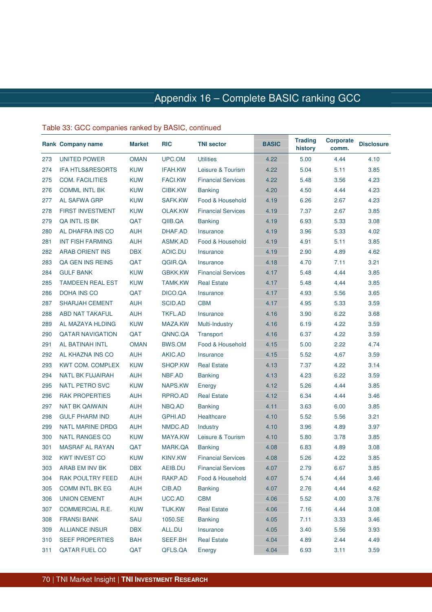|     | Rank Company name           | <b>Market</b> | <b>RIC</b>     | <b>TNI sector</b>         | <b>BASIC</b> | <b>Trading</b><br>history | <b>Corporate</b><br>comm. | <b>Disclosure</b> |
|-----|-----------------------------|---------------|----------------|---------------------------|--------------|---------------------------|---------------------------|-------------------|
| 273 | UNITED POWER                | <b>OMAN</b>   | UPC.OM         | <b>Utilities</b>          | 4.22         | 5.00                      | 4.44                      | 4.10              |
| 274 | <b>IFA HTLS&amp;RESORTS</b> | <b>KUW</b>    | <b>IFAH.KW</b> | Leisure & Tourism         | 4.22         | 5.04                      | 5.11                      | 3.85              |
| 275 | <b>COM. FACILITIES</b>      | <b>KUW</b>    | <b>FACI.KW</b> | <b>Financial Services</b> | 4.22         | 5.48                      | 3.56                      | 4.23              |
| 276 | <b>COMML INTL BK</b>        | <b>KUW</b>    | CIBK.KW        | <b>Banking</b>            | 4.20         | 4.50                      | 4.44                      | 4.23              |
| 277 | AL SAFWA GRP                | <b>KUW</b>    | SAFK.KW        | Food & Household          | 4.19         | 6.26                      | 2.67                      | 4.23              |
| 278 | <b>FIRST INVESTMENT</b>     | <b>KUW</b>    | OLAK.KW        | <b>Financial Services</b> | 4.19         | 7.37                      | 2.67                      | 3.85              |
| 279 | QA INTL IS BK               | QAT           | QIIB.QA        | <b>Banking</b>            | 4.19         | 6.93                      | 5.33                      | 3.08              |
| 280 | AL DHAFRA INS CO            | <b>AUH</b>    | DHAF.AD        | Insurance                 | 4.19         | 3.96                      | 5.33                      | 4.02              |
| 281 | <b>INT FISH FARMING</b>     | <b>AUH</b>    | ASMK.AD        | Food & Household          | 4.19         | 4.91                      | 5.11                      | 3.85              |
| 282 | <b>ARAB ORIENT INS</b>      | <b>DBX</b>    | AOIC.DU        | Insurance                 | 4.19         | 2.90                      | 4.89                      | 4.62              |
| 283 | QA GEN INS REINS            | QAT           | QGIR.QA        | Insurance                 | 4.18         | 4.70                      | 7.11                      | 3.21              |
| 284 | <b>GULF BANK</b>            | <b>KUW</b>    | <b>GBKK.KW</b> | <b>Financial Services</b> | 4.17         | 5.48                      | 4.44                      | 3.85              |
| 285 | <b>TAMDEEN REAL EST</b>     | <b>KUW</b>    | <b>TAMK.KW</b> | <b>Real Estate</b>        | 4.17         | 5.48                      | 4.44                      | 3.85              |
| 286 | <b>DOHA INS CO</b>          | QAT           | DICO.QA        | Insurance                 | 4.17         | 4.93                      | 5.56                      | 3.65              |
| 287 | <b>SHARJAH CEMENT</b>       | <b>AUH</b>    | SCID.AD        | <b>CBM</b>                | 4.17         | 4.95                      | 5.33                      | 3.59              |
| 288 | ABD NAT TAKAFUL             | <b>AUH</b>    | <b>TKFL.AD</b> | Insurance                 | 4.16         | 3.90                      | 6.22                      | 3.68              |
| 289 | AL MAZAYA HLDING            | <b>KUW</b>    | MAZA.KW        | Multi-Industry            | 4.16         | 6.19                      | 4.22                      | 3.59              |
| 290 | <b>QATAR NAVIGATION</b>     | QAT           | QNNC.QA        | Transport                 | 4.16         | 6.37                      | 4.22                      | 3.59              |
| 291 | AL BATINAH INTL             | <b>OMAN</b>   | BWS.OM         | Food & Household          | 4.15         | 5.00                      | 2.22                      | 4.74              |
| 292 | AL KHAZNA INS CO            | <b>AUH</b>    | AKIC.AD        | Insurance                 | 4.15         | 5.52                      | 4.67                      | 3.59              |
| 293 | <b>KWT COM. COMPLEX</b>     | <b>KUW</b>    | SHOP.KW        | <b>Real Estate</b>        | 4.13         | 7.37                      | 4.22                      | 3.14              |
| 294 | <b>NATL BK FUJAIRAH</b>     | <b>AUH</b>    | NBF.AD         | <b>Banking</b>            | 4.13         | 4.23                      | 6.22                      | 3.59              |
| 295 | <b>NATL PETRO SVC</b>       | <b>KUW</b>    | NAPS.KW        | Energy                    | 4.12         | 5.26                      | 4.44                      | 3.85              |
| 296 | <b>RAK PROPERTIES</b>       | <b>AUH</b>    | RPRO.AD        | <b>Real Estate</b>        | 4.12         | 6.34                      | 4.44                      | 3.46              |
| 297 | <b>NAT BK QAIWAIN</b>       | <b>AUH</b>    | NBQ.AD         | <b>Banking</b>            | 4.11         | 3.63                      | 6.00                      | 3.85              |
| 298 | <b>GULF PHARM IND</b>       | <b>AUH</b>    | GPHI.AD        | Healthcare                | 4.10         | 5.52                      | 5.56                      | 3.21              |
| 299 | <b>NATL MARINE DRDG</b>     | <b>AUH</b>    | NMDC.AD        | Industry                  | 4.10         | 3.96                      | 4.89                      | 3.97              |
| 300 | <b>NATL RANGES CO</b>       | <b>KUW</b>    | MAYA.KW        | Leisure & Tourism         | 4.10         | 5.80                      | 3.78                      | 3.85              |
| 301 | <b>MASRAF AL RAYAN</b>      | QAT           | MARK.QA        | <b>Banking</b>            | 4.08         | 6.83                      | 4.89                      | 3.08              |
| 302 | <b>KWT INVEST CO</b>        | <b>KUW</b>    | KINV.KW        | <b>Financial Services</b> | 4.08         | 5.26                      | 4.22                      | 3.85              |
| 303 | ARAB EM INV BK              | <b>DBX</b>    | AEIB.DU        | <b>Financial Services</b> | 4.07         | 2.79                      | 6.67                      | 3.85              |
| 304 | RAK POULTRY FEED            | <b>AUH</b>    | RAKP.AD        | Food & Household          | 4.07         | 5.74                      | 4.44                      | 3.46              |
| 305 | <b>COMM INTL BK EG</b>      | <b>AUH</b>    | CIB.AD         | <b>Banking</b>            | 4.07         | 2.76                      | 4.44                      | 4.62              |
| 306 | <b>UNION CEMENT</b>         | <b>AUH</b>    | UCC.AD         | <b>CBM</b>                | 4.06         | 5.52                      | 4.00                      | 3.76              |
| 307 | COMMERCIAL R.E.             | <b>KUW</b>    | TIJK.KW        | <b>Real Estate</b>        | 4.06         | 7.16                      | 4.44                      | 3.08              |
| 308 | <b>FRANSI BANK</b>          | SAU           | 1050.SE        | <b>Banking</b>            | 4.05         | 7.11                      | 3.33                      | 3.46              |
| 309 | <b>ALLIANCE INSUR</b>       | <b>DBX</b>    | ALL.DU         | Insurance                 | 4.05         | 3.40                      | 5.56                      | 3.93              |
| 310 | <b>SEEF PROPERTIES</b>      | <b>BAH</b>    | SEEF.BH        | <b>Real Estate</b>        | 4.04         | 4.89                      | 2.44                      | 4.49              |
| 311 | QATAR FUEL CO               | QAT           | QFLS.QA        | Energy                    | 4.04         | 6.93                      | 3.11                      | 3.59              |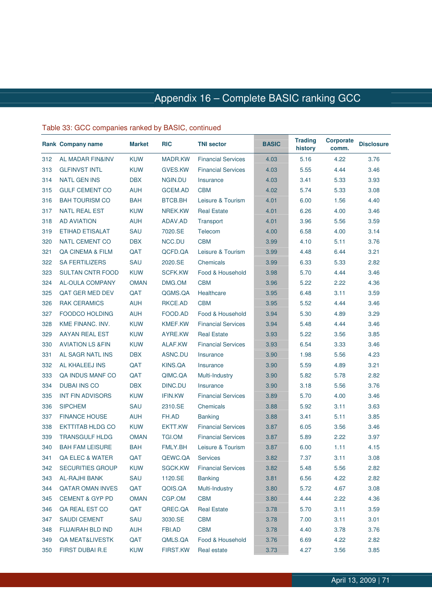|     | Rank Company name           | <b>Market</b> | <b>RIC</b>      | <b>TNI sector</b>         | <b>BASIC</b> | <b>Trading</b><br>history | <b>Corporate</b><br>comm. | <b>Disclosure</b> |
|-----|-----------------------------|---------------|-----------------|---------------------------|--------------|---------------------------|---------------------------|-------------------|
| 312 | <b>AL MADAR FIN&amp;INV</b> | <b>KUW</b>    | MADR.KW         | <b>Financial Services</b> | 4.03         | 5.16                      | 4.22                      | 3.76              |
| 313 | <b>GLFINVST INTL</b>        | <b>KUW</b>    | GVES.KW         | <b>Financial Services</b> | 4.03         | 5.55                      | 4.44                      | 3.46              |
| 314 | <b>NATL GEN INS</b>         | <b>DBX</b>    | NGIN.DU         | Insurance                 | 4.03         | 3.41                      | 5.33                      | 3.93              |
| 315 | <b>GULF CEMENT CO</b>       | AUH           | GCEM.AD         | <b>CBM</b>                | 4.02         | 5.74                      | 5.33                      | 3.08              |
| 316 | <b>BAH TOURISM CO</b>       | <b>BAH</b>    | BTCB.BH         | Leisure & Tourism         | 4.01         | 6.00                      | 1.56                      | 4.40              |
| 317 | <b>NATL REAL EST</b>        | <b>KUW</b>    | NREK.KW         | <b>Real Estate</b>        | 4.01         | 6.26                      | 4.00                      | 3.46              |
| 318 | <b>AD AVIATION</b>          | AUH           | ADAV.AD         | Transport                 | 4.01         | 3.96                      | 5.56                      | 3.59              |
| 319 | <b>ETIHAD ETISALAT</b>      | SAU           | 7020.SE         | Telecom                   | 4.00         | 6.58                      | 4.00                      | 3.14              |
| 320 | <b>NATL CEMENT CO</b>       | <b>DBX</b>    | NCC.DU          | <b>CBM</b>                | 3.99         | 4.10                      | 5.11                      | 3.76              |
| 321 | QA CINEMA & FILM            | QAT           | QCFD.QA         | Leisure & Tourism         | 3.99         | 4.48                      | 6.44                      | 3.21              |
| 322 | <b>SA FERTILIZERS</b>       | SAU           | 2020.SE         | Chemicals                 | 3.99         | 6.33                      | 5.33                      | 2.82              |
| 323 | <b>SULTAN CNTR FOOD</b>     | <b>KUW</b>    | <b>SCFK.KW</b>  | Food & Household          | 3.98         | 5.70                      | 4.44                      | 3.46              |
| 324 | <b>AL-OULA COMPANY</b>      | <b>OMAN</b>   | DMG.OM          | <b>CBM</b>                | 3.96         | 5.22                      | 2.22                      | 4.36              |
| 325 | QAT GER MED DEV             | QAT           | QGMS.QA         | Healthcare                | 3.95         | 6.48                      | 3.11                      | 3.59              |
| 326 | <b>RAK CERAMICS</b>         | <b>AUH</b>    | RKCE.AD         | <b>CBM</b>                | 3.95         | 5.52                      | 4.44                      | 3.46              |
| 327 | <b>FOODCO HOLDING</b>       | AUH           | FOOD.AD         | Food & Household          | 3.94         | 5.30                      | 4.89                      | 3.29              |
| 328 | KME FINANC. INV.            | <b>KUW</b>    | <b>KMEF.KW</b>  | <b>Financial Services</b> | 3.94         | 5.48                      | 4.44                      | 3.46              |
| 329 | AAYAN REAL EST              | <b>KUW</b>    | AYRE.KW         | <b>Real Estate</b>        | 3.93         | 5.22                      | 3.56                      | 3.85              |
| 330 | <b>AVIATION LS &amp;FIN</b> | <b>KUW</b>    | ALAF.KW         | <b>Financial Services</b> | 3.93         | 6.54                      | 3.33                      | 3.46              |
| 331 | AL SAGR NATL INS            | <b>DBX</b>    | ASNC.DU         | Insurance                 | 3.90         | 1.98                      | 5.56                      | 4.23              |
| 332 | AL KHALEEJ INS              | QAT           | KINS.QA         | Insurance                 | 3.90         | 5.59                      | 4.89                      | 3.21              |
| 333 | <b>QA INDUS MANF CO</b>     | QAT           | QIMC.QA         | Multi-Industry            | 3.90         | 5.82                      | 5.78                      | 2.82              |
| 334 | <b>DUBAI INS CO</b>         | <b>DBX</b>    | DINC.DU         | Insurance                 | 3.90         | 3.18                      | 5.56                      | 3.76              |
| 335 | <b>INT FIN ADVISORS</b>     | <b>KUW</b>    | <b>IFIN.KW</b>  | <b>Financial Services</b> | 3.89         | 5.70                      | 4.00                      | 3.46              |
| 336 | <b>SIPCHEM</b>              | SAU           | 2310.SE         | Chemicals                 | 3.88         | 5.92                      | 3.11                      | 3.63              |
| 337 | <b>FINANCE HOUSE</b>        | AUH           | FH.AD           | <b>Banking</b>            | 3.88         | 3.41                      | 5.11                      | 3.85              |
| 338 | <b>EKTTITAB HLDG CO</b>     | <b>KUW</b>    | EKTT.KW         | <b>Financial Services</b> | 3.87         | 6.05                      | 3.56                      | 3.46              |
| 339 | <b>TRANSGULF HLDG</b>       | <b>OMAN</b>   | <b>TGI.OM</b>   | <b>Financial Services</b> | 3.87         | 5.89                      | 2.22                      | 3.97              |
| 340 | <b>BAH FAM LEISURE</b>      | <b>BAH</b>    | FMLY.BH         | Leisure & Tourism         | 3.87         | 6.00                      | 1.11                      | 4.15              |
| 341 | <b>QA ELEC &amp; WATER</b>  | QAT           | QEWC.QA         | <b>Services</b>           | 3.82         | 7.37                      | 3.11                      | 3.08              |
| 342 | <b>SECURITIES GROUP</b>     | <b>KUW</b>    | SGCK.KW         | <b>Financial Services</b> | 3.82         | 5.48                      | 5.56                      | 2.82              |
| 343 | <b>AL-RAJHI BANK</b>        | SAU           | 1120.SE         | <b>Banking</b>            | 3.81         | 6.56                      | 4.22                      | 2.82              |
| 344 | <b>QATAR OMAN INVES</b>     | QAT           | QOIS.QA         | Multi-Industry            | 3.80         | 5.72                      | 4.67                      | 3.08              |
| 345 | <b>CEMENT &amp; GYP PD</b>  | <b>OMAN</b>   | CGP.OM          | <b>CBM</b>                | 3.80         | 4.44                      | 2.22                      | 4.36              |
| 346 | QA REAL EST CO              | QAT           | QREC.QA         | <b>Real Estate</b>        | 3.78         | 5.70                      | 3.11                      | 3.59              |
| 347 | <b>SAUDI CEMENT</b>         | SAU           | 3030.SE         | <b>CBM</b>                | 3.78         | 7.00                      | 3.11                      | 3.01              |
| 348 | <b>FUJAIRAH BLD IND</b>     | <b>AUH</b>    | FBI.AD          | <b>CBM</b>                | 3.78         | 4.40                      | 3.78                      | 3.76              |
| 349 | <b>QA MEAT&amp;LIVESTK</b>  | QAT           | QMLS.QA         | Food & Household          | 3.76         | 6.69                      | 4.22                      | 2.82              |
| 350 | FIRST DUBAI R.E.            | <b>KUW</b>    | <b>FIRST.KW</b> | Real estate               | 3.73         | 4.27                      | 3.56                      | 3.85              |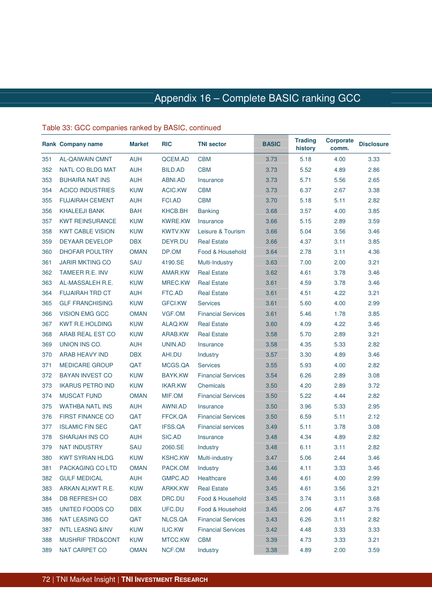|     | Rank Company name           | <b>Market</b> | <b>RIC</b>     | <b>TNI sector</b>         | <b>BASIC</b> | <b>Trading</b><br>history | <b>Corporate</b><br>comm. | <b>Disclosure</b> |
|-----|-----------------------------|---------------|----------------|---------------------------|--------------|---------------------------|---------------------------|-------------------|
| 351 | <b>AL-QAIWAIN CMNT</b>      | <b>AUH</b>    | QCEM.AD        | <b>CBM</b>                | 3.73         | 5.18                      | 4.00                      | 3.33              |
| 352 | NATL CO BLDG MAT            | <b>AUH</b>    | BILD.AD        | <b>CBM</b>                | 3.73         | 5.52                      | 4.89                      | 2.86              |
| 353 | <b>BUHAIRA NAT INS</b>      | <b>AUH</b>    | ABNI.AD        | Insurance                 | 3.73         | 5.71                      | 5.56                      | 2.65              |
| 354 | <b>ACICO INDUSTRIES</b>     | <b>KUW</b>    | ACIC.KW        | <b>CBM</b>                | 3.73         | 6.37                      | 2.67                      | 3.38              |
| 355 | <b>FUJAIRAH CEMENT</b>      | AUH           | FCI.AD         | <b>CBM</b>                | 3.70         | 5.18                      | 5.11                      | 2.82              |
| 356 | <b>KHALEEJI BANK</b>        | <b>BAH</b>    | KHCB.BH        | <b>Banking</b>            | 3.68         | 3.57                      | 4.00                      | 3.85              |
| 357 | <b>KWT REINSURANCE</b>      | <b>KUW</b>    | <b>KWRE.KW</b> | Insurance                 | 3.66         | 5.15                      | 2.89                      | 3.59              |
| 358 | <b>KWT CABLE VISION</b>     | <b>KUW</b>    | <b>KWTV.KW</b> | Leisure & Tourism         | 3.66         | 5.04                      | 3.56                      | 3.46              |
| 359 | <b>DEYAAR DEVELOP</b>       | <b>DBX</b>    | DEYR.DU        | <b>Real Estate</b>        | 3.66         | 4.37                      | 3.11                      | 3.85              |
| 360 | DHOFAR POULTRY              | <b>OMAN</b>   | DP.OM          | Food & Household          | 3.64         | 2.78                      | 3.11                      | 4.36              |
| 361 | <b>JARIR MKTING CO</b>      | SAU           | 4190.SE        | Multi-Industry            | 3.63         | 7.00                      | 2.00                      | 3.21              |
| 362 | TAMEER R.E. INV             | <b>KUW</b>    | AMAR.KW        | <b>Real Estate</b>        | 3.62         | 4.61                      | 3.78                      | 3.46              |
| 363 | AL-MASSALEH R.E.            | <b>KUW</b>    | MREC.KW        | <b>Real Estate</b>        | 3.61         | 4.59                      | 3.78                      | 3.46              |
| 364 | <b>FUJAIRAH TRD CT</b>      | <b>AUH</b>    | FTC.AD         | <b>Real Estate</b>        | 3.61         | 4.51                      | 4.22                      | 3.21              |
| 365 | <b>GLF FRANCHISING</b>      | <b>KUW</b>    | GFCI.KW        | <b>Services</b>           | 3.61         | 5.60                      | 4.00                      | 2.99              |
| 366 | <b>VISION EMG GCC</b>       | <b>OMAN</b>   | VGF.OM         | <b>Financial Services</b> | 3.61         | 5.46                      | 1.78                      | 3.85              |
| 367 | <b>KWT R.E.HOLDING</b>      | <b>KUW</b>    | ALAQ.KW        | <b>Real Estate</b>        | 3.60         | 4.09                      | 4.22                      | 3.46              |
| 368 | ARAB REAL EST CO            | <b>KUW</b>    | ARAB.KW        | <b>Real Estate</b>        | 3.58         | 5.70                      | 2.89                      | 3.21              |
| 369 | UNION INS CO.               | AUH           | UNIN.AD        | Insurance                 | 3.58         | 4.35                      | 5.33                      | 2.82              |
| 370 | ARAB HEAVY IND              | <b>DBX</b>    | AHI.DU         | Industry                  | 3.57         | 3.30                      | 4.89                      | 3.46              |
| 371 | <b>MEDICARE GROUP</b>       | QAT           | MCGS.QA        | <b>Services</b>           | 3.55         | 5.93                      | 4.00                      | 2.82              |
| 372 | <b>BAYAN INVEST CO</b>      | <b>KUW</b>    | BAYK.KW        | <b>Financial Services</b> | 3.54         | 6.26                      | 2.89                      | 3.08              |
| 373 | <b>IKARUS PETRO IND</b>     | <b>KUW</b>    | IKAR.KW        | Chemicals                 | 3.50         | 4.20                      | 2.89                      | 3.72              |
| 374 | <b>MUSCAT FUND</b>          | <b>OMAN</b>   | MIF.OM         | <b>Financial Services</b> | 3.50         | 5.22                      | 4.44                      | 2.82              |
| 375 | <b>WATHBA NATL INS</b>      | <b>AUH</b>    | AWNI.AD        | Insurance                 | 3.50         | 3.96                      | 5.33                      | 2.95              |
| 376 | <b>FIRST FINANCE CO</b>     | QAT           | FFCK.QA        | <b>Financial Services</b> | 3.50         | 6.59                      | 5.11                      | 2.12              |
| 377 | <b>ISLAMIC FIN SEC</b>      | QAT           | IFSS.QA        | <b>Financial services</b> | 3.49         | 5.11                      | 3.78                      | 3.08              |
| 378 | SHARJAH INS CO              | AUH           | SIC.AD         | Insurance                 | 3.48         | 4.34                      | 4.89                      | 2.82              |
| 379 | <b>NAT INDUSTRY</b>         | SAU           | 2060.SE        | Industry                  | 3.48         | 6.11                      | 3.11                      | 2.82              |
| 380 | <b>KWT SYRIAN HLDG</b>      | <b>KUW</b>    | <b>KSHC.KW</b> | Multi-industry            | 3.47         | 5.06                      | 2.44                      | 3.46              |
| 381 | PACKAGING CO LTD            | <b>OMAN</b>   | PACK.OM        | Industry                  | 3.46         | 4.11                      | 3.33                      | 3.46              |
| 382 | <b>GULF MEDICAL</b>         | <b>AUH</b>    | GMPC.AD        | Healthcare                | 3.46         | 4.61                      | 4.00                      | 2.99              |
| 383 | ARKAN ALKWT R.E.            | <b>KUW</b>    | ARKK.KW        | <b>Real Estate</b>        | 3.45         | 4.61                      | 3.56                      | 3.21              |
| 384 | DB REFRESH CO               | <b>DBX</b>    | DRC.DU         | Food & Household          | 3.45         | 3.74                      | 3.11                      | 3.68              |
| 385 | UNITED FOODS CO             | <b>DBX</b>    | UFC.DU         | Food & Household          | 3.45         | 2.06                      | 4.67                      | 3.76              |
| 386 | <b>NAT LEASING CO</b>       | QAT           | NLCS.QA        | <b>Financial Services</b> | 3.43         | 6.26                      | 3.11                      | 2.82              |
| 387 | <b>INTL LEASNG &amp;INV</b> | <b>KUW</b>    | ILIC.KW        | <b>Financial Services</b> | 3.42         | 4.48                      | 3.33                      | 3.33              |
| 388 | MUSHRIF TRD&CONT            | KUW           | MTCC.KW        | <b>CBM</b>                | 3.39         | 4.73                      | 3.33                      | 3.21              |
| 389 | NAT CARPET CO               | <b>OMAN</b>   | NCF.OM         | Industry                  | 3.38         | 4.89                      | 2.00                      | 3.59              |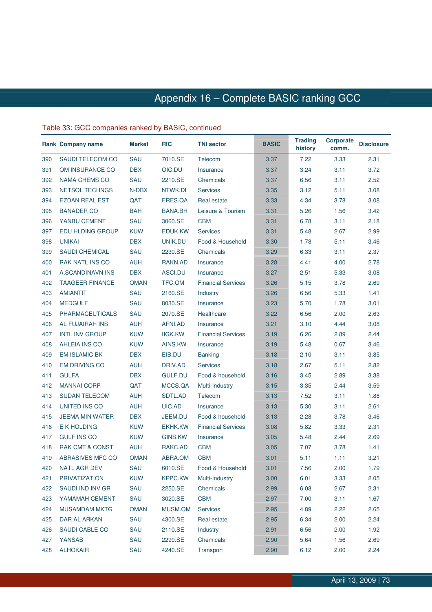|     | <b>Rank Company name</b>   | <b>Market</b> | <b>RIC</b>     | <b>TNI sector</b>         | <b>BASIC</b> | <b>Trading</b><br>history | <b>Corporate</b><br>comm. | <b>Disclosure</b> |
|-----|----------------------------|---------------|----------------|---------------------------|--------------|---------------------------|---------------------------|-------------------|
| 390 | SAUDI TELECOM CO           | SAU           | 7010.SE        | Telecom                   | 3.37         | 7.22                      | 3.33                      | 2.31              |
| 391 | OM INSURANCE CO            | <b>DBX</b>    | OIC.DU         | Insurance                 | 3.37         | 3.24                      | 3.11                      | 3.72              |
| 392 | <b>NAMA CHEMS CO</b>       | SAU           | 2210.SE        | Chemicals                 | 3.37         | 6.56                      | 3.11                      | 2.52              |
| 393 | <b>NETSOL TECHNGS</b>      | N-DBX         | NTWK.DI        | <b>Services</b>           | 3.35         | 3.12                      | 5.11                      | 3.08              |
| 394 | <b>EZDAN REAL EST</b>      | QAT           | ERES.QA        | Real estate               | 3.33         | 4.34                      | 3.78                      | 3.08              |
| 395 | <b>BANADER CO</b>          | <b>BAH</b>    | BANA.BH        | Leisure & Tourism         | 3.31         | 5.26                      | 1.56                      | 3.42              |
| 396 | YANBU CEMENT               | SAU           | 3060.SE        | <b>CBM</b>                | 3.31         | 6.78                      | 3.11                      | 2.18              |
| 397 | EDU HLDING GROUP           | <b>KUW</b>    | EDUK.KW        | <b>Services</b>           | 3.31         | 5.48                      | 2.67                      | 2.99              |
| 398 | <b>UNIKAI</b>              | <b>DBX</b>    | UNIK.DU        | Food & Household          | 3.30         | 1.78                      | 5.11                      | 3.46              |
| 399 | <b>SAUDI CHEMICAL</b>      | SAU           | 2230.SE        | Chemicals                 | 3.29         | 6.33                      | 3.11                      | 2.37              |
| 400 | <b>RAK NATL INS CO</b>     | <b>AUH</b>    | RAKN.AD        | Insurance                 | 3.28         | 4.41                      | 4.00                      | 2.78              |
| 401 | A.SCANDINAVN INS           | <b>DBX</b>    | ASCI.DU        | Insurance                 | 3.27         | 2.51                      | 5.33                      | 3.08              |
| 402 | <b>TAAGEER FINANCE</b>     | <b>OMAN</b>   | TFC.OM         | <b>Financial Services</b> | 3.26         | 5.15                      | 3.78                      | 2.69              |
| 403 | <b>AMIANTIT</b>            | SAU           | 2160.SE        | Industry                  | 3.26         | 6.56                      | 5.33                      | 1.41              |
| 404 | <b>MEDGULF</b>             | SAU           | 8030.SE        | Insurance                 | 3.23         | 5.70                      | 1.78                      | 3.01              |
| 405 | <b>PHARMACEUTICALS</b>     | SAU           | 2070.SE        | Healthcare                | 3.22         | 6.56                      | 2.00                      | 2.63              |
| 406 | AL FUJAIRAH INS            | <b>AUH</b>    | AFNI.AD        | Insurance                 | 3.21         | 3.10                      | 4.44                      | 3.08              |
| 407 | <b>INTL INV GROUP</b>      | <b>KUW</b>    | <b>IIGK.KW</b> | <b>Financial Services</b> | 3.19         | 6.26                      | 2.89                      | 2.44              |
| 408 | <b>AHLEIA INS CO</b>       | <b>KUW</b>    | AINS.KW        | Insurance                 | 3.19         | 5.48                      | 0.67                      | 3.46              |
| 409 | <b>EM ISLAMIC BK</b>       | <b>DBX</b>    | EIB.DU         | <b>Banking</b>            | 3.18         | 2.10                      | 3.11                      | 3.85              |
| 410 | <b>EM DRIVING CO</b>       | AUH           | DRIV.AD        | <b>Services</b>           | 3.18         | 2.67                      | 5.11                      | 2.82              |
| 411 | <b>GULFA</b>               | <b>DBX</b>    | GULF.DU        | Food & household          | 3.16         | 3.45                      | 2.89                      | 3.38              |
| 412 | <b>MANNAI CORP</b>         | QAT           | MCCS.QA        | Multi-Industry            | 3.15         | 3.35                      | 2.44                      | 3.59              |
| 413 | <b>SUDAN TELECOM</b>       | AUH           | SDTL.AD        | Telecom                   | 3.13         | 7.52                      | 3.11                      | 1.88              |
| 414 | UNITED INS CO              | <b>AUH</b>    | UIC.AD         | Insurance                 | 3.13         | 5.30                      | 3.11                      | 2.61              |
| 415 | <b>JEEMA MIN WATER</b>     | <b>DBX</b>    | JEEM.DU        | Food & household          | 3.13         | 2.28                      | 3.78                      | 3.46              |
| 416 | E K HOLDING                | <b>KUW</b>    | <b>EKHK.KW</b> | <b>Financial Services</b> | 3.08         | 5.82                      | 3.33                      | 2.31              |
| 417 | <b>GULF INS CO</b>         | <b>KUW</b>    | GINS.KW        | Insurance                 | 3.05         | 5.48                      | 2.44                      | 2.69              |
| 418 | <b>RAK CMT &amp; CONST</b> | <b>AUH</b>    | RAKC.AD        | <b>CBM</b>                | 3.05         | 7.07                      | 3.78                      | 1.41              |
| 419 | ABRASIVES MFC CO           | <b>OMAN</b>   | ABRA.OM        | <b>CBM</b>                | 3.01         | 5.11                      | 1.11                      | 3.21              |
| 420 | NATL AGR DEV               | SAU           | 6010.SE        | Food & Household          | 3.01         | 7.56                      | 2.00                      | 1.79              |
| 421 | <b>PRIVATIZATION</b>       | <b>KUW</b>    | <b>KPPC.KW</b> | Multi-Industry            | 3.00         | 6.01                      | 3.33                      | 2.05              |
| 422 | SAUDI IND INV GR           | SAU           | 2250.SE        | Chemicals                 | 2.99         | 6.08                      | 2.67                      | 2.31              |
| 423 | YAMAMAH CEMENT             | SAU           | 3020.SE        | <b>CBM</b>                | 2.97         | 7.00                      | 3.11                      | 1.67              |
| 424 | <b>MUSAMDAM MKTG</b>       | <b>OMAN</b>   | MUSM.OM        | Services                  | 2.95         | 4.89                      | 2.22                      | 2.65              |
| 425 | DAR AL ARKAN               | SAU           | 4300.SE        | Real estate               | 2.95         | 6.34                      | 2.00                      | 2.24              |
| 426 | SAUDI CABLE CO             | SAU           | 2110.SE        | Industry                  | 2.91         | 6.56                      | 2.00                      | 1.92              |
| 427 | YANSAB                     | SAU           | 2290.SE        | Chemicals                 | 2.90         | 5.64                      | 1.56                      | 2.69              |
| 428 | <b>ALHOKAIR</b>            | SAU           | 4240.SE        | Transport                 | 2.90         | 6.12                      | 2.00                      | 2.24              |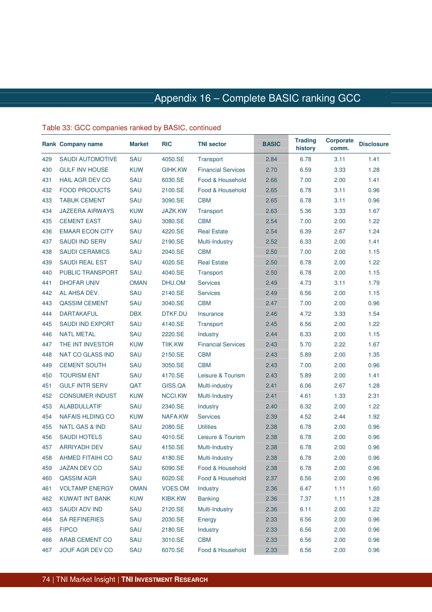|     | <b>Rank Company name</b>  | <b>Market</b> | <b>RIC</b>     | <b>TNI sector</b>         | <b>BASIC</b> | <b>Trading</b><br>history | <b>Corporate</b><br>comm. | <b>Disclosure</b> |
|-----|---------------------------|---------------|----------------|---------------------------|--------------|---------------------------|---------------------------|-------------------|
| 429 | <b>SAUDI AUTOMOTIVE</b>   | SAU           | 4050.SE        | Transport                 | 2.84         | 6.78                      | 3.11                      | 1.41              |
| 430 | <b>GULF INV HOUSE</b>     | <b>KUW</b>    | GIHK.KW        | <b>Financial Services</b> | 2.70         | 6.59                      | 3.33                      | 1.28              |
| 431 | <b>HAIL AGR DEV CO</b>    | SAU           | 6030.SE        | Food & Household          | 2.66         | 7.00                      | 2.00                      | 1.41              |
| 432 | <b>FOOD PRODUCTS</b>      | SAU           | 2100.SE        | Food & Household          | 2.65         | 6.78                      | 3.11                      | 0.96              |
| 433 | <b>TABUK CEMENT</b>       | SAU           | 3090.SE        | <b>CBM</b>                | 2.65         | 6.78                      | 3.11                      | 0.96              |
| 434 | <b>JAZEERA AIRWAYS</b>    | <b>KUW</b>    | <b>JAZK.KW</b> | Transport                 | 2.63         | 5.36                      | 3.33                      | 1.67              |
| 435 | <b>CEMENT EAST</b>        | SAU           | 3080.SE        | <b>CBM</b>                | 2.54         | 7.00                      | 2.00                      | 1.22              |
| 436 | <b>EMAAR ECON CITY</b>    | SAU           | 4220.SE        | <b>Real Estate</b>        | 2.54         | 6.39                      | 2.67                      | 1.24              |
| 437 | <b>SAUDI IND SERV</b>     | SAU           | 2190.SE        | Multi-Industry            | 2.52         | 6.33                      | 2.00                      | 1.41              |
| 438 | <b>SAUDI CERAMICS</b>     | SAU           | 2040.SE        | <b>CBM</b>                | 2.50         | 7.00                      | 2.00                      | 1.15              |
| 439 | <b>SAUDI REAL EST</b>     | SAU           | 4020.SE        | <b>Real Estate</b>        | 2.50         | 6.78                      | 2.00                      | 1.22              |
| 440 | <b>PUBLIC TRANSPORT</b>   | SAU           | 4040.SE        | Transport                 | 2.50         | 6.78                      | 2.00                      | 1.15              |
| 441 | <b>DHOFAR UNIV</b>        | <b>OMAN</b>   | DHU.OM         | <b>Services</b>           | 2.49         | 4.73                      | 3.11                      | 1.79              |
| 442 | AL AHSA DEV.              | SAU           | 2140.SE        | <b>Services</b>           | 2.49         | 6.56                      | 2.00                      | 1.15              |
| 443 | <b>QASSIM CEMENT</b>      | SAU           | 3040.SE        | <b>CBM</b>                | 2.47         | 7.00                      | 2.00                      | 0.96              |
| 444 | <b>DARTAKAFUL</b>         | <b>DBX</b>    | DTKF.DU        | Insurance                 | 2.46         | 4.72                      | 3.33                      | 1.54              |
| 445 | <b>SAUDI IND EXPORT</b>   | SAU           | 4140.SE        | Transport                 | 2.45         | 6.56                      | 2.00                      | 1.22              |
| 446 | <b>NATL METAL</b>         | SAU           | 2220.SE        | Industry                  | 2.44         | 6.33                      | 2.00                      | 1.15              |
| 447 | THE INT INVESTOR          | <b>KUW</b>    | <b>TIIK.KW</b> | <b>Financial Services</b> | 2.43         | 5.70                      | 2.22                      | 1.67              |
| 448 | <b>NAT CO GLASS IND</b>   | SAU           | 2150.SE        | <b>CBM</b>                | 2.43         | 5.89                      | 2.00                      | 1.35              |
| 449 | <b>CEMENT SOUTH</b>       | SAU           | 3050.SE        | <b>CBM</b>                | 2.43         | 7.00                      | 2.00                      | 0.96              |
| 450 | <b>TOURISM ENT</b>        | SAU           | 4170.SE        | Leisure & Tourism         | 2.43         | 5.89                      | 2.00                      | 1.41              |
| 451 | <b>GULF INTR SERV</b>     | QAT           | GISS.QA        | Multi-industry            | 2.41         | 6.06                      | 2.67                      | 1.28              |
| 452 | <b>CONSUMER INDUST</b>    | <b>KUW</b>    | NCCI.KW        | Multi-Industry            | 2.41         | 4.61                      | 1.33                      | 2.31              |
| 453 | <b>ALABDULLATIF</b>       | SAU           | 2340.SE        | Industry                  | 2.40         | 6.32                      | 2.00                      | 1.22              |
| 454 | <b>NAFAIS HLDING CO</b>   | <b>KUW</b>    | NAFA.KW        | <b>Services</b>           | 2.39         | 4.52                      | 2.44                      | 1.92              |
| 455 | <b>NATL GAS &amp; IND</b> | SAU           | 2080.SE        | Utilities                 | 2.38         | 6.78                      | 2.00                      | 0.96              |
| 456 | <b>SAUDI HOTELS</b>       | SAU           | 4010.SE        | Leisure & Tourism         | 2.38         | 6.78                      | 2.00                      | 0.96              |
| 457 | <b>ARRIYADH DEV</b>       | SAU           | 4150.SE        | Multi-Industry            | 2.38         | 6.78                      | 2.00                      | 0.96              |
| 458 | <b>AHMED FITAIHI CO</b>   | SAU           | 4180.SE        | Multi-Industry            | 2.38         | 6.78                      | 2.00                      | 0.96              |
| 459 | <b>JAZAN DEV CO</b>       | SAU           | 6090.SE        | Food & Household          | 2.38         | 6.78                      | 2.00                      | 0.96              |
| 460 | QASSIM AGR                | SAU           | 6020.SE        | Food & Household          | 2.37         | 6.56                      | 2.00                      | 0.96              |
| 461 | <b>VOLTAMP ENERGY</b>     | <b>OMAN</b>   | VOES.OM        | Industry                  | 2.36         | 6.47                      | 1.11                      | 1.60              |
| 462 | <b>KUWAIT INT BANK</b>    | <b>KUW</b>    | <b>KIBK.KW</b> | <b>Banking</b>            | 2.36         | 7.37                      | 1.11                      | 1.28              |
| 463 | <b>SAUDI ADV IND</b>      | SAU           | 2120.SE        | Multi-Industry            | 2.36         | 6.11                      | 2.00                      | 1.22              |
| 464 | <b>SA REFINERIES</b>      | SAU           | 2030.SE        | Energy                    | 2.33         | 6.56                      | 2.00                      | 0.96              |
| 465 | <b>FIPCO</b>              | SAU           | 2180.SE        | Industry                  | 2.33         | 6.56                      | 2.00                      | 0.96              |
| 466 | ARAB CEMENT CO            | SAU           | 3010.SE        | <b>CBM</b>                | 2.33         | 6.56                      | 2.00                      | 0.96              |
| 467 | JOUF AGR DEV CO           | SAU           | 6070.SE        | Food & Household          | 2.33         | 6.56                      | 2.00                      | 0.96              |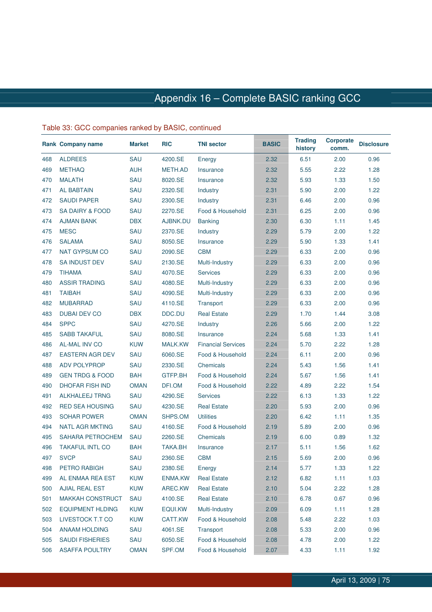|     | <b>Rank Company name</b>   | <b>Market</b> | <b>RIC</b>     | <b>TNI sector</b>         | <b>BASIC</b> | <b>Trading</b><br>history | <b>Corporate</b><br>comm. | <b>Disclosure</b> |
|-----|----------------------------|---------------|----------------|---------------------------|--------------|---------------------------|---------------------------|-------------------|
| 468 | <b>ALDREES</b>             | SAU           | 4200.SE        | Energy                    | 2.32         | 6.51                      | 2.00                      | 0.96              |
| 469 | <b>METHAQ</b>              | <b>AUH</b>    | METH.AD        | Insurance                 | 2.32         | 5.55                      | 2.22                      | 1.28              |
| 470 | <b>MALATH</b>              | SAU           | 8020.SE        | Insurance                 | 2.32         | 5.93                      | 1.33                      | 1.50              |
| 471 | <b>AL BABTAIN</b>          | SAU           | 2320.SE        | Industry                  | 2.31         | 5.90                      | 2.00                      | 1.22              |
| 472 | <b>SAUDI PAPER</b>         | SAU           | 2300.SE        | Industry                  | 2.31         | 6.46                      | 2.00                      | 0.96              |
| 473 | <b>SA DAIRY &amp; FOOD</b> | SAU           | 2270.SE        | Food & Household          | 2.31         | 6.25                      | 2.00                      | 0.96              |
| 474 | <b>AJMAN BANK</b>          | <b>DBX</b>    | AJBNK.DU       | <b>Banking</b>            | 2.30         | 6.30                      | 1.11                      | 1.45              |
| 475 | <b>MESC</b>                | SAU           | 2370.SE        | Industry                  | 2.29         | 5.79                      | 2.00                      | 1.22              |
| 476 | <b>SALAMA</b>              | SAU           | 8050.SE        | Insurance                 | 2.29         | 5.90                      | 1.33                      | 1.41              |
| 477 | <b>NAT GYPSUM CO</b>       | SAU           | 2090.SE        | <b>CBM</b>                | 2.29         | 6.33                      | 2.00                      | 0.96              |
| 478 | <b>SA INDUST DEV</b>       | SAU           | 2130.SE        | Multi-Industry            | 2.29         | 6.33                      | 2.00                      | 0.96              |
| 479 | <b>TIHAMA</b>              | SAU           | 4070.SE        | <b>Services</b>           | 2.29         | 6.33                      | 2.00                      | 0.96              |
| 480 | <b>ASSIR TRADING</b>       | SAU           | 4080.SE        | Multi-Industry            | 2.29         | 6.33                      | 2.00                      | 0.96              |
| 481 | <b>TAIBAH</b>              | SAU           | 4090.SE        | Multi-Industry            | 2.29         | 6.33                      | 2.00                      | 0.96              |
| 482 | <b>MUBARRAD</b>            | SAU           | 4110.SE        | Transport                 | 2.29         | 6.33                      | 2.00                      | 0.96              |
| 483 | <b>DUBAI DEV CO</b>        | <b>DBX</b>    | DDC.DU         | <b>Real Estate</b>        | 2.29         | 1.70                      | 1.44                      | 3.08              |
| 484 | <b>SPPC</b>                | SAU           | 4270.SE        | Industry                  | 2.26         | 5.66                      | 2.00                      | 1.22              |
| 485 | <b>SABB TAKAFUL</b>        | SAU           | 8080.SE        | Insurance                 | 2.24         | 5.68                      | 1.33                      | 1.41              |
| 486 | <b>AL-MAL INV CO</b>       | <b>KUW</b>    | <b>MALK.KW</b> | <b>Financial Services</b> | 2.24         | 5.70                      | 2.22                      | 1.28              |
| 487 | <b>EASTERN AGR DEV</b>     | SAU           | 6060.SE        | Food & Household          | 2.24         | 6.11                      | 2.00                      | 0.96              |
| 488 | <b>ADV POLYPROP</b>        | SAU           | 2330.SE        | Chemicals                 | 2.24         | 5.43                      | 1.56                      | 1.41              |
| 489 | <b>GEN TRDG &amp; FOOD</b> | <b>BAH</b>    | GTFP.BH        | Food & Household          | 2.24         | 5.67                      | 1.56                      | 1.41              |
| 490 | <b>DHOFAR FISH IND</b>     | <b>OMAN</b>   | DFI.OM         | Food & Household          | 2.22         | 4.89                      | 2.22                      | 1.54              |
| 491 | <b>ALKHALEEJ TRNG</b>      | SAU           | 4290.SE        | <b>Services</b>           | 2.22         | 6.13                      | 1.33                      | 1.22              |
| 492 | <b>RED SEA HOUSING</b>     | SAU           | 4230.SE        | <b>Real Estate</b>        | 2.20         | 5.93                      | 2.00                      | 0.96              |
| 493 | <b>SOHAR POWER</b>         | <b>OMAN</b>   | SHPS.OM        | <b>Utilities</b>          | 2.20         | 6.42                      | 1.11                      | 1.35              |
| 494 | <b>NATL AGR MKTING</b>     | SAU           | 4160.SE        | Food & Household          | 2.19         | 5.89                      | 2.00                      | 0.96              |
| 495 | SAHARA PETROCHEM           | SAU           | 2260.SE        | Chemicals                 | 2.19         | 6.00                      | 0.89                      | 1.32              |
| 496 | <b>TAKAFUL INTL CO</b>     | <b>BAH</b>    | <b>TAKA.BH</b> | Insurance                 | 2.17         | 5.11                      | 1.56                      | 1.62              |
| 497 | <b>SVCP</b>                | SAU           | 2360.SE        | <b>CBM</b>                | 2.15         | 5.69                      | 2.00                      | 0.96              |
| 498 | PETRO RABIGH               | SAU           | 2380.SE        | Energy                    | 2.14         | 5.77                      | 1.33                      | 1.22              |
| 499 | AL ENMAA REA EST           | <b>KUW</b>    | ENMA.KW        | <b>Real Estate</b>        | 2.12         | 6.82                      | 1.11                      | 1.03              |
| 500 | <b>AJIAL REAL EST</b>      | <b>KUW</b>    | AREC.KW        | <b>Real Estate</b>        | 2.10         | 5.04                      | 2.22                      | 1.28              |
| 501 | <b>MAKKAH CONSTRUCT</b>    | SAU           | 4100.SE        | <b>Real Estate</b>        | 2.10         | 6.78                      | 0.67                      | 0.96              |
| 502 | <b>EQUIPMENT HLDING</b>    | <b>KUW</b>    | EQUI.KW        | Multi-Industry            | 2.09         | 6.09                      | 1.11                      | 1.28              |
| 503 | LIVESTOCK T.T CO           | <b>KUW</b>    | CATT.KW        | Food & Household          | 2.08         | 5.48                      | 2.22                      | 1.03              |
| 504 | <b>ANAAM HOLDING</b>       | SAU           | 4061.SE        | Transport                 | 2.08         | 5.33                      | 2.00                      | 0.96              |
| 505 | <b>SAUDI FISHERIES</b>     | SAU           | 6050.SE        | Food & Household          | 2.08         | 4.78                      | 2.00                      | 1.22              |
| 506 | <b>ASAFFA POULTRY</b>      | <b>OMAN</b>   | SPF.OM         | Food & Household          | 2.07         | 4.33                      | 1.11                      | 1.92              |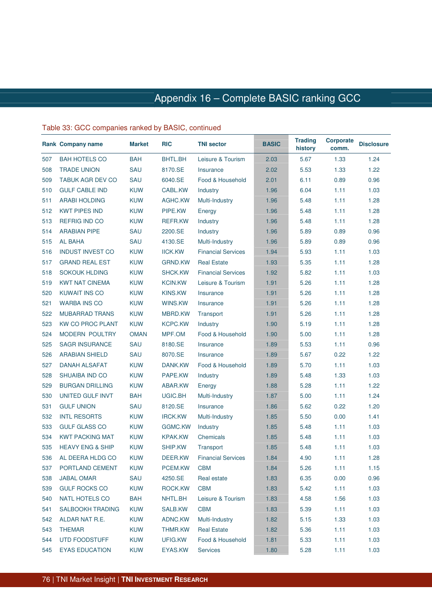|     | Rank Company name           | <b>Market</b> | <b>RIC</b>     | <b>TNI sector</b>         | <b>BASIC</b> | <b>Trading</b><br>history | <b>Corporate</b><br>comm. | <b>Disclosure</b> |
|-----|-----------------------------|---------------|----------------|---------------------------|--------------|---------------------------|---------------------------|-------------------|
| 507 | <b>BAH HOTELS CO</b>        | <b>BAH</b>    | BHTL.BH        | Leisure & Tourism         | 2.03         | 5.67                      | 1.33                      | 1.24              |
| 508 | <b>TRADE UNION</b>          | SAU           | 8170.SE        | Insurance                 | 2.02         | 5.53                      | 1.33                      | 1.22              |
| 509 | TABUK AGR DEV CO            | SAU           | 6040.SE        | Food & Household          | 2.01         | 6.11                      | 0.89                      | 0.96              |
| 510 | <b>GULF CABLE IND</b>       | <b>KUW</b>    | CABL.KW        | Industry                  | 1.96         | 6.04                      | 1.11                      | 1.03              |
| 511 | <b>ARABI HOLDING</b>        | <b>KUW</b>    | AGHC.KW        | Multi-Industry            | 1.96         | 5.48                      | 1.11                      | 1.28              |
| 512 | <b>KWT PIPES IND</b>        | <b>KUW</b>    | PIPE.KW        | Energy                    | 1.96         | 5.48                      | 1.11                      | 1.28              |
| 513 | <b>REFRIG IND CO</b>        | <b>KUW</b>    | <b>REFR.KW</b> | Industry                  | 1.96         | 5.48                      | 1.11                      | 1.28              |
| 514 | <b>ARABIAN PIPE</b>         | SAU           | 2200.SE        | Industry                  | 1.96         | 5.89                      | 0.89                      | 0.96              |
| 515 | <b>AL BAHA</b>              | SAU           | 4130.SE        | Multi-Industry            | 1.96         | 5.89                      | 0.89                      | 0.96              |
| 516 | <b>INDUST INVEST CO</b>     | <b>KUW</b>    | <b>IICK.KW</b> | <b>Financial Services</b> | 1.94         | 5.93                      | 1.11                      | 1.03              |
| 517 | <b>GRAND REAL EST</b>       | <b>KUW</b>    | <b>GRND.KW</b> | <b>Real Estate</b>        | 1.93         | 5.35                      | 1.11                      | 1.28              |
| 518 | <b>SOKOUK HLDING</b>        | <b>KUW</b>    | <b>SHCK.KW</b> | <b>Financial Services</b> | 1.92         | 5.82                      | 1.11                      | 1.03              |
| 519 | <b>KWT NAT CINEMA</b>       | <b>KUW</b>    | <b>KCIN.KW</b> | Leisure & Tourism         | 1.91         | 5.26                      | 1.11                      | 1.28              |
| 520 | <b>KUWAIT INS CO</b>        | <b>KUW</b>    | <b>KINS.KW</b> | Insurance                 | 1.91         | 5.26                      | 1.11                      | 1.28              |
| 521 | <b>WARBA INS CO</b>         | <b>KUW</b>    | WINS.KW        | Insurance                 | 1.91         | 5.26                      | 1.11                      | 1.28              |
| 522 | <b>MUBARRAD TRANS</b>       | <b>KUW</b>    | <b>MBRD.KW</b> | Transport                 | 1.91         | 5.26                      | 1.11                      | 1.28              |
| 523 | <b>KW CO PROC PLANT</b>     | <b>KUW</b>    | <b>KCPC.KW</b> | Industry                  | 1.90         | 5.19                      | 1.11                      | 1.28              |
| 524 | MODERN POULTRY              | <b>OMAN</b>   | MPF.OM         | Food & Household          | 1.90         | 5.00                      | 1.11                      | 1.28              |
| 525 | <b>SAGR INSURANCE</b>       | SAU           | 8180.SE        | Insurance                 | 1.89         | 5.53                      | 1.11                      | 0.96              |
| 526 | <b>ARABIAN SHIELD</b>       | SAU           | 8070.SE        | Insurance                 | 1.89         | 5.67                      | 0.22                      | 1.22              |
| 527 | DANAH ALSAFAT               | <b>KUW</b>    | DANK.KW        | Food & Household          | 1.89         | 5.70                      | 1.11                      | 1.03              |
| 528 | <b>SHUAIBA IND CO</b>       | <b>KUW</b>    | PAPE.KW        | Industry                  | 1.89         | 5.48                      | 1.33                      | 1.03              |
| 529 | <b>BURGAN DRILLING</b>      | <b>KUW</b>    | ABAR.KW        | Energy                    | 1.88         | 5.28                      | 1.11                      | 1.22              |
| 530 | UNITED GULF INVT            | <b>BAH</b>    | UGIC.BH        | Multi-Industry            | 1.87         | 5.00                      | 1.11                      | 1.24              |
| 531 | <b>GULF UNION</b>           | SAU           | 8120.SE        | Insurance                 | 1.86         | 5.62                      | 0.22                      | 1.20              |
| 532 | <b>INTL RESORTS</b>         | <b>KUW</b>    | <b>IRCK.KW</b> | Multi-Industry            | 1.85         | 5.50                      | 0.00                      | 1.41              |
| 533 | <b>GULF GLASS CO</b>        | <b>KUW</b>    | GGMC.KW        | Industry                  | 1.85         | 5.48                      | 1.11                      | 1.03              |
| 534 | <b>KWT PACKING MAT</b>      | <b>KUW</b>    | <b>KPAK.KW</b> | Chemicals                 | 1.85         | 5.48                      | 1.11                      | 1.03              |
| 535 | <b>HEAVY ENG &amp; SHIP</b> | <b>KUW</b>    | SHIP.KW        | Transport                 | 1.85         | 5.48                      | 1.11                      | 1.03              |
| 536 | AL DEERA HLDG CO            | <b>KUW</b>    | DEER.KW        | <b>Financial Services</b> | 1.84         | 4.90                      | 1.11                      | 1.28              |
| 537 | PORTLAND CEMENT             | <b>KUW</b>    | PCEM.KW        | <b>CBM</b>                | 1.84         | 5.26                      | 1.11                      | 1.15              |
| 538 | <b>JABAL OMAR</b>           | SAU           | 4250.SE        | Real estate               | 1.83         | 6.35                      | 0.00                      | 0.96              |
| 539 | <b>GULF ROCKS CO</b>        | <b>KUW</b>    | ROCK.KW        | <b>CBM</b>                | 1.83         | 5.42                      | 1.11                      | 1.03              |
| 540 | NATL HOTELS CO              | <b>BAH</b>    | NHTL.BH        | Leisure & Tourism         | 1.83         | 4.58                      | 1.56                      | 1.03              |
| 541 | <b>SALBOOKH TRADING</b>     | <b>KUW</b>    | SALB.KW        | <b>CBM</b>                | 1.83         | 5.39                      | 1.11                      | 1.03              |
| 542 | ALDAR NAT R.E.              | <b>KUW</b>    | ADNC.KW        | Multi-Industry            | 1.82         | 5.15                      | 1.33                      | 1.03              |
| 543 | <b>THEMAR</b>               | <b>KUW</b>    | THMR.KW        | <b>Real Estate</b>        | 1.82         | 5.36                      | 1.11                      | 1.03              |
| 544 | <b>UTD FOODSTUFF</b>        | <b>KUW</b>    | UFIG.KW        | Food & Household          | 1.81         | 5.33                      | 1.11                      | 1.03              |
| 545 | <b>EYAS EDUCATION</b>       | <b>KUW</b>    | EYAS.KW        | Services                  | 1.80         | 5.28                      | 1.11                      | 1.03              |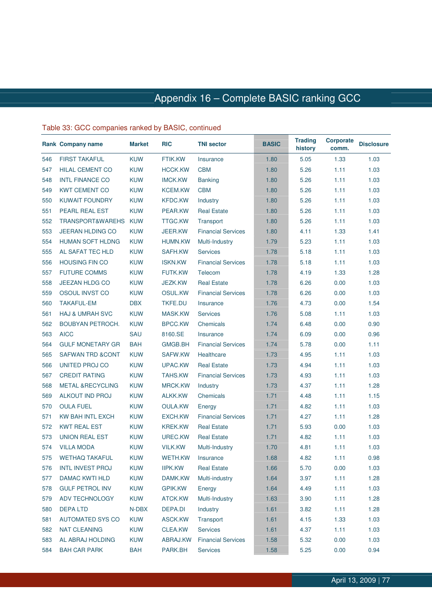|     | Rank Company name           | <b>Market</b> | <b>RIC</b>     | <b>TNI sector</b>         | <b>BASIC</b> | <b>Trading</b><br>history | <b>Corporate</b><br>comm. | <b>Disclosure</b> |
|-----|-----------------------------|---------------|----------------|---------------------------|--------------|---------------------------|---------------------------|-------------------|
| 546 | <b>FIRST TAKAFUL</b>        | <b>KUW</b>    | FTIK.KW        | Insurance                 | 1.80         | 5.05                      | 1.33                      | 1.03              |
| 547 | <b>HILAL CEMENT CO</b>      | <b>KUW</b>    | <b>HCCK.KW</b> | <b>CBM</b>                | 1.80         | 5.26                      | 1.11                      | 1.03              |
| 548 | <b>INTL FINANCE CO</b>      | <b>KUW</b>    | <b>IMCK.KW</b> | <b>Banking</b>            | 1.80         | 5.26                      | 1.11                      | 1.03              |
| 549 | <b>KWT CEMENT CO</b>        | <b>KUW</b>    | <b>KCEM.KW</b> | <b>CBM</b>                | 1.80         | 5.26                      | 1.11                      | 1.03              |
| 550 | <b>KUWAIT FOUNDRY</b>       | <b>KUW</b>    | <b>KFDC.KW</b> | Industry                  | 1.80         | 5.26                      | 1.11                      | 1.03              |
| 551 | PEARL REAL EST              | <b>KUW</b>    | PEAR.KW        | <b>Real Estate</b>        | 1.80         | 5.26                      | 1.11                      | 1.03              |
| 552 | TRANSPORT&WAREHS KUW        |               | <b>TTGC.KW</b> | Transport                 | 1.80         | 5.26                      | 1.11                      | 1.03              |
| 553 | <b>JEERAN HLDING CO</b>     | <b>KUW</b>    | JEER.KW        | <b>Financial Services</b> | 1.80         | 4.11                      | 1.33                      | 1.41              |
| 554 | <b>HUMAN SOFT HLDNG</b>     | <b>KUW</b>    | <b>HUMN.KW</b> | Multi-Industry            | 1.79         | 5.23                      | 1.11                      | 1.03              |
| 555 | AL SAFAT TEC HLD            | <b>KUW</b>    | SAFH.KW        | <b>Services</b>           | 1.78         | 5.18                      | 1.11                      | 1.03              |
| 556 | <b>HOUSING FIN CO</b>       | <b>KUW</b>    | <b>ISKN.KW</b> | <b>Financial Services</b> | 1.78         | 5.18                      | 1.11                      | 1.03              |
| 557 | <b>FUTURE COMMS</b>         | <b>KUW</b>    | FUTK.KW        | Telecom                   | 1.78         | 4.19                      | 1.33                      | 1.28              |
| 558 | <b>JEEZAN HLDG CO</b>       | <b>KUW</b>    | <b>JEZK.KW</b> | <b>Real Estate</b>        | 1.78         | 6.26                      | 0.00                      | 1.03              |
| 559 | OSOUL INVST CO              | <b>KUW</b>    | OSUL.KW        | <b>Financial Services</b> | 1.78         | 6.26                      | 0.00                      | 1.03              |
| 560 | <b>TAKAFUL-EM</b>           | <b>DBX</b>    | TKFE.DU        | Insurance                 | 1.76         | 4.73                      | 0.00                      | 1.54              |
| 561 | <b>HAJ &amp; UMRAH SVC</b>  | <b>KUW</b>    | <b>MASK.KW</b> | <b>Services</b>           | 1.76         | 5.08                      | 1.11                      | 1.03              |
| 562 | <b>BOUBYAN PETROCH.</b>     | <b>KUW</b>    | <b>BPCC.KW</b> | Chemicals                 | 1.74         | 6.48                      | 0.00                      | 0.90              |
| 563 | <b>AICC</b>                 | SAU           | 8160.SE        | Insurance                 | 1.74         | 6.09                      | 0.00                      | 0.96              |
| 564 | <b>GULF MONETARY GR</b>     | <b>BAH</b>    | <b>GMGB.BH</b> | <b>Financial Services</b> | 1.74         | 5.78                      | 0.00                      | 1.11              |
| 565 | <b>SAFWAN TRD &amp;CONT</b> | <b>KUW</b>    | SAFW.KW        | Healthcare                | 1.73         | 4.95                      | 1.11                      | 1.03              |
| 566 | UNITED PROJ CO              | <b>KUW</b>    | UPAC.KW        | <b>Real Estate</b>        | 1.73         | 4.94                      | 1.11                      | 1.03              |
| 567 | <b>CREDIT RATING</b>        | <b>KUW</b>    | TAHS.KW        | <b>Financial Services</b> | 1.73         | 4.93                      | 1.11                      | 1.03              |
| 568 | <b>METAL &amp;RECYCLING</b> | <b>KUW</b>    | <b>MRCK.KW</b> | Industry                  | 1.73         | 4.37                      | 1.11                      | 1.28              |
| 569 | <b>ALKOUT IND PROJ</b>      | <b>KUW</b>    | ALKK.KW        | Chemicals                 | 1.71         | 4.48                      | 1.11                      | 1.15              |
| 570 | <b>OULA FUEL</b>            | <b>KUW</b>    | <b>OULA.KW</b> | Energy                    | 1.71         | 4.82                      | 1.11                      | 1.03              |
| 571 | KW BAH INTL EXCH            | <b>KUW</b>    | <b>EXCH.KW</b> | <b>Financial Services</b> | 1.71         | 4.27                      | 1.11                      | 1.28              |
| 572 | <b>KWT REAL EST</b>         | <b>KUW</b>    | <b>KREK.KW</b> | <b>Real Estate</b>        | 1.71         | 5.93                      | 0.00                      | 1.03              |
| 573 | <b>UNION REAL EST</b>       | <b>KUW</b>    | UREC.KW        | <b>Real Estate</b>        | 1.71         | 4.82                      | 1.11                      | 1.03              |
| 574 | <b>VILLA MODA</b>           | <b>KUW</b>    | <b>VILK.KW</b> | Multi-Industry            | 1.70         | 4.81                      | 1.11                      | 1.03              |
| 575 | <b>WETHAQ TAKAFUL</b>       | <b>KUW</b>    | <b>WETH.KW</b> | Insurance                 | 1.68         | 4.82                      | 1.11                      | 0.98              |
| 576 | <b>INTL INVEST PROJ</b>     | <b>KUW</b>    | <b>IIPK.KW</b> | <b>Real Estate</b>        | 1.66         | 5.70                      | 0.00                      | 1.03              |
| 577 | DAMAC KWTI HLD              | <b>KUW</b>    | DAMK.KW        | Multi-industry            | 1.64         | 3.97                      | 1.11                      | 1.28              |
| 578 | <b>GULF PETROL INV</b>      | <b>KUW</b>    | <b>GPIK.KW</b> | Energy                    | 1.64         | 4.49                      | 1.11                      | 1.03              |
| 579 | ADV TECHNOLOGY              | <b>KUW</b>    | ATCK.KW        | Multi-Industry            | 1.63         | 3.90                      | 1.11                      | 1.28              |
| 580 | <b>DEPALTD</b>              | N-DBX         | DEPA.DI        | Industry                  | 1.61         | 3.82                      | 1.11                      | 1.28              |
| 581 | <b>AUTOMATED SYS CO</b>     | <b>KUW</b>    | ASCK.KW        | Transport                 | 1.61         | 4.15                      | 1.33                      | 1.03              |
| 582 | <b>NAT CLEANING</b>         | <b>KUW</b>    | CLEA.KW        | <b>Services</b>           | 1.61         | 4.37                      | 1.11                      | 1.03              |
| 583 | AL ABRAJ HOLDING            | <b>KUW</b>    | ABRAJ.KW       | <b>Financial Services</b> | 1.58         | 5.32                      | 0.00                      | 1.03              |
| 584 | <b>BAH CAR PARK</b>         | <b>BAH</b>    | PARK.BH        | <b>Services</b>           | 1.58         | 5.25                      | 0.00                      | 0.94              |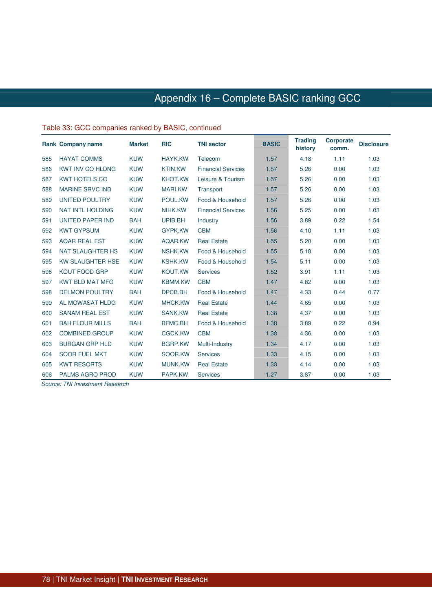### Table 33: GCC companies ranked by BASIC, continued

|     | <b>Rank Company name</b> | <b>Market</b> | <b>RIC</b>     | <b>TNI sector</b>         | <b>BASIC</b> | <b>Trading</b><br>history | <b>Corporate</b><br>comm. | <b>Disclosure</b> |
|-----|--------------------------|---------------|----------------|---------------------------|--------------|---------------------------|---------------------------|-------------------|
| 585 | <b>HAYAT COMMS</b>       | <b>KUW</b>    | <b>HAYK.KW</b> | Telecom                   | 1.57         | 4.18                      | 1.11                      | 1.03              |
| 586 | <b>KWT INV CO HLDNG</b>  | <b>KUW</b>    | <b>KTIN.KW</b> | <b>Financial Services</b> | 1.57         | 5.26                      | 0.00                      | 1.03              |
| 587 | <b>KWT HOTELS CO</b>     | <b>KUW</b>    | <b>KHOT.KW</b> | Leisure & Tourism         | 1.57         | 5.26                      | 0.00                      | 1.03              |
| 588 | <b>MARINE SRVC IND</b>   | <b>KUW</b>    | <b>MARI.KW</b> | Transport                 | 1.57         | 5.26                      | 0.00                      | 1.03              |
| 589 | <b>UNITED POULTRY</b>    | <b>KUW</b>    | POUL.KW        | Food & Household          | 1.57         | 5.26                      | 0.00                      | 1.03              |
| 590 | <b>NAT INTL HOLDING</b>  | <b>KUW</b>    | NIHK.KW        | <b>Financial Services</b> | 1.56         | 5.25                      | 0.00                      | 1.03              |
| 591 | <b>UNITED PAPER IND</b>  | <b>BAH</b>    | UPIB.BH        | Industry                  | 1.56         | 3.89                      | 0.22                      | 1.54              |
| 592 | <b>KWT GYPSUM</b>        | <b>KUW</b>    | GYPK.KW        | <b>CBM</b>                | 1.56         | 4.10                      | 1.11                      | 1.03              |
| 593 | <b>AQAR REAL EST</b>     | <b>KUW</b>    | AQAR.KW        | <b>Real Estate</b>        | 1.55         | 5.20                      | 0.00                      | 1.03              |
| 594 | <b>NAT SLAUGHTER HS</b>  | <b>KUW</b>    | <b>NSHK.KW</b> | Food & Household          | 1.55         | 5.18                      | 0.00                      | 1.03              |
| 595 | <b>KW SLAUGHTER HSE</b>  | <b>KUW</b>    | <b>KSHK.KW</b> | Food & Household          | 1.54         | 5.11                      | 0.00                      | 1.03              |
| 596 | <b>KOUT FOOD GRP</b>     | <b>KUW</b>    | <b>KOUT.KW</b> | <b>Services</b>           | 1.52         | 3.91                      | 1.11                      | 1.03              |
| 597 | <b>KWT BLD MAT MFG</b>   | <b>KUW</b>    | <b>KBMM.KW</b> | <b>CBM</b>                | 1.47         | 4.82                      | 0.00                      | 1.03              |
| 598 | <b>DELMON POULTRY</b>    | <b>BAH</b>    | DPCB.BH        | Food & Household          | 1.47         | 4.33                      | 0.44                      | 0.77              |
| 599 | AL MOWASAT HLDG          | <b>KUW</b>    | <b>MHCK.KW</b> | <b>Real Estate</b>        | 1.44         | 4.65                      | 0.00                      | 1.03              |
| 600 | <b>SANAM REAL EST</b>    | <b>KUW</b>    | <b>SANK.KW</b> | <b>Real Estate</b>        | 1.38         | 4.37                      | 0.00                      | 1.03              |
| 601 | <b>BAH FLOUR MILLS</b>   | <b>BAH</b>    | <b>BFMC.BH</b> | Food & Household          | 1.38         | 3.89                      | 0.22                      | 0.94              |
| 602 | <b>COMBINED GROUP</b>    | <b>KUW</b>    | <b>CGCK.KW</b> | <b>CBM</b>                | 1.38         | 4.36                      | 0.00                      | 1.03              |
| 603 | <b>BURGAN GRP HLD</b>    | <b>KUW</b>    | <b>BGRP.KW</b> | Multi-Industry            | 1.34         | 4.17                      | 0.00                      | 1.03              |
| 604 | <b>SOOR FUEL MKT</b>     | <b>KUW</b>    | SOOR.KW        | <b>Services</b>           | 1.33         | 4.15                      | 0.00                      | 1.03              |
| 605 | <b>KWT RESORTS</b>       | <b>KUW</b>    | <b>MUNK.KW</b> | <b>Real Estate</b>        | 1.33         | 4.14                      | 0.00                      | 1.03              |
| 606 | <b>PALMS AGRO PROD</b>   | <b>KUW</b>    | PAPK.KW        | <b>Services</b>           | 1.27         | 3.87                      | 0.00                      | 1.03              |

Source: TNI Investment Research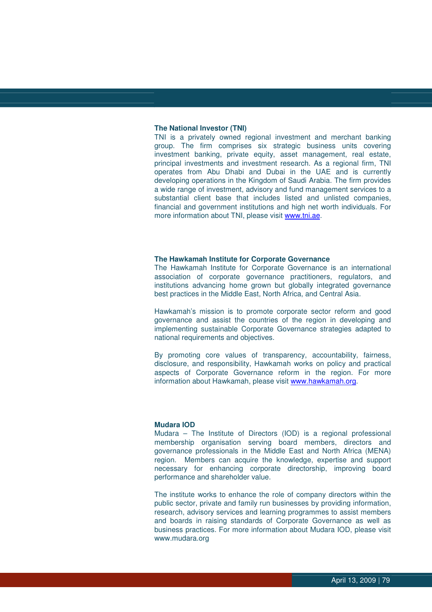#### **The National Investor (TNI)**

TNI is a privately owned regional investment and merchant banking group. The firm comprises six strategic business units covering investment banking, private equity, asset management, real estate, principal investments and investment research. As a regional firm, TNI operates from Abu Dhabi and Dubai in the UAE and is currently developing operations in the Kingdom of Saudi Arabia. The firm provides a wide range of investment, advisory and fund management services to a substantial client base that includes listed and unlisted companies, financial and government institutions and high net worth individuals. For more information about TNI, please visit www.tni.ae.

#### **The Hawkamah Institute for Corporate Governance**

The Hawkamah Institute for Corporate Governance is an international association of corporate governance practitioners, regulators, and institutions advancing home grown but globally integrated governance best practices in the Middle East, North Africa, and Central Asia.

Hawkamah's mission is to promote corporate sector reform and good governance and assist the countries of the region in developing and implementing sustainable Corporate Governance strategies adapted to national requirements and objectives.

By promoting core values of transparency, accountability, fairness, disclosure, and responsibility, Hawkamah works on policy and practical aspects of Corporate Governance reform in the region. For more information about Hawkamah, please visit www.hawkamah.org.

#### **Mudara IOD**

Mudara – The Institute of Directors (IOD) is a regional professional membership organisation serving board members, directors and governance professionals in the Middle East and North Africa (MENA) region. Members can acquire the knowledge, expertise and support necessary for enhancing corporate directorship, improving board performance and shareholder value.

The institute works to enhance the role of company directors within the public sector, private and family run businesses by providing information, research, advisory services and learning programmes to assist members and boards in raising standards of Corporate Governance as well as business practices. For more information about Mudara IOD, please visit www.mudara.org